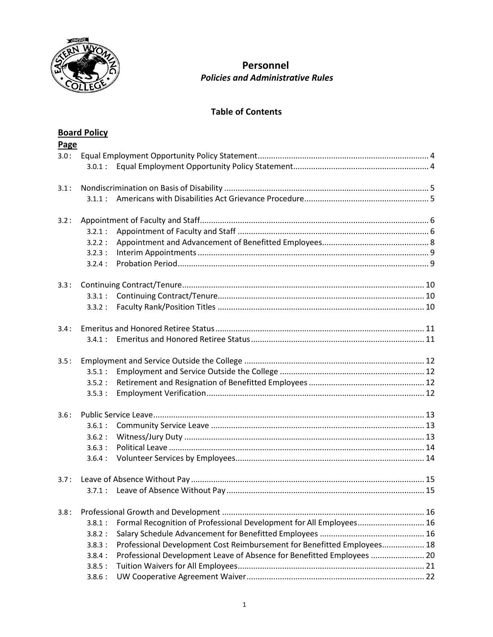

# **Personnel** *Policies and Administrative Rules*

# **Table of Contents**

|      | <b>Board Policy</b> |                                                                         |  |  |
|------|---------------------|-------------------------------------------------------------------------|--|--|
| Page |                     |                                                                         |  |  |
| 3.0: | 3.0.1:              |                                                                         |  |  |
| 3.1: | 3.1.1:              |                                                                         |  |  |
| 3.2: |                     |                                                                         |  |  |
|      | 3.2.1:              |                                                                         |  |  |
|      | 3.2.2:              |                                                                         |  |  |
|      | 3.2.3:              |                                                                         |  |  |
|      | 3.2.4:              |                                                                         |  |  |
| 3.3: |                     |                                                                         |  |  |
|      | 3.3.1:              |                                                                         |  |  |
|      | 3.3.2:              |                                                                         |  |  |
| 3.4: |                     |                                                                         |  |  |
|      | 341:                |                                                                         |  |  |
| 3.5: |                     |                                                                         |  |  |
|      | 3.5.1:              |                                                                         |  |  |
|      | 3.5.2:              |                                                                         |  |  |
|      | 3.5.3:              |                                                                         |  |  |
| 3.6: |                     |                                                                         |  |  |
|      | 3.6.1:              |                                                                         |  |  |
|      | 3.6.2:              |                                                                         |  |  |
|      | 3.6.3:              |                                                                         |  |  |
|      | 3.6.4:              |                                                                         |  |  |
| 3.7: |                     |                                                                         |  |  |
|      | 3.7.1:              |                                                                         |  |  |
| 3.8: |                     |                                                                         |  |  |
|      | 3.8.1:              | Formal Recognition of Professional Development for All Employees 16     |  |  |
|      | 3.8.2:              |                                                                         |  |  |
|      | 3.8.3:              | Professional Development Cost Reimbursement for Benefitted Employees 18 |  |  |
|      | 3.8.4:              | Professional Development Leave of Absence for Benefitted Employees  20  |  |  |
|      | 3.8.5:              |                                                                         |  |  |
|      | 3.8.6:              |                                                                         |  |  |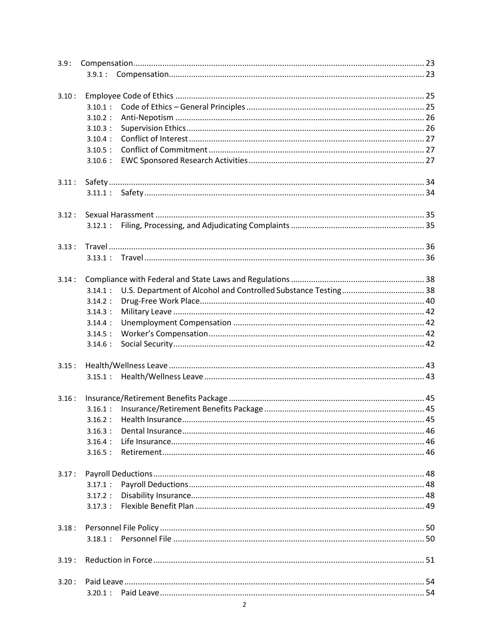| 3.9:  |            |  |  |  |  |
|-------|------------|--|--|--|--|
|       | 3.9.1:     |  |  |  |  |
|       |            |  |  |  |  |
| 3.10: |            |  |  |  |  |
|       | 3.10.1:    |  |  |  |  |
|       | $3.10.2$ : |  |  |  |  |
|       | 3.10.3:    |  |  |  |  |
|       | $3.10.4$ : |  |  |  |  |
|       | 3.10.5:    |  |  |  |  |
|       | 3.10.6:    |  |  |  |  |
| 3.11: |            |  |  |  |  |
|       |            |  |  |  |  |
|       |            |  |  |  |  |
| 3.12: |            |  |  |  |  |
|       | 3.12.1:    |  |  |  |  |
| 3.13: |            |  |  |  |  |
|       | 3.13.1:    |  |  |  |  |
|       |            |  |  |  |  |
| 3.14: |            |  |  |  |  |
|       | 3.14.1:    |  |  |  |  |
|       | $3.14.2$ : |  |  |  |  |
|       | 3.14.3:    |  |  |  |  |
|       | 3.14.4:    |  |  |  |  |
|       | 3.14.5:    |  |  |  |  |
|       | 3.14.6:    |  |  |  |  |
| 3.15: |            |  |  |  |  |
|       | 3.15.1:    |  |  |  |  |
|       |            |  |  |  |  |
| 3.16: |            |  |  |  |  |
|       | 3.16.1:    |  |  |  |  |
|       |            |  |  |  |  |
|       | $3.16.3$ : |  |  |  |  |
|       | 3.16.4:    |  |  |  |  |
|       | 3.16.5:    |  |  |  |  |
| 3.17: |            |  |  |  |  |
|       | $3.17.1$ : |  |  |  |  |
|       |            |  |  |  |  |
|       |            |  |  |  |  |
|       |            |  |  |  |  |
| 3.18: |            |  |  |  |  |
|       |            |  |  |  |  |
| 3.19: |            |  |  |  |  |
| 3.20: |            |  |  |  |  |
|       |            |  |  |  |  |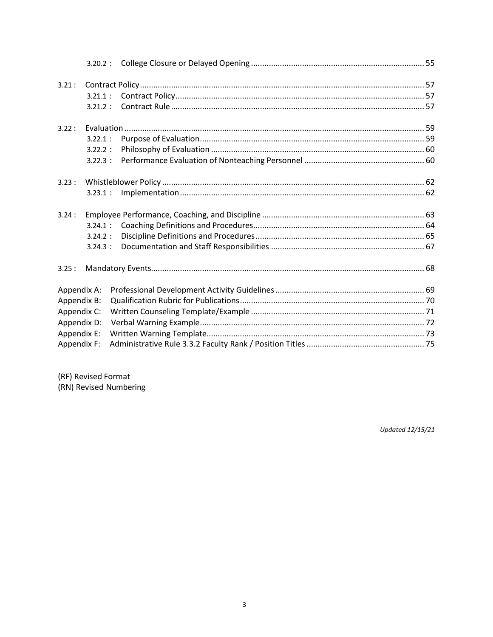| 3.21:       |            |  |  |  |
|-------------|------------|--|--|--|
|             | 3.21.1:    |  |  |  |
|             | 3.21.2:    |  |  |  |
| 3.22:       |            |  |  |  |
|             | 3.22.1:    |  |  |  |
|             | 3.22.2:    |  |  |  |
|             | $3.22.3$ : |  |  |  |
| 3.23:       |            |  |  |  |
|             | 3.23.1:    |  |  |  |
| 3.24:       |            |  |  |  |
|             | 3.24.1:    |  |  |  |
|             | 3.24.2:    |  |  |  |
|             | 3.24.3:    |  |  |  |
| 3.25:       |            |  |  |  |
| Appendix A: |            |  |  |  |
| Appendix B: |            |  |  |  |
| Appendix C: |            |  |  |  |
| Appendix D: |            |  |  |  |
| Appendix E: |            |  |  |  |
| Appendix F: |            |  |  |  |

(RF) Revised Format

(RN) Revised Numbering

**Updated 12/15/21**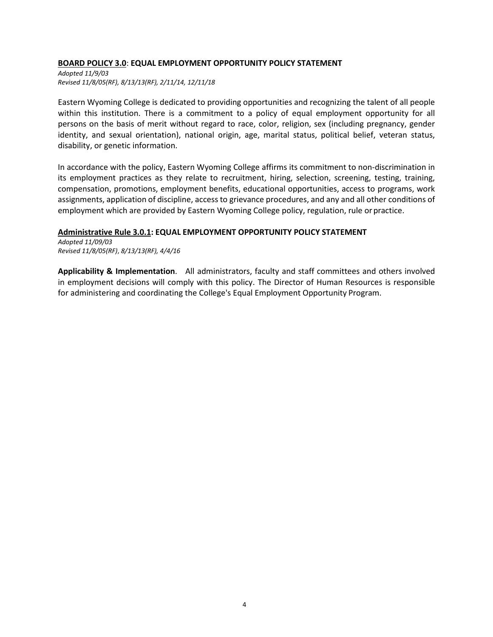#### **BOARD POLICY 3.0**: **EQUAL EMPLOYMENT OPPORTUNITY POLICY STATEMENT**

*Adopted 11/9/03 Revised 11/8/05(RF), 8/13/13(RF), 2/11/14, 12/11/18*

Eastern Wyoming College is dedicated to providing opportunities and recognizing the talent of all people within this institution. There is a commitment to a policy of equal employment opportunity for all persons on the basis of merit without regard to race, color, religion, sex (including pregnancy, gender identity, and sexual orientation), national origin, age, marital status, political belief, veteran status, disability, or genetic information.

In accordance with the policy, Eastern Wyoming College affirms its commitment to non-discrimination in its employment practices as they relate to recruitment, hiring, selection, screening, testing, training, compensation, promotions, employment benefits, educational opportunities, access to programs, work assignments, application of discipline, access to grievance procedures, and any and all other conditions of employment which are provided by Eastern Wyoming College policy, regulation, rule orpractice.

#### **Administrative Rule 3.0.1: EQUAL EMPLOYMENT OPPORTUNITY POLICY STATEMENT**

*Adopted 11/09/03 Revised 11/8/05(RF)*, *8/13/13(RF), 4/4/16*

**Applicability & Implementation**. All administrators, faculty and staff committees and others involved in employment decisions will comply with this policy. The Director of Human Resources is responsible for administering and coordinating the College's Equal Employment Opportunity Program.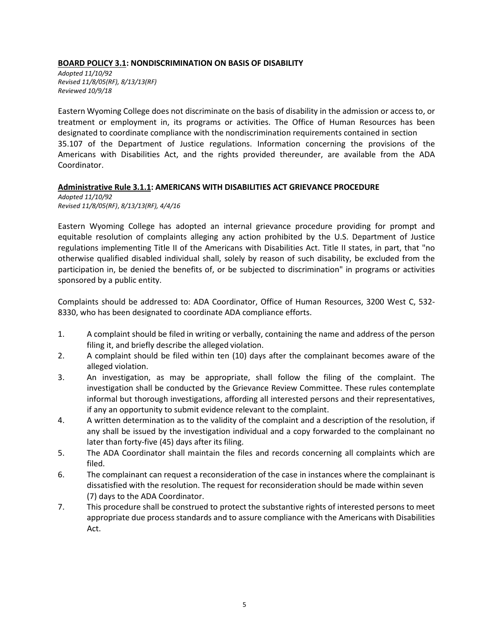### **BOARD POLICY 3.1: NONDISCRIMINATION ON BASIS OF DISABILITY**

*Adopted 11/10/92 Revised 11/8/05(RF), 8/13/13(RF) Reviewed 10/9/18*

Eastern Wyoming College does not discriminate on the basis of disability in the admission or access to, or treatment or employment in, its programs or activities. The Office of Human Resources has been designated to coordinate compliance with the nondiscrimination requirements contained in section 35.107 of the Department of Justice regulations. Information concerning the provisions of the Americans with Disabilities Act, and the rights provided thereunder, are available from the ADA Coordinator.

#### **Administrative Rule 3.1.1: AMERICANS WITH DISABILITIES ACT GRIEVANCE PROCEDURE**

*Adopted 11/10/92 Revised 11/8/05(RF)*, *8/13/13(RF), 4/4/16*

Eastern Wyoming College has adopted an internal grievance procedure providing for prompt and equitable resolution of complaints alleging any action prohibited by the U.S. Department of Justice regulations implementing Title II of the Americans with Disabilities Act. Title II states, in part, that "no otherwise qualified disabled individual shall, solely by reason of such disability, be excluded from the participation in, be denied the benefits of, or be subjected to discrimination" in programs or activities sponsored by a public entity.

Complaints should be addressed to: ADA Coordinator, Office of Human Resources, 3200 West C, 532- 8330, who has been designated to coordinate ADA compliance efforts.

- 1. A complaint should be filed in writing or verbally, containing the name and address of the person filing it, and briefly describe the alleged violation.
- 2. A complaint should be filed within ten (10) days after the complainant becomes aware of the alleged violation.
- 3. An investigation, as may be appropriate, shall follow the filing of the complaint. The investigation shall be conducted by the Grievance Review Committee. These rules contemplate informal but thorough investigations, affording all interested persons and their representatives, if any an opportunity to submit evidence relevant to the complaint.
- 4. A written determination as to the validity of the complaint and a description of the resolution, if any shall be issued by the investigation individual and a copy forwarded to the complainant no later than forty-five (45) days after its filing.
- 5. The ADA Coordinator shall maintain the files and records concerning all complaints which are filed.
- 6. The complainant can request a reconsideration of the case in instances where the complainant is dissatisfied with the resolution. The request for reconsideration should be made within seven (7) days to the ADA Coordinator.
- 7. This procedure shall be construed to protect the substantive rights of interested persons to meet appropriate due process standards and to assure compliance with the Americans with Disabilities Act.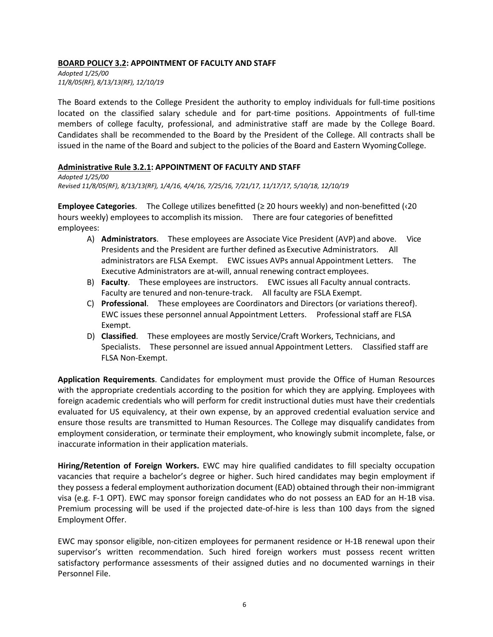### **BOARD POLICY 3.2: APPOINTMENT OF FACULTY AND STAFF**

*Adopted 1/25/00 11/8/05(RF), 8/13/13(RF), 12/10/19*

The Board extends to the College President the authority to employ individuals for full-time positions located on the classified salary schedule and for part-time positions. Appointments of full-time members of college faculty, professional, and administrative staff are made by the College Board. Candidates shall be recommended to the Board by the President of the College. All contracts shall be issued in the name of the Board and subject to the policies of the Board and Eastern WyomingCollege.

#### **Administrative Rule 3.2.1: APPOINTMENT OF FACULTY AND STAFF**

*Adopted 1/25/00 Revised 11/8/05(RF), 8/13/13(RF), 1/4/16, 4/4/16, 7/25/16, 7/21/17, 11/17/17, 5/10/18, 12/10/19*

**Employee Categories**. The College utilizes benefitted (≥ 20 hours weekly) and non-benefitted (‹20 hours weekly) employees to accomplish its mission. There are four categories of benefitted employees:

- A) **Administrators**. These employees are Associate Vice President (AVP) and above. Vice Presidents and the President are further defined as Executive Administrators. All administrators are FLSA Exempt. EWC issues AVPs annual Appointment Letters. The Executive Administrators are at-will, annual renewing contract employees.
- B) **Faculty**. These employees are instructors. EWC issues all Faculty annual contracts. Faculty are tenured and non-tenure-track. All faculty are FSLA Exempt.
- C) **Professional**. These employees are Coordinators and Directors (or variations thereof). EWC issues these personnel annual Appointment Letters. Professional staff are FLSA Exempt.
- D) **Classified**. These employees are mostly Service/Craft Workers, Technicians, and Specialists. These personnel are issued annual Appointment Letters. Classified staff are FLSA Non-Exempt.

**Application Requirements**. Candidates for employment must provide the Office of Human Resources with the appropriate credentials according to the position for which they are applying. Employees with foreign academic credentials who will perform for credit instructional duties must have their credentials evaluated for US equivalency, at their own expense, by an approved credential evaluation service and ensure those results are transmitted to Human Resources. The College may disqualify candidates from employment consideration, or terminate their employment, who knowingly submit incomplete, false, or inaccurate information in their application materials.

**Hiring/Retention of Foreign Workers.** EWC may hire qualified candidates to fill specialty occupation vacancies that require a bachelor's degree or higher. Such hired candidates may begin employment if they possess a federal employment authorization document (EAD) obtained through their non-immigrant visa (e.g. F-1 OPT). EWC may sponsor foreign candidates who do not possess an EAD for an H-1B visa. Premium processing will be used if the projected date-of-hire is less than 100 days from the signed Employment Offer.

EWC may sponsor eligible, non-citizen employees for permanent residence or H-1B renewal upon their supervisor's written recommendation. Such hired foreign workers must possess recent written satisfactory performance assessments of their assigned duties and no documented warnings in their Personnel File.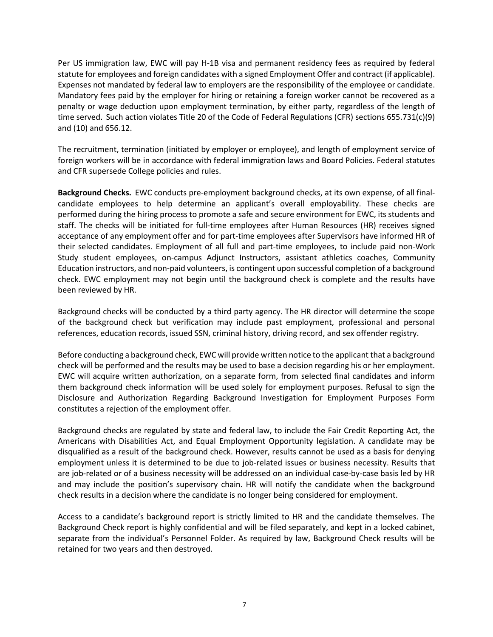Per US immigration law, EWC will pay H-1B visa and permanent residency fees as required by federal statute for employees and foreign candidates with a signed Employment Offer and contract (if applicable). Expenses not mandated by federal law to employers are the responsibility of the employee or candidate. Mandatory fees paid by the employer for hiring or retaining a foreign worker cannot be recovered as a penalty or wage deduction upon employment termination, by either party, regardless of the length of time served. Such action violates Title 20 of the Code of Federal Regulations (CFR) sections 655.731(c)(9) and (10) and 656.12.

The recruitment, termination (initiated by employer or employee), and length of employment service of foreign workers will be in accordance with federal immigration laws and Board Policies. Federal statutes and CFR supersede College policies and rules.

**Background Checks.** EWC conducts pre-employment background checks, at its own expense, of all finalcandidate employees to help determine an applicant's overall employability. These checks are performed during the hiring process to promote a safe and secure environment for EWC, its students and staff. The checks will be initiated for full-time employees after Human Resources (HR) receives signed acceptance of any employment offer and for part-time employees after Supervisors have informed HR of their selected candidates. Employment of all full and part-time employees, to include paid non-Work Study student employees, on-campus Adjunct Instructors, assistant athletics coaches, Community Education instructors, and non-paid volunteers, is contingent upon successful completion of a background check. EWC employment may not begin until the background check is complete and the results have been reviewed by HR.

Background checks will be conducted by a third party agency. The HR director will determine the scope of the background check but verification may include past employment, professional and personal references, education records, issued SSN, criminal history, driving record, and sex offender registry.

Before conducting a background check, EWC will provide written notice to the applicant that a background check will be performed and the results may be used to base a decision regarding his or her employment. EWC will acquire written authorization, on a separate form, from selected final candidates and inform them background check information will be used solely for employment purposes. Refusal to sign the Disclosure and Authorization Regarding Background Investigation for Employment Purposes Form constitutes a rejection of the employment offer.

Background checks are regulated by state and federal law, to include the Fair Credit Reporting Act, the Americans with Disabilities Act, and Equal Employment Opportunity legislation. A candidate may be disqualified as a result of the background check. However, results cannot be used as a basis for denying employment unless it is determined to be due to job-related issues or business necessity. Results that are job-related or of a business necessity will be addressed on an individual case-by-case basis led by HR and may include the position's supervisory chain. HR will notify the candidate when the background check results in a decision where the candidate is no longer being considered for employment.

Access to a candidate's background report is strictly limited to HR and the candidate themselves. The Background Check report is highly confidential and will be filed separately, and kept in a locked cabinet, separate from the individual's Personnel Folder. As required by law, Background Check results will be retained for two years and then destroyed.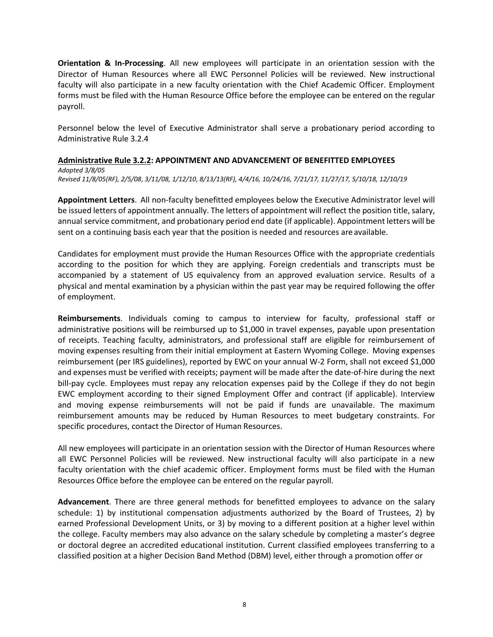**Orientation & In-Processing**. All new employees will participate in an orientation session with the Director of Human Resources where all EWC Personnel Policies will be reviewed. New instructional faculty will also participate in a new faculty orientation with the Chief Academic Officer. Employment forms must be filed with the Human Resource Office before the employee can be entered on the regular payroll.

Personnel below the level of Executive Administrator shall serve a probationary period according to Administrative Rule 3.2.4

# **Administrative Rule 3.2.2: APPOINTMENT AND ADVANCEMENT OF BENEFITTED EMPLOYEES** *Adopted 3/8/05*

*Revised 11/8/05(RF), 2/5/08*, *3/11/08, 1/12/10*, *8/13/13(RF), 4/4/16, 10/24/16, 7/21/17, 11/27/17, 5/10/18, 12/10/19*

**Appointment Letters**. All non-faculty benefitted employees below the Executive Administrator level will be issued letters of appointment annually. The letters of appointment will reflect the position title, salary, annual service commitment, and probationary period end date (if applicable). Appointment letters will be sent on a continuing basis each year that the position is needed and resources are available.

Candidates for employment must provide the Human Resources Office with the appropriate credentials according to the position for which they are applying. Foreign credentials and transcripts must be accompanied by a statement of US equivalency from an approved evaluation service. Results of a physical and mental examination by a physician within the past year may be required following the offer of employment.

**Reimbursements**. Individuals coming to campus to interview for faculty, professional staff or administrative positions will be reimbursed up to \$1,000 in travel expenses, payable upon presentation of receipts. Teaching faculty, administrators, and professional staff are eligible for reimbursement of moving expenses resulting from their initial employment at Eastern Wyoming College. Moving expenses reimbursement (per IRS guidelines), reported by EWC on your annual W-2 Form, shall not exceed \$1,000 and expenses must be verified with receipts; payment will be made after the date-of-hire during the next bill-pay cycle. Employees must repay any relocation expenses paid by the College if they do not begin EWC employment according to their signed Employment Offer and contract (if applicable). Interview and moving expense reimbursements will not be paid if funds are unavailable. The maximum reimbursement amounts may be reduced by Human Resources to meet budgetary constraints. For specific procedures, contact the Director of Human Resources.

All new employees will participate in an orientation session with the Director of Human Resources where all EWC Personnel Policies will be reviewed. New instructional faculty will also participate in a new faculty orientation with the chief academic officer. Employment forms must be filed with the Human Resources Office before the employee can be entered on the regular payroll.

**Advancement**. There are three general methods for benefitted employees to advance on the salary schedule: 1) by institutional compensation adjustments authorized by the Board of Trustees, 2) by earned Professional Development Units, or 3) by moving to a different position at a higher level within the college. Faculty members may also advance on the salary schedule by completing a master's degree or doctoral degree an accredited educational institution. Current classified employees transferring to a classified position at a higher Decision Band Method (DBM) level, either through a promotion offer or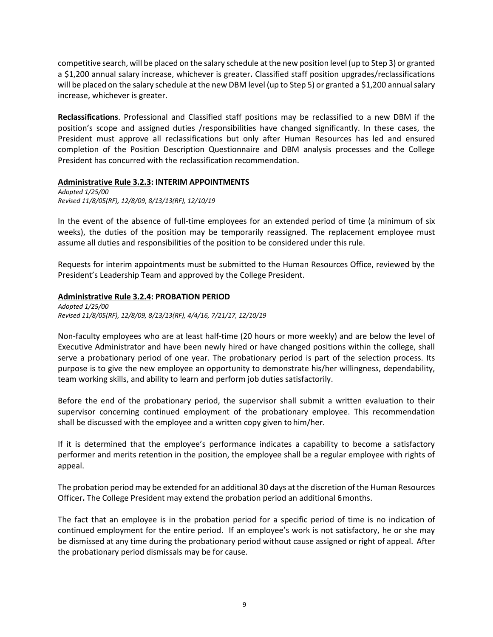competitive search, will be placed on the salary schedule atthe new position level(up to Step 3) or granted a \$1,200 annual salary increase, whichever is greater**.** Classified staff position upgrades/reclassifications will be placed on the salary schedule at the new DBM level (up to Step 5) or granted a \$1,200 annual salary increase, whichever is greater.

**Reclassifications**. Professional and Classified staff positions may be reclassified to a new DBM if the position's scope and assigned duties /responsibilities have changed significantly. In these cases, the President must approve all reclassifications but only after Human Resources has led and ensured completion of the Position Description Questionnaire and DBM analysis processes and the College President has concurred with the reclassification recommendation.

#### **Administrative Rule 3.2.3: INTERIM APPOINTMENTS**

*Adopted 1/25/00 Revised 11/8/05(RF), 12/8/09*, *8/13/13(RF), 12/10/19*

In the event of the absence of full-time employees for an extended period of time (a minimum of six weeks), the duties of the position may be temporarily reassigned. The replacement employee must assume all duties and responsibilities of the position to be considered under this rule.

Requests for interim appointments must be submitted to the Human Resources Office, reviewed by the President's Leadership Team and approved by the College President.

### **Administrative Rule 3.2.4: PROBATION PERIOD**

*Adopted 1/25/00 Revised 11/8/05(RF), 12/8/09, 8/13/13(RF), 4/4/16, 7/21/17, 12/10/19*

Non-faculty employees who are at least half-time (20 hours or more weekly) and are below the level of Executive Administrator and have been newly hired or have changed positions within the college, shall serve a probationary period of one year. The probationary period is part of the selection process. Its purpose is to give the new employee an opportunity to demonstrate his/her willingness, dependability, team working skills, and ability to learn and perform job duties satisfactorily.

Before the end of the probationary period, the supervisor shall submit a written evaluation to their supervisor concerning continued employment of the probationary employee. This recommendation shall be discussed with the employee and a written copy given to him/her.

If it is determined that the employee's performance indicates a capability to become a satisfactory performer and merits retention in the position, the employee shall be a regular employee with rights of appeal.

The probation period may be extended for an additional 30 days at the discretion of the Human Resources Officer**.** The College President may extend the probation period an additional 6months.

The fact that an employee is in the probation period for a specific period of time is no indication of continued employment for the entire period. If an employee's work is not satisfactory, he or she may be dismissed at any time during the probationary period without cause assigned or right of appeal. After the probationary period dismissals may be for cause.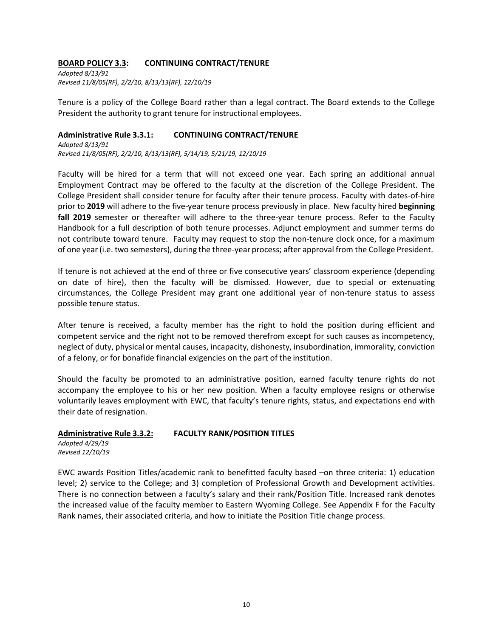#### **BOARD POLICY 3.3: CONTINUING CONTRACT/TENURE**

*Adopted 8/13/91 Revised 11/8/05(RF), 2/2/10, 8/13/13(RF), 12/10/19*

Tenure is a policy of the College Board rather than a legal contract. The Board extends to the College President the authority to grant tenure for instructional employees.

#### **Administrative Rule 3.3.1: CONTINUING CONTRACT/TENURE**

*Adopted 8/13/91 Revised 11/8/05(RF), 2/2/10, 8/13/13(RF), 5/14/19, 5/21/19, 12/10/19*

Faculty will be hired for a term that will not exceed one year. Each spring an additional annual Employment Contract may be offered to the faculty at the discretion of the College President. The College President shall consider tenure for faculty after their tenure process. Faculty with dates-of-hire prior to **2019** will adhere to the five-year tenure process previously in place. New faculty hired **beginning fall 2019** semester or thereafter will adhere to the three-year tenure process. Refer to the Faculty Handbook for a full description of both tenure processes. Adjunct employment and summer terms do not contribute toward tenure. Faculty may request to stop the non-tenure clock once, for a maximum of one year(i.e. two semesters), during the three-year process; after approval from the College President.

If tenure is not achieved at the end of three or five consecutive years' classroom experience (depending on date of hire), then the faculty will be dismissed. However, due to special or extenuating circumstances, the College President may grant one additional year of non-tenure status to assess possible tenure status.

After tenure is received, a faculty member has the right to hold the position during efficient and competent service and the right not to be removed therefrom except for such causes as incompetency, neglect of duty, physical or mental causes, incapacity, dishonesty, insubordination, immorality, conviction of a felony, or for bonafide financial exigencies on the part of the institution.

Should the faculty be promoted to an administrative position, earned faculty tenure rights do not accompany the employee to his or her new position. When a faculty employee resigns or otherwise voluntarily leaves employment with EWC, that faculty's tenure rights, status, and expectations end with their date of resignation.

### **Administrative Rule 3.3.2: FACULTY RANK/POSITION TITLES**

*Adopted 4/29/19 Revised 12/10/19*

EWC awards Position Titles/academic rank to benefitted faculty based –on three criteria: 1) education level; 2) service to the College; and 3) completion of Professional Growth and Development activities. There is no connection between a faculty's salary and their rank/Position Title. Increased rank denotes the increased value of the faculty member to Eastern Wyoming College. See Appendix F for the Faculty Rank names, their associated criteria, and how to initiate the Position Title change process.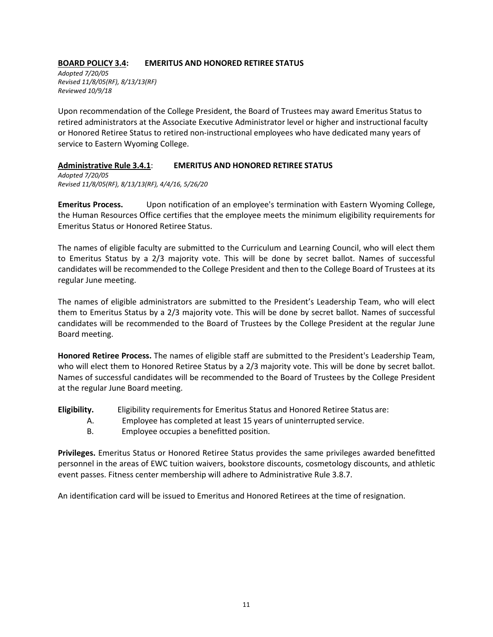### **BOARD POLICY 3.4: EMERITUS AND HONORED RETIREE STATUS**

*Adopted 7/20/05 Revised 11/8/05(RF), 8/13/13(RF) Reviewed 10/9/18*

Upon recommendation of the College President, the Board of Trustees may award Emeritus Status to retired administrators at the Associate Executive Administrator level or higher and instructional faculty or Honored Retiree Status to retired non-instructional employees who have dedicated many years of service to Eastern Wyoming College.

### **Administrative Rule 3.4.1**: **EMERITUS AND HONORED RETIREE STATUS**

*Adopted 7/20/05 Revised 11/8/05(RF), 8/13/13(RF), 4/4/16, 5/26/20*

**Emeritus Process.** Upon notification of an employee's termination with Eastern Wyoming College, the Human Resources Office certifies that the employee meets the minimum eligibility requirements for Emeritus Status or Honored Retiree Status.

The names of eligible faculty are submitted to the Curriculum and Learning Council, who will elect them to Emeritus Status by a 2/3 majority vote. This will be done by secret ballot. Names of successful candidates will be recommended to the College President and then to the College Board of Trustees at its regular June meeting.

The names of eligible administrators are submitted to the President's Leadership Team, who will elect them to Emeritus Status by a 2/3 majority vote. This will be done by secret ballot. Names of successful candidates will be recommended to the Board of Trustees by the College President at the regular June Board meeting.

**Honored Retiree Process.** The names of eligible staff are submitted to the President's Leadership Team, who will elect them to Honored Retiree Status by a 2/3 majority vote. This will be done by secret ballot. Names of successful candidates will be recommended to the Board of Trustees by the College President at the regular June Board meeting.

**Eligibility.** Eligibility requirements for Emeritus Status and Honored Retiree Status are:

- A. Employee has completed at least 15 years of uninterrupted service.
- B. Employee occupies a benefitted position.

**Privileges.** Emeritus Status or Honored Retiree Status provides the same privileges awarded benefitted personnel in the areas of EWC tuition waivers, bookstore discounts, cosmetology discounts, and athletic event passes. Fitness center membership will adhere to Administrative Rule 3.8.7.

An identification card will be issued to Emeritus and Honored Retirees at the time of resignation.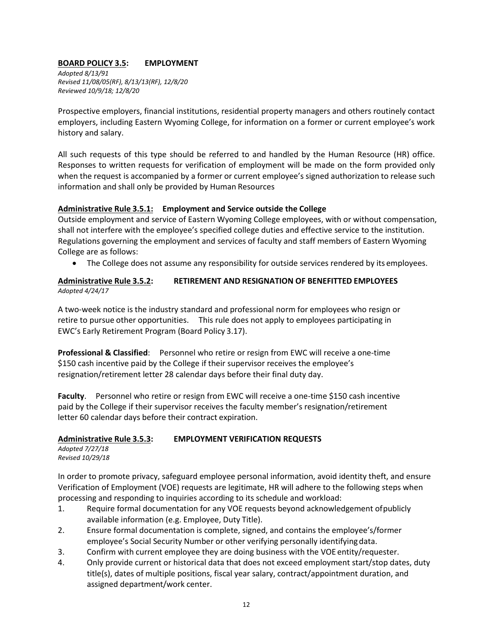# **BOARD POLICY 3.5: EMPLOYMENT**

*Adopted 8/13/91 Revised 11/08/05(RF), 8/13/13(RF), 12/8/20 Reviewed 10/9/18; 12/8/20*

Prospective employers, financial institutions, residential property managers and others routinely contact employers, including Eastern Wyoming College, for information on a former or current employee's work history and salary.

All such requests of this type should be referred to and handled by the Human Resource (HR) office. Responses to written requests for verification of employment will be made on the form provided only when the request is accompanied by a former or current employee's signed authorization to release such information and shall only be provided by Human Resources

### **Administrative Rule 3.5.1: Employment and Service outside the College**

Outside employment and service of Eastern Wyoming College employees, with or without compensation, shall not interfere with the employee's specified college duties and effective service to the institution. Regulations governing the employment and services of faculty and staff members of Eastern Wyoming College are as follows:

• The College does not assume any responsibility for outside services rendered by its employees.

### **Administrative Rule 3.5.2: RETIREMENT AND RESIGNATION OF BENEFITTED EMPLOYEES** *Adopted 4/24/17*

A two-week notice is the industry standard and professional norm for employees who resign or retire to pursue other opportunities. This rule does not apply to employees participating in EWC's Early Retirement Program (Board Policy 3.17).

**Professional & Classified**: Personnel who retire or resign from EWC will receive a one-time \$150 cash incentive paid by the College if their supervisor receives the employee's resignation/retirement letter 28 calendar days before their final duty day.

**Faculty**. Personnel who retire or resign from EWC will receive a one-time \$150 cash incentive paid by the College if their supervisor receives the faculty member's resignation/retirement letter 60 calendar days before their contract expiration.

# **Administrative Rule 3.5.3: EMPLOYMENT VERIFICATION REQUESTS**

*Adopted 7/27/18 Revised 10/29/18*

In order to promote privacy, safeguard employee personal information, avoid identity theft, and ensure Verification of Employment (VOE) requests are legitimate, HR will adhere to the following steps when processing and responding to inquiries according to its schedule and workload:

- 1. Require formal documentation for any VOE requests beyond acknowledgement ofpublicly available information (e.g. Employee, Duty Title).
- 2. Ensure formal documentation is complete, signed, and contains the employee's/former employee's Social Security Number or other verifying personally identifyingdata.
- 3. Confirm with current employee they are doing business with the VOE entity/requester.
- 4. Only provide current or historical data that does not exceed employment start/stop dates, duty title(s), dates of multiple positions, fiscal year salary, contract/appointment duration, and assigned department/work center.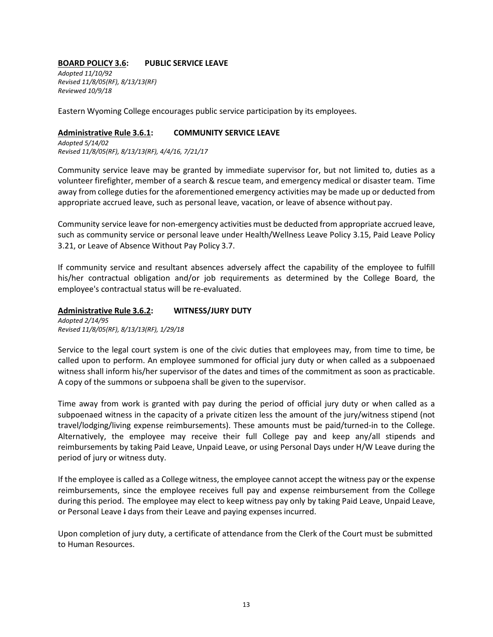#### **BOARD POLICY 3.6: PUBLIC SERVICE LEAVE**

*Adopted 11/10/92 Revised 11/8/05(RF), 8/13/13(RF) Reviewed 10/9/18*

Eastern Wyoming College encourages public service participation by its employees.

#### **Administrative Rule 3.6.1: COMMUNITY SERVICE LEAVE**

*Adopted 5/14/02 Revised 11/8/05(RF), 8/13/13(RF), 4/4/16, 7/21/17*

Community service leave may be granted by immediate supervisor for, but not limited to, duties as a volunteer firefighter, member of a search & rescue team, and emergency medical or disaster team. Time away from college duties for the aforementioned emergency activities may be made up or deducted from appropriate accrued leave, such as personal leave, vacation, or leave of absence without pay.

Community service leave for non-emergency activities must be deducted from appropriate accrued leave, such as community service or personal leave under Health/Wellness Leave Policy 3.15, Paid Leave Policy 3.21, or Leave of Absence Without Pay Policy 3.7.

If community service and resultant absences adversely affect the capability of the employee to fulfill his/her contractual obligation and/or job requirements as determined by the College Board, the employee's contractual status will be re-evaluated.

#### **Administrative Rule 3.6.2: WITNESS/JURY DUTY** *Adopted 2/14/95 Revised 11/8/05(RF), 8/13/13(RF), 1/29/18*

Service to the legal court system is one of the civic duties that employees may, from time to time, be called upon to perform. An employee summoned for official jury duty or when called as a subpoenaed witness shall inform his/her supervisor of the dates and times of the commitment as soon as practicable. A copy of the summons or subpoena shall be given to the supervisor.

Time away from work is granted with pay during the period of official jury duty or when called as a subpoenaed witness in the capacity of a private citizen less the amount of the jury/witness stipend (not travel/lodging/living expense reimbursements). These amounts must be paid/turned-in to the College. Alternatively, the employee may receive their full College pay and keep any/all stipends and reimbursements by taking Paid Leave, Unpaid Leave, or using Personal Days under H/W Leave during the period of jury or witness duty.

If the employee is called as a College witness, the employee cannot accept the witness pay or the expense reimbursements, since the employee receives full pay and expense reimbursement from the College during this period. The employee may elect to keep witness pay only by taking Paid Leave, Unpaid Leave, or Personal Leave l days from their Leave and paying expenses incurred.

Upon completion of jury duty, a certificate of attendance from the Clerk of the Court must be submitted to Human Resources.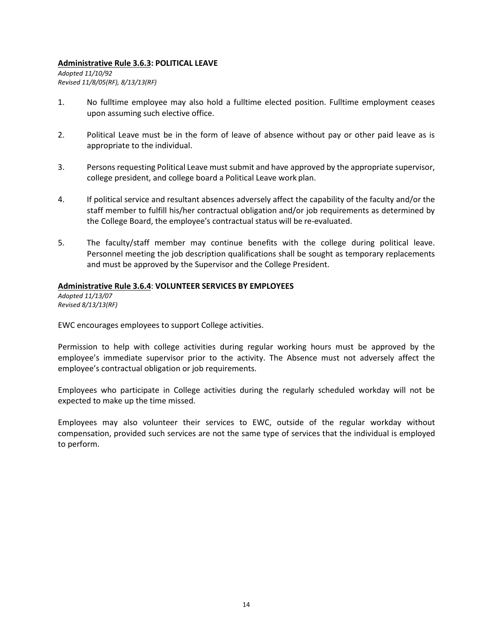#### **Administrative Rule 3.6.3: POLITICAL LEAVE**

*Adopted 11/10/92 Revised 11/8/05(RF), 8/13/13(RF)*

- 1. No fulltime employee may also hold a fulltime elected position. Fulltime employment ceases upon assuming such elective office.
- 2. Political Leave must be in the form of leave of absence without pay or other paid leave as is appropriate to the individual.
- 3. Persons requesting Political Leave must submit and have approved by the appropriate supervisor, college president, and college board a Political Leave work plan.
- 4. If political service and resultant absences adversely affect the capability of the faculty and/or the staff member to fulfill his/her contractual obligation and/or job requirements as determined by the College Board, the employee's contractual status will be re-evaluated.
- 5. The faculty/staff member may continue benefits with the college during political leave. Personnel meeting the job description qualifications shall be sought as temporary replacements and must be approved by the Supervisor and the College President.

#### **Administrative Rule 3.6.4**: **VOLUNTEER SERVICES BY EMPLOYEES**

*Adopted 11/13/07 Revised 8/13/13(RF)*

EWC encourages employees to support College activities.

Permission to help with college activities during regular working hours must be approved by the employee's immediate supervisor prior to the activity. The Absence must not adversely affect the employee's contractual obligation or job requirements.

Employees who participate in College activities during the regularly scheduled workday will not be expected to make up the time missed.

Employees may also volunteer their services to EWC, outside of the regular workday without compensation, provided such services are not the same type of services that the individual is employed to perform.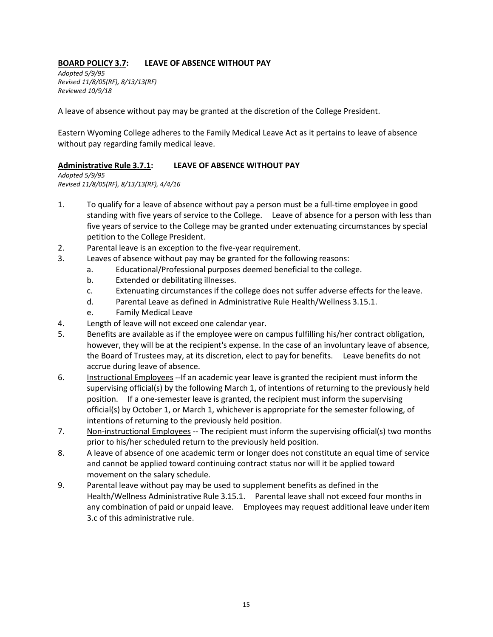# **BOARD POLICY 3.7: LEAVE OF ABSENCE WITHOUT PAY**

*Adopted 5/9/95 Revised 11/8/05(RF), 8/13/13(RF) Reviewed 10/9/18*

A leave of absence without pay may be granted at the discretion of the College President.

Eastern Wyoming College adheres to the Family Medical Leave Act as it pertains to leave of absence without pay regarding family medical leave.

### **Administrative Rule 3.7.1: LEAVE OF ABSENCE WITHOUT PAY**

*Adopted 5/9/95 Revised 11/8/05(RF), 8/13/13(RF), 4/4/16*

- 1. To qualify for a leave of absence without pay a person must be a full-time employee in good standing with five years of service to the College. Leave of absence for a person with less than five years of service to the College may be granted under extenuating circumstances by special petition to the College President.
- 2. Parental leave is an exception to the five-year requirement.
- 3. Leaves of absence without pay may be granted for the following reasons:
	- a. Educational/Professional purposes deemed beneficial to the college.
	- b. Extended or debilitating illnesses.
	- c. Extenuating circumstances if the college does not suffer adverse effects for the leave.
	- d. Parental Leave as defined in Administrative Rule Health/Wellness 3.15.1.
	- e. Family Medical Leave
- 4. Length of leave will not exceed one calendar year.
- 5. Benefits are available as if the employee were on campus fulfilling his/her contract obligation, however, they will be at the recipient's expense. In the case of an involuntary leave of absence, the Board of Trustees may, at its discretion, elect to pay for benefits. Leave benefits do not accrue during leave of absence.
- 6. Instructional Employees --If an academic year leave is granted the recipient must inform the supervising official(s) by the following March 1, of intentions of returning to the previously held position. If a one-semester leave is granted, the recipient must inform the supervising official(s) by October 1, or March 1, whichever is appropriate for the semester following, of intentions of returning to the previously held position.
- 7. Non-instructional Employees -- The recipient must inform the supervising official(s) two months prior to his/her scheduled return to the previously held position.
- 8. A leave of absence of one academic term or longer does not constitute an equal time of service and cannot be applied toward continuing contract status nor will it be applied toward movement on the salary schedule.
- 9. Parental leave without pay may be used to supplement benefits as defined in the Health/Wellness Administrative Rule 3.15.1. Parental leave shall not exceed four months in any combination of paid or unpaid leave. Employees may request additional leave underitem 3.c of this administrative rule.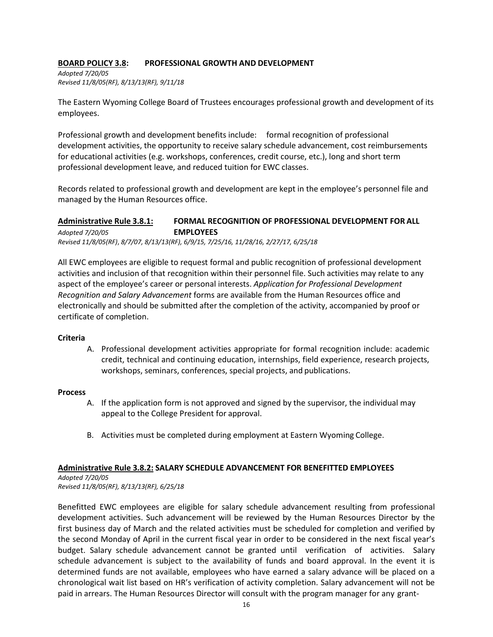### **BOARD POLICY 3.8: PROFESSIONAL GROWTH AND DEVELOPMENT**

*Adopted 7/20/05 Revised 11/8/05(RF), 8/13/13(RF), 9/11/18*

The Eastern Wyoming College Board of Trustees encourages professional growth and development of its employees.

Professional growth and development benefits include: formal recognition of professional development activities, the opportunity to receive salary schedule advancement, cost reimbursements for educational activities (e.g. workshops, conferences, credit course, etc.), long and short term professional development leave, and reduced tuition for EWC classes.

Records related to professional growth and development are kept in the employee's personnel file and managed by the Human Resources office.

# **Administrative Rule 3.8.1: FORMAL RECOGNITION OF PROFESSIONAL DEVELOPMENT FOR ALL** *Adopted 7/20/05* **EMPLOYEES**

*Revised 11/8/05(RF)*, *8/7/07, 8/13/13(RF), 6/9/15, 7/25/16, 11/28/16, 2/27/17, 6/25/18*

All EWC employees are eligible to request formal and public recognition of professional development activities and inclusion of that recognition within their personnel file. Such activities may relate to any aspect of the employee's career or personal interests. *Application for Professional Development Recognition and Salary Advancement* forms are available from the Human Resources office and electronically and should be submitted after the completion of the activity, accompanied by proof or certificate of completion.

### **Criteria**

A. Professional development activities appropriate for formal recognition include: academic credit, technical and continuing education, internships, field experience, research projects, workshops, seminars, conferences, special projects, and publications.

### **Process**

- A. If the application form is not approved and signed by the supervisor, the individual may appeal to the College President for approval.
- B. Activities must be completed during employment at Eastern Wyoming College.

# **Administrative Rule 3.8.2: SALARY SCHEDULE ADVANCEMENT FOR BENEFITTED EMPLOYEES**

*Adopted 7/20/05 Revised 11/8/05(RF), 8/13/13(RF), 6/25/18*

Benefitted EWC employees are eligible for salary schedule advancement resulting from professional development activities. Such advancement will be reviewed by the Human Resources Director by the first business day of March and the related activities must be scheduled for completion and verified by the second Monday of April in the current fiscal year in order to be considered in the next fiscal year's budget. Salary schedule advancement cannot be granted until verification of activities. Salary schedule advancement is subject to the availability of funds and board approval. In the event it is determined funds are not available, employees who have earned a salary advance will be placed on a chronological wait list based on HR's verification of activity completion. Salary advancement will not be paid in arrears. The Human Resources Director will consult with the program manager for any grant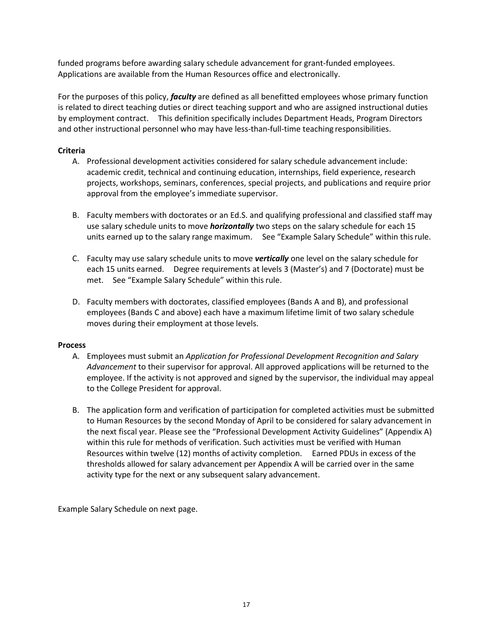funded programs before awarding salary schedule advancement for grant-funded employees. Applications are available from the Human Resources office and electronically.

For the purposes of this policy, *faculty* are defined as all benefitted employees whose primary function is related to direct teaching duties or direct teaching support and who are assigned instructional duties by employment contract. This definition specifically includes Department Heads, Program Directors and other instructional personnel who may have less-than-full-time teaching responsibilities.

### **Criteria**

- A. Professional development activities considered for salary schedule advancement include: academic credit, technical and continuing education, internships, field experience, research projects, workshops, seminars, conferences, special projects, and publications and require prior approval from the employee's immediate supervisor.
- B. Faculty members with doctorates or an Ed.S. and qualifying professional and classified staff may use salary schedule units to move *horizontally* two steps on the salary schedule for each 15 units earned up to the salary range maximum. See "Example Salary Schedule" within thisrule.
- C. Faculty may use salary schedule units to move *vertically* one level on the salary schedule for each 15 units earned. Degree requirements at levels 3 (Master's) and 7 (Doctorate) must be met. See "Example Salary Schedule" within this rule.
- D. Faculty members with doctorates, classified employees (Bands A and B), and professional employees (Bands C and above) each have a maximum lifetime limit of two salary schedule moves during their employment at those levels.

### **Process**

- A. Employees must submit an *Application for Professional Development Recognition and Salary Advancement* to their supervisor for approval. All approved applications will be returned to the employee. If the activity is not approved and signed by the supervisor, the individual may appeal to the College President for approval.
- B. The application form and verification of participation for completed activities must be submitted to Human Resources by the second Monday of April to be considered for salary advancement in the next fiscal year. Please see the "Professional Development Activity Guidelines" (Appendix A) within this rule for methods of verification. Such activities must be verified with Human Resources within twelve (12) months of activity completion. Earned PDUs in excess of the thresholds allowed for salary advancement per Appendix A will be carried over in the same activity type for the next or any subsequent salary advancement.

Example Salary Schedule on next page.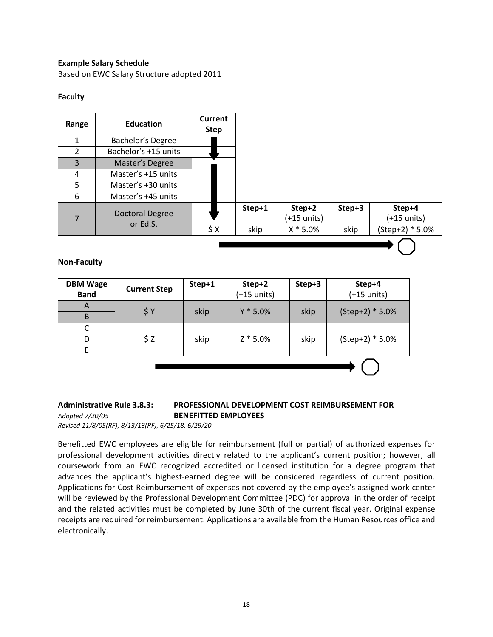### **Example Salary Schedule**

Based on EWC Salary Structure adopted 2011

### **Faculty**



### **Non-Faculty**

| <b>DBM Wage</b><br><b>Band</b> | <b>Current Step</b> | Step+1 | Step+2<br>$(+15$ units) | Step+3 | Step+4<br>$(+15$ units) |
|--------------------------------|---------------------|--------|-------------------------|--------|-------------------------|
| A<br>B                         | \$Y                 | skip   | $Y * 5.0%$              | skip   | $(Step+2) * 5.0\%$      |
| C<br>D                         | \$Z                 | skip   | $Z * 5.0%$              | skip   | $(Step+2) * 5.0\%$      |
| E                              |                     |        |                         |        |                         |
|                                |                     |        |                         |        |                         |

#### **Administrative Rule 3.8.3: PROFESSIONAL DEVELOPMENT COST REIMBURSEMENT FOR** *Adopted 7/20/05* **BENEFITTED EMPLOYEES**

*Revised 11/8/05(RF), 8/13/13(RF), 6/25/18, 6/29/20*

Benefitted EWC employees are eligible for reimbursement (full or partial) of authorized expenses for professional development activities directly related to the applicant's current position; however, all coursework from an EWC recognized accredited or licensed institution for a degree program that advances the applicant's highest-earned degree will be considered regardless of current position. Applications for Cost Reimbursement of expenses not covered by the employee's assigned work center will be reviewed by the Professional Development Committee (PDC) for approval in the order of receipt and the related activities must be completed by June 30th of the current fiscal year. Original expense receipts are required for reimbursement. Applications are available from the Human Resources office and electronically.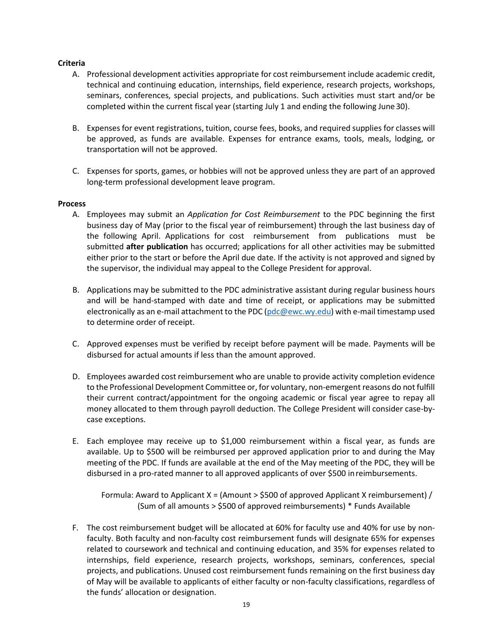### **Criteria**

- A. Professional development activities appropriate for cost reimbursement include academic credit, technical and continuing education, internships, field experience, research projects, workshops, seminars, conferences, special projects, and publications. Such activities must start and/or be completed within the current fiscal year (starting July 1 and ending the following June30).
- B. Expenses for event registrations, tuition, course fees, books, and required supplies for classes will be approved, as funds are available. Expenses for entrance exams, tools, meals, lodging, or transportation will not be approved.
- C. Expenses for sports, games, or hobbies will not be approved unless they are part of an approved long-term professional development leave program.

### **Process**

- A. Employees may submit an *Application for Cost Reimbursement* to the PDC beginning the first business day of May (prior to the fiscal year of reimbursement) through the last business day of the following April. Applications for cost reimbursement from publications must be submitted **after publication** has occurred; applications for all other activities may be submitted either prior to the start or before the April due date. If the activity is not approved and signed by the supervisor, the individual may appeal to the College President for approval.
- B. Applications may be submitted to the PDC administrative assistant during regular business hours and will be hand-stamped with date and time of receipt, or applications may be submitted electronically as an e-mail attachment to the PDC ( $pdc@ewc.wy.edu$ ) with e-mail timestamp used to determine order of receipt.
- C. Approved expenses must be verified by receipt before payment will be made. Payments will be disbursed for actual amounts if less than the amount approved.
- D. Employees awarded cost reimbursement who are unable to provide activity completion evidence to the Professional Development Committee or, for voluntary, non-emergent reasons do not fulfill their current contract/appointment for the ongoing academic or fiscal year agree to repay all money allocated to them through payroll deduction. The College President will consider case-bycase exceptions.
- E. Each employee may receive up to \$1,000 reimbursement within a fiscal year, as funds are available. Up to \$500 will be reimbursed per approved application prior to and during the May meeting of the PDC. If funds are available at the end of the May meeting of the PDC, they will be disbursed in a pro-rated manner to all approved applicants of over \$500 inreimbursements.

Formula: Award to Applicant X = (Amount > \$500 of approved Applicant X reimbursement) / (Sum of all amounts > \$500 of approved reimbursements) \* Funds Available

F. The cost reimbursement budget will be allocated at 60% for faculty use and 40% for use by nonfaculty. Both faculty and non-faculty cost reimbursement funds will designate 65% for expenses related to coursework and technical and continuing education, and 35% for expenses related to internships, field experience, research projects, workshops, seminars, conferences, special projects, and publications. Unused cost reimbursement funds remaining on the first business day of May will be available to applicants of either faculty or non-faculty classifications, regardless of the funds' allocation or designation.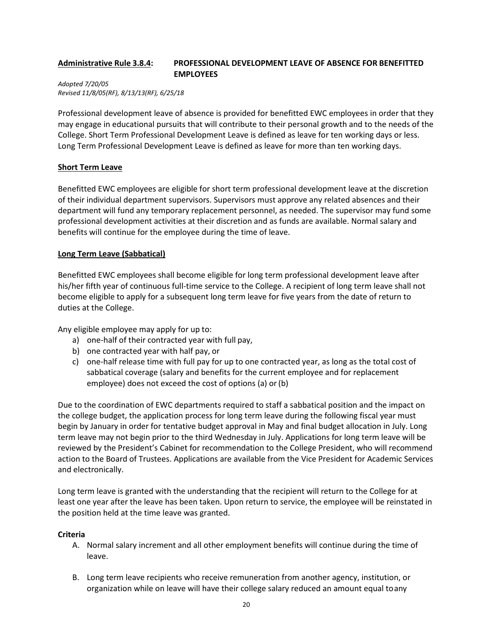### **Administrative Rule 3.8.4: PROFESSIONAL DEVELOPMENT LEAVE OF ABSENCE FOR BENEFITTED EMPLOYEES**

*Adopted 7/20/05 Revised 11/8/05(RF), 8/13/13(RF), 6/25/18*

Professional development leave of absence is provided for benefitted EWC employees in order that they may engage in educational pursuits that will contribute to their personal growth and to the needs of the College. Short Term Professional Development Leave is defined as leave for ten working days or less. Long Term Professional Development Leave is defined as leave for more than ten working days.

### **Short Term Leave**

Benefitted EWC employees are eligible for short term professional development leave at the discretion of their individual department supervisors. Supervisors must approve any related absences and their department will fund any temporary replacement personnel, as needed. The supervisor may fund some professional development activities at their discretion and as funds are available. Normal salary and benefits will continue for the employee during the time of leave.

### **Long Term Leave (Sabbatical)**

Benefitted EWC employees shall become eligible for long term professional development leave after his/her fifth year of continuous full-time service to the College. A recipient of long term leave shall not become eligible to apply for a subsequent long term leave for five years from the date of return to duties at the College.

Any eligible employee may apply for up to:

- a) one-half of their contracted year with full pay,
- b) one contracted year with half pay, or
- c) one-half release time with full pay for up to one contracted year, as long as the total cost of sabbatical coverage (salary and benefits for the current employee and for replacement employee) does not exceed the cost of options (a) or(b)

Due to the coordination of EWC departments required to staff a sabbatical position and the impact on the college budget, the application process for long term leave during the following fiscal year must begin by January in order for tentative budget approval in May and final budget allocation in July. Long term leave may not begin prior to the third Wednesday in July. Applications for long term leave will be reviewed by the President's Cabinet for recommendation to the College President, who will recommend action to the Board of Trustees. Applications are available from the Vice President for Academic Services and electronically.

Long term leave is granted with the understanding that the recipient will return to the College for at least one year after the leave has been taken. Upon return to service, the employee will be reinstated in the position held at the time leave was granted.

### **Criteria**

- A. Normal salary increment and all other employment benefits will continue during the time of leave.
- B. Long term leave recipients who receive remuneration from another agency, institution, or organization while on leave will have their college salary reduced an amount equal toany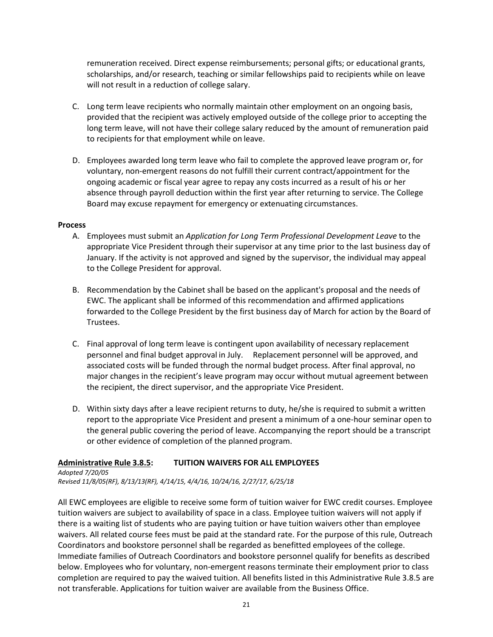remuneration received. Direct expense reimbursements; personal gifts; or educational grants, scholarships, and/or research, teaching or similar fellowships paid to recipients while on leave will not result in a reduction of college salary.

- C. Long term leave recipients who normally maintain other employment on an ongoing basis, provided that the recipient was actively employed outside of the college prior to accepting the long term leave, will not have their college salary reduced by the amount of remuneration paid to recipients for that employment while on leave.
- D. Employees awarded long term leave who fail to complete the approved leave program or, for voluntary, non-emergent reasons do not fulfill their current contract/appointment for the ongoing academic or fiscal year agree to repay any costs incurred as a result of his or her absence through payroll deduction within the first year after returning to service. The College Board may excuse repayment for emergency or extenuating circumstances.

#### **Process**

- A. Employees must submit an *Application for Long Term Professional Development Leave* to the appropriate Vice President through their supervisor at any time prior to the last business day of January. If the activity is not approved and signed by the supervisor, the individual may appeal to the College President for approval.
- B. Recommendation by the Cabinet shall be based on the applicant's proposal and the needs of EWC. The applicant shall be informed of this recommendation and affirmed applications forwarded to the College President by the first business day of March for action by the Board of Trustees.
- C. Final approval of long term leave is contingent upon availability of necessary replacement personnel and final budget approval in July. Replacement personnel will be approved, and associated costs will be funded through the normal budget process. After final approval, no major changes in the recipient's leave program may occur without mutual agreement between the recipient, the direct supervisor, and the appropriate Vice President.
- D. Within sixty days after a leave recipient returns to duty, he/she is required to submit a written report to the appropriate Vice President and present a minimum of a one-hour seminar open to the general public covering the period of leave. Accompanying the report should be a transcript or other evidence of completion of the planned program.

### **Administrative Rule 3.8.5: TUITION WAIVERS FOR ALL EMPLOYEES**

*Adopted 7/20/05 Revised 11/8/05(RF), 8/13/13(RF), 4/14/15, 4/4/16, 10/24/16, 2/27/17, 6/25/18*

All EWC employees are eligible to receive some form of tuition waiver for EWC credit courses. Employee tuition waivers are subject to availability of space in a class. Employee tuition waivers will not apply if there is a waiting list of students who are paying tuition or have tuition waivers other than employee waivers. All related course fees must be paid at the standard rate. For the purpose of this rule, Outreach Coordinators and bookstore personnel shall be regarded as benefitted employees of the college. Immediate families of Outreach Coordinators and bookstore personnel qualify for benefits as described below. Employees who for voluntary, non-emergent reasons terminate their employment prior to class completion are required to pay the waived tuition. All benefits listed in this Administrative Rule 3.8.5 are not transferable. Applications for tuition waiver are available from the Business Office.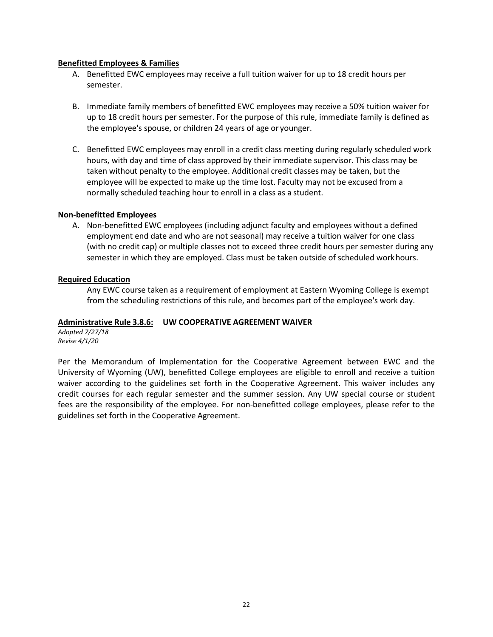#### **Benefitted Employees & Families**

- A. Benefitted EWC employees may receive a full tuition waiver for up to 18 credit hours per semester.
- B. Immediate family members of benefitted EWC employees may receive a 50% tuition waiver for up to 18 credit hours per semester. For the purpose of this rule, immediate family is defined as the employee's spouse, or children 24 years of age or younger.
- C. Benefitted EWC employees may enroll in a credit class meeting during regularly scheduled work hours, with day and time of class approved by their immediate supervisor. This class may be taken without penalty to the employee. Additional credit classes may be taken, but the employee will be expected to make up the time lost. Faculty may not be excused from a normally scheduled teaching hour to enroll in a class as a student.

#### **Non-benefitted Employees**

A. Non-benefitted EWC employees (including adjunct faculty and employees without a defined employment end date and who are not seasonal) may receive a tuition waiver for one class (with no credit cap) or multiple classes not to exceed three credit hours per semester during any semester in which they are employed. Class must be taken outside of scheduled workhours.

#### **Required Education**

Any EWC course taken as a requirement of employment at Eastern Wyoming College is exempt from the scheduling restrictions of this rule, and becomes part of the employee's work day.

### **Administrative Rule 3.8.6: UW COOPERATIVE AGREEMENT WAIVER**

*Adopted 7/27/18 Revise 4/1/20*

Per the Memorandum of Implementation for the Cooperative Agreement between EWC and the University of Wyoming (UW), benefitted College employees are eligible to enroll and receive a tuition waiver according to the guidelines set forth in the Cooperative Agreement. This waiver includes any credit courses for each regular semester and the summer session. Any UW special course or student fees are the responsibility of the employee. For non-benefitted college employees, please refer to the guidelines set forth in the Cooperative Agreement.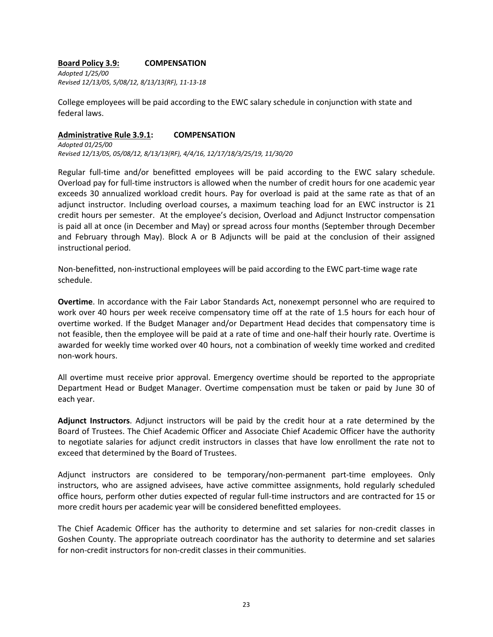#### **Board Policy 3.9: COMPENSATION**

*Adopted 1/25/00 Revised 12/13/05, 5/08/12, 8/13/13(RF), 11-13-18*

College employees will be paid according to the EWC salary schedule in conjunction with state and federal laws.

# **Administrative Rule 3.9.1: COMPENSATION**

*Adopted 01/25/00 Revised 12/13/05, 05/08/12, 8/13/13(RF), 4/4/16, 12/17/18/3/25/19, 11/30/20*

Regular full-time and/or benefitted employees will be paid according to the EWC salary schedule. Overload pay for full-time instructors is allowed when the number of credit hours for one academic year exceeds 30 annualized workload credit hours. Pay for overload is paid at the same rate as that of an adjunct instructor. Including overload courses, a maximum teaching load for an EWC instructor is 21 credit hours per semester. At the employee's decision, Overload and Adjunct Instructor compensation is paid all at once (in December and May) or spread across four months (September through December and February through May). Block A or B Adjuncts will be paid at the conclusion of their assigned instructional period.

Non-benefitted, non-instructional employees will be paid according to the EWC part-time wage rate schedule.

**Overtime**. In accordance with the Fair Labor Standards Act, nonexempt personnel who are required to work over 40 hours per week receive compensatory time off at the rate of 1.5 hours for each hour of overtime worked. If the Budget Manager and/or Department Head decides that compensatory time is not feasible, then the employee will be paid at a rate of time and one-half their hourly rate. Overtime is awarded for weekly time worked over 40 hours, not a combination of weekly time worked and credited non-work hours.

All overtime must receive prior approval. Emergency overtime should be reported to the appropriate Department Head or Budget Manager. Overtime compensation must be taken or paid by June 30 of each year.

**Adjunct Instructors**. Adjunct instructors will be paid by the credit hour at a rate determined by the Board of Trustees. The Chief Academic Officer and Associate Chief Academic Officer have the authority to negotiate salaries for adjunct credit instructors in classes that have low enrollment the rate not to exceed that determined by the Board of Trustees.

Adjunct instructors are considered to be temporary/non-permanent part-time employees. Only instructors, who are assigned advisees, have active committee assignments, hold regularly scheduled office hours, perform other duties expected of regular full-time instructors and are contracted for 15 or more credit hours per academic year will be considered benefitted employees.

The Chief Academic Officer has the authority to determine and set salaries for non-credit classes in Goshen County. The appropriate outreach coordinator has the authority to determine and set salaries for non-credit instructors for non-credit classes in their communities.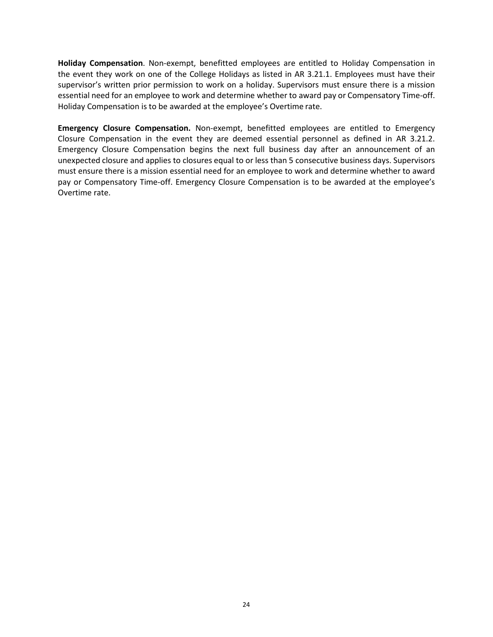**Holiday Compensation**. Non-exempt, benefitted employees are entitled to Holiday Compensation in the event they work on one of the College Holidays as listed in AR 3.21.1. Employees must have their supervisor's written prior permission to work on a holiday. Supervisors must ensure there is a mission essential need for an employee to work and determine whether to award pay or Compensatory Time-off. Holiday Compensation is to be awarded at the employee's Overtime rate.

**Emergency Closure Compensation.** Non-exempt, benefitted employees are entitled to Emergency Closure Compensation in the event they are deemed essential personnel as defined in AR 3.21.2. Emergency Closure Compensation begins the next full business day after an announcement of an unexpected closure and applies to closures equal to or less than 5 consecutive business days. Supervisors must ensure there is a mission essential need for an employee to work and determine whether to award pay or Compensatory Time-off. Emergency Closure Compensation is to be awarded at the employee's Overtime rate.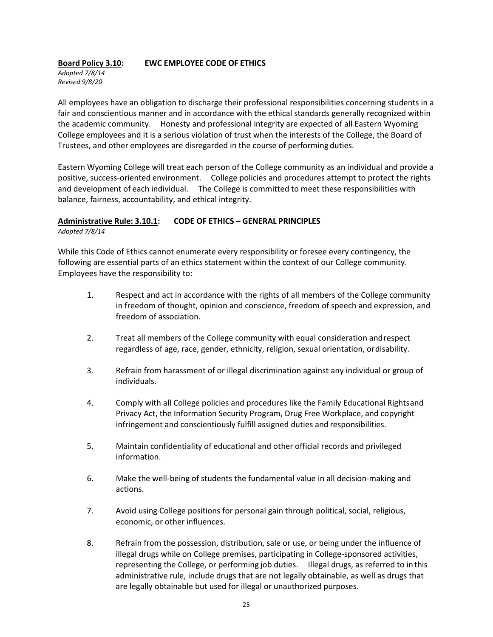#### **Board Policy 3.10: EWC EMPLOYEE CODE OF ETHICS** *Adopted 7/8/14 Revised 9/8/20*

All employees have an obligation to discharge their professional responsibilities concerning students in a fair and conscientious manner and in accordance with the ethical standards generally recognized within the academic community. Honesty and professional integrity are expected of all Eastern Wyoming College employees and it is a serious violation of trust when the interests of the College, the Board of Trustees, and other employees are disregarded in the course of performing duties.

Eastern Wyoming College will treat each person of the College community as an individual and provide a positive, success-oriented environment. College policies and procedures attempt to protect the rights and development of each individual. The College is committed to meet these responsibilities with balance, fairness, accountability, and ethical integrity.

# **Administrative Rule: 3.10.1: CODE OF ETHICS – GENERAL PRINCIPLES**

*Adopted 7/8/14*

While this Code of Ethics cannot enumerate every responsibility or foresee every contingency, the following are essential parts of an ethics statement within the context of our College community. Employees have the responsibility to:

- 1. Respect and act in accordance with the rights of all members of the College community in freedom of thought, opinion and conscience, freedom of speech and expression, and freedom of association.
- 2. Treat all members of the College community with equal consideration andrespect regardless of age, race, gender, ethnicity, religion, sexual orientation, ordisability.
- 3. Refrain from harassment of or illegal discrimination against any individual or group of individuals.
- 4. Comply with all College policies and procedures like the Family Educational Rightsand Privacy Act, the Information Security Program, Drug Free Workplace, and copyright infringement and conscientiously fulfill assigned duties and responsibilities.
- 5. Maintain confidentiality of educational and other official records and privileged information.
- 6. Make the well-being of students the fundamental value in all decision-making and actions.
- 7. Avoid using College positions for personal gain through political, social, religious, economic, or other influences.
- 8. Refrain from the possession, distribution, sale or use, or being under the influence of illegal drugs while on College premises, participating in College-sponsored activities, representing the College, or performing job duties. Illegal drugs, as referred to in this administrative rule, include drugs that are not legally obtainable, as well as drugs that are legally obtainable but used for illegal or unauthorized purposes.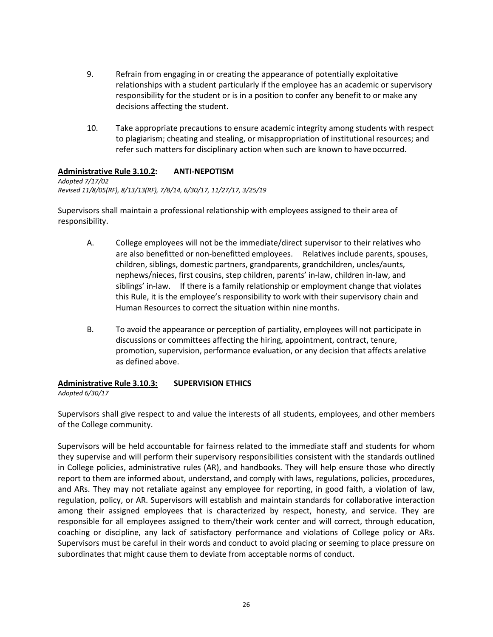- 9. Refrain from engaging in or creating the appearance of potentially exploitative relationships with a student particularly if the employee has an academic or supervisory responsibility for the student or is in a position to confer any benefit to or make any decisions affecting the student.
- 10. Take appropriate precautions to ensure academic integrity among students with respect to plagiarism; cheating and stealing, or misappropriation of institutional resources; and refer such matters for disciplinary action when such are known to have occurred.

### **Administrative Rule 3.10.2: ANTI-NEPOTISM**

*Adopted 7/17/02 Revised 11/8/05(RF), 8/13/13(RF), 7/8/14, 6/30/17, 11/27/17, 3/25/19*

Supervisors shall maintain a professional relationship with employees assigned to their area of responsibility.

- A. College employees will not be the immediate/direct supervisor to their relatives who are also benefitted or non-benefitted employees. Relatives include parents, spouses, children, siblings, domestic partners, grandparents, grandchildren, uncles/aunts, nephews/nieces, first cousins, step children, parents' in-law, children in-law, and siblings' in-law. If there is a family relationship or employment change that violates this Rule, it is the employee's responsibility to work with their supervisory chain and Human Resources to correct the situation within nine months.
- B. To avoid the appearance or perception of partiality, employees will not participate in discussions or committees affecting the hiring, appointment, contract, tenure, promotion, supervision, performance evaluation, or any decision that affects arelative as defined above.

# **Administrative Rule 3.10.3: SUPERVISION ETHICS**

*Adopted 6/30/17*

Supervisors shall give respect to and value the interests of all students, employees, and other members of the College community.

Supervisors will be held accountable for fairness related to the immediate staff and students for whom they supervise and will perform their supervisory responsibilities consistent with the standards outlined in College policies, administrative rules (AR), and handbooks. They will help ensure those who directly report to them are informed about, understand, and comply with laws, regulations, policies, procedures, and ARs. They may not retaliate against any employee for reporting, in good faith, a violation of law, regulation, policy, or AR. Supervisors will establish and maintain standards for collaborative interaction among their assigned employees that is characterized by respect, honesty, and service. They are responsible for all employees assigned to them/their work center and will correct, through education, coaching or discipline, any lack of satisfactory performance and violations of College policy or ARs. Supervisors must be careful in their words and conduct to avoid placing or seeming to place pressure on subordinates that might cause them to deviate from acceptable norms of conduct.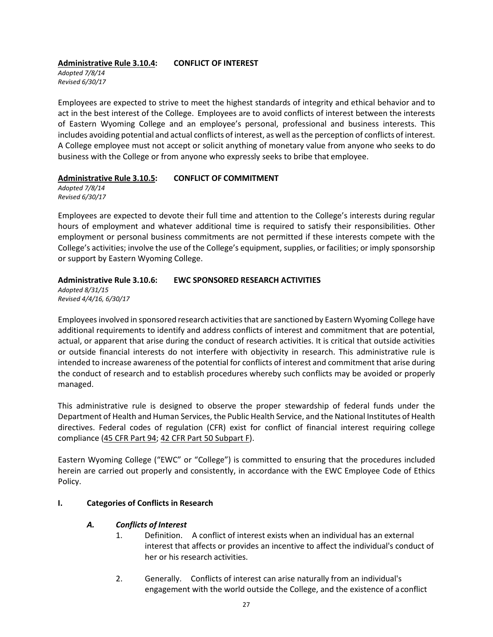### **Administrative Rule 3.10.4: CONFLICT OF INTEREST**

*Adopted 7/8/14 Revised 6/30/17*

Employees are expected to strive to meet the highest standards of integrity and ethical behavior and to act in the best interest of the College. Employees are to avoid conflicts of interest between the interests of Eastern Wyoming College and an employee's personal, professional and business interests. This includes avoiding potential and actual conflicts of interest, as well asthe perception of conflicts of interest. A College employee must not accept or solicit anything of monetary value from anyone who seeks to do business with the College or from anyone who expressly seeks to bribe that employee.

### **Administrative Rule 3.10.5: CONFLICT OF COMMITMENT**

*Adopted 7/8/14 Revised 6/30/17*

Employees are expected to devote their full time and attention to the College's interests during regular hours of employment and whatever additional time is required to satisfy their responsibilities. Other employment or personal business commitments are not permitted if these interests compete with the College's activities; involve the use of the College's equipment, supplies, or facilities; or imply sponsorship or support by Eastern Wyoming College.

# **Administrative Rule 3.10.6: EWC SPONSORED RESEARCH ACTIVITIES**

*Adopted 8/31/15 Revised 4/4/16, 6/30/17*

Employeesinvolved in sponsored research activitiesthat are sanctioned by Eastern Wyoming College have additional requirements to identify and address conflicts of interest and commitment that are potential, actual, or apparent that arise during the conduct of research activities. It is critical that outside activities or outside financial interests do not interfere with objectivity in research. This administrative rule is intended to increase awareness of the potential for conflicts of interest and commitment that arise during the conduct of research and to establish procedures whereby such conflicts may be avoided or properly managed.

This administrative rule is designed to observe the proper stewardship of federal funds under the Department of Health and Human Services, the Public Health Service, and the National Institutes of Health directives. Federal codes of regulation (CFR) exist for conflict of financial interest requiring college compliance (45 CFR Part 94; 42 CFR Part 50 Subpart F).

Eastern Wyoming College ("EWC" or "College") is committed to ensuring that the procedures included herein are carried out properly and consistently, in accordance with the EWC Employee Code of Ethics Policy.

# **I. Categories of Conflicts in Research**

# *A. Conflicts of Interest*

- 1. Definition. A conflict of interest exists when an individual has an external interest that affects or provides an incentive to affect the individual's conduct of her or his research activities.
- 2. Generally. Conflicts of interest can arise naturally from an individual's engagement with the world outside the College, and the existence of aconflict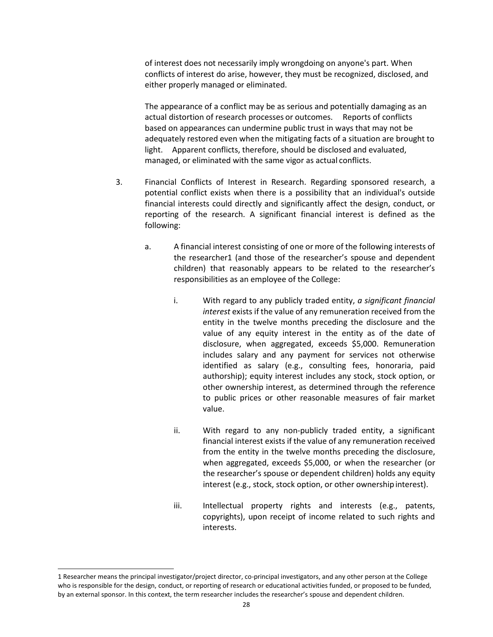of interest does not necessarily imply wrongdoing on anyone's part. When conflicts of interest do arise, however, they must be recognized, disclosed, and either properly managed or eliminated.

The appearance of a conflict may be as serious and potentially damaging as an actual distortion of research processes or outcomes. Reports of conflicts based on appearances can undermine public trust in ways that may not be adequately restored even when the mitigating facts of a situation are brought to light. Apparent conflicts, therefore, should be disclosed and evaluated, managed, or eliminated with the same vigor as actual conflicts.

- 3. Financial Conflicts of Interest in Research. Regarding sponsored research, a potential conflict exists when there is a possibility that an individual's outside financial interests could directly and significantly affect the design, conduct, or reporting of the research. A significant financial interest is defined as the following:
	- a. A financial interest consisting of one or more of the following interests of the researche[r1](#page-27-0) (and those of the researcher's spouse and dependent children) that reasonably appears to be related to the researcher's responsibilities as an employee of the College:
		- i. With regard to any publicly traded entity, *a significant financial interest* exists if the value of any remuneration received from the entity in the twelve months preceding the disclosure and the value of any equity interest in the entity as of the date of disclosure, when aggregated, exceeds \$5,000. Remuneration includes salary and any payment for services not otherwise identified as salary (e.g., consulting fees, honoraria, paid authorship); equity interest includes any stock, stock option, or other ownership interest, as determined through the reference to public prices or other reasonable measures of fair market value.
		- ii. With regard to any non-publicly traded entity, a significant financial interest exists if the value of any remuneration received from the entity in the twelve months preceding the disclosure, when aggregated, exceeds \$5,000, or when the researcher (or the researcher's spouse or dependent children) holds any equity interest (e.g., stock, stock option, or other ownership interest).
		- iii. Intellectual property rights and interests (e.g., patents, copyrights), upon receipt of income related to such rights and interests.

<span id="page-27-0"></span><sup>1</sup> Researcher means the principal investigator/project director, co-principal investigators, and any other person at the College who is responsible for the design, conduct, or reporting of research or educational activities funded, or proposed to be funded, by an external sponsor. In this context, the term researcher includes the researcher's spouse and dependent children.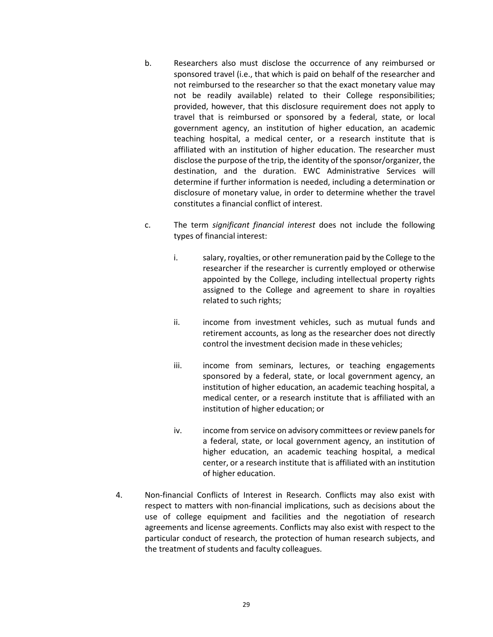- b. Researchers also must disclose the occurrence of any reimbursed or sponsored travel (i.e., that which is paid on behalf of the researcher and not reimbursed to the researcher so that the exact monetary value may not be readily available) related to their College responsibilities; provided, however, that this disclosure requirement does not apply to travel that is reimbursed or sponsored by a federal, state, or local government agency, an institution of higher education, an academic teaching hospital, a medical center, or a research institute that is affiliated with an institution of higher education. The researcher must disclose the purpose of the trip, the identity of the sponsor/organizer, the destination, and the duration. EWC Administrative Services will determine if further information is needed, including a determination or disclosure of monetary value, in order to determine whether the travel constitutes a financial conflict of interest.
- c. The term *significant financial interest* does not include the following types of financial interest:
	- i. salary, royalties, or other remuneration paid by the College to the researcher if the researcher is currently employed or otherwise appointed by the College, including intellectual property rights assigned to the College and agreement to share in royalties related to such rights;
	- ii. income from investment vehicles, such as mutual funds and retirement accounts, as long as the researcher does not directly control the investment decision made in these vehicles;
	- iii. income from seminars, lectures, or teaching engagements sponsored by a federal, state, or local government agency, an institution of higher education, an academic teaching hospital, a medical center, or a research institute that is affiliated with an institution of higher education; or
	- iv. income from service on advisory committees or review panels for a federal, state, or local government agency, an institution of higher education, an academic teaching hospital, a medical center, or a research institute that is affiliated with an institution of higher education.
- 4. Non-financial Conflicts of Interest in Research. Conflicts may also exist with respect to matters with non-financial implications, such as decisions about the use of college equipment and facilities and the negotiation of research agreements and license agreements. Conflicts may also exist with respect to the particular conduct of research, the protection of human research subjects, and the treatment of students and faculty colleagues.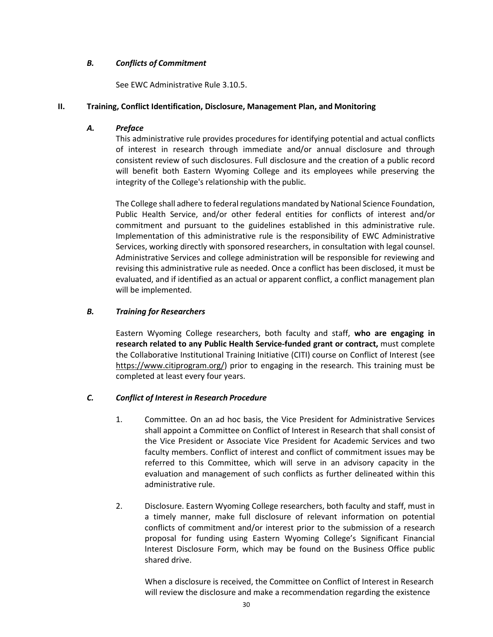### *B. Conflicts of Commitment*

See EWC Administrative Rule 3.10.5.

# **II. Training, Conflict Identification, Disclosure, Management Plan, and Monitoring**

### *A. Preface*

This administrative rule provides procedures for identifying potential and actual conflicts of interest in research through immediate and/or annual disclosure and through consistent review of such disclosures. Full disclosure and the creation of a public record will benefit both Eastern Wyoming College and its employees while preserving the integrity of the College's relationship with the public.

The College shall adhere to federal regulations mandated by National Science Foundation, Public Health Service, and/or other federal entities for conflicts of interest and/or commitment and pursuant to the guidelines established in this administrative rule. Implementation of this administrative rule is the responsibility of EWC Administrative Services, working directly with sponsored researchers, in consultation with legal counsel. Administrative Services and college administration will be responsible for reviewing and revising this administrative rule as needed. Once a conflict has been disclosed, it must be evaluated, and if identified as an actual or apparent conflict, a conflict management plan will be implemented.

### *B. Training for Researchers*

Eastern Wyoming College researchers, both faculty and staff, **who are engaging in research related to any Public Health Service-funded grant or contract,** must complete the Collaborative Institutional Training Initiative (CITI) course on Conflict of Interest (see https:/[/www.citiprogram.org/\) p](http://www.citiprogram.org/))rior to engaging in the research. This training must be completed at least every four years.

# *C. Conflict of Interest in Research Procedure*

- 1. Committee. On an ad hoc basis, the Vice President for Administrative Services shall appoint a Committee on Conflict of Interest in Research that shall consist of the Vice President or Associate Vice President for Academic Services and two faculty members. Conflict of interest and conflict of commitment issues may be referred to this Committee, which will serve in an advisory capacity in the evaluation and management of such conflicts as further delineated within this administrative rule.
- 2. Disclosure. Eastern Wyoming College researchers, both faculty and staff, must in a timely manner, make full disclosure of relevant information on potential conflicts of commitment and/or interest prior to the submission of a research proposal for funding using Eastern Wyoming College's Significant Financial Interest Disclosure Form, which may be found on the Business Office public shared drive.

When a disclosure is received, the Committee on Conflict of Interest in Research will review the disclosure and make a recommendation regarding the existence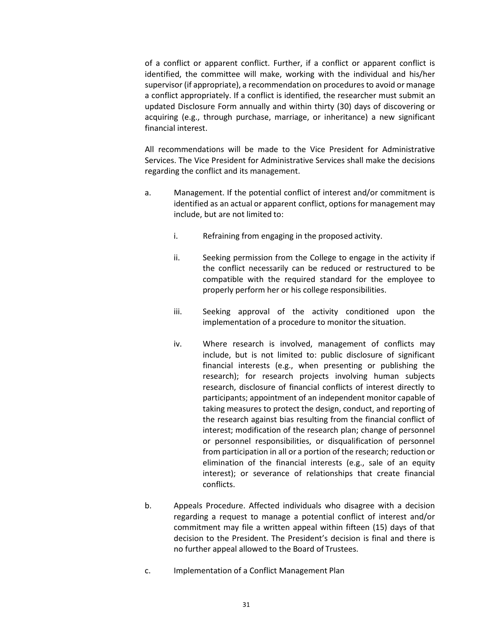of a conflict or apparent conflict. Further, if a conflict or apparent conflict is identified, the committee will make, working with the individual and his/her supervisor (if appropriate), a recommendation on procedures to avoid or manage a conflict appropriately. If a conflict is identified, the researcher must submit an updated Disclosure Form annually and within thirty (30) days of discovering or acquiring (e.g., through purchase, marriage, or inheritance) a new significant financial interest.

All recommendations will be made to the Vice President for Administrative Services. The Vice President for Administrative Services shall make the decisions regarding the conflict and its management.

- a. Management. If the potential conflict of interest and/or commitment is identified as an actual or apparent conflict, options for management may include, but are not limited to:
	- i. Refraining from engaging in the proposed activity.
	- ii. Seeking permission from the College to engage in the activity if the conflict necessarily can be reduced or restructured to be compatible with the required standard for the employee to properly perform her or his college responsibilities.
	- iii. Seeking approval of the activity conditioned upon the implementation of a procedure to monitor the situation.
	- iv. Where research is involved, management of conflicts may include, but is not limited to: public disclosure of significant financial interests (e.g., when presenting or publishing the research); for research projects involving human subjects research, disclosure of financial conflicts of interest directly to participants; appointment of an independent monitor capable of taking measures to protect the design, conduct, and reporting of the research against bias resulting from the financial conflict of interest; modification of the research plan; change of personnel or personnel responsibilities, or disqualification of personnel from participation in all or a portion of the research; reduction or elimination of the financial interests (e.g., sale of an equity interest); or severance of relationships that create financial conflicts.
- b. Appeals Procedure. Affected individuals who disagree with a decision regarding a request to manage a potential conflict of interest and/or commitment may file a written appeal within fifteen (15) days of that decision to the President. The President's decision is final and there is no further appeal allowed to the Board of Trustees.
- c. Implementation of a Conflict Management Plan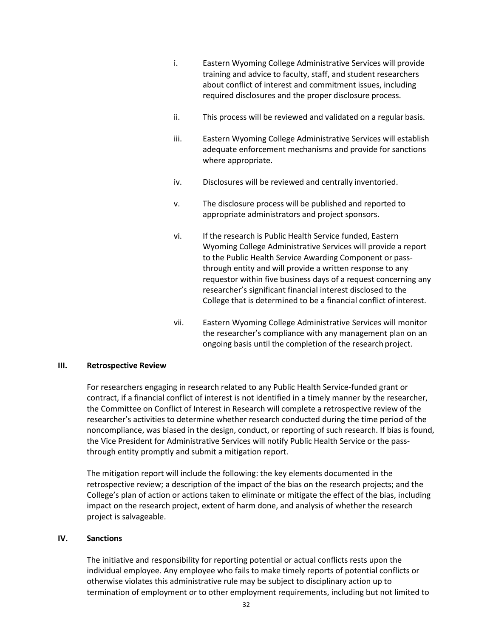- i. Eastern Wyoming College Administrative Services will provide training and advice to faculty, staff, and student researchers about conflict of interest and commitment issues, including required disclosures and the proper disclosure process.
- ii. This process will be reviewed and validated on a regular basis.
- iii. Eastern Wyoming College Administrative Services will establish adequate enforcement mechanisms and provide for sanctions where appropriate.
- iv. Disclosures will be reviewed and centrally inventoried.
- v. The disclosure process will be published and reported to appropriate administrators and project sponsors.
- vi. If the research is Public Health Service funded, Eastern Wyoming College Administrative Services will provide a report to the Public Health Service Awarding Component or passthrough entity and will provide a written response to any requestor within five business days of a request concerning any researcher's significant financial interest disclosed to the College that is determined to be a financial conflict ofinterest.
- vii. Eastern Wyoming College Administrative Services will monitor the researcher's compliance with any management plan on an ongoing basis until the completion of the research project.

#### **III. Retrospective Review**

For researchers engaging in research related to any Public Health Service-funded grant or contract, if a financial conflict of interest is not identified in a timely manner by the researcher, the Committee on Conflict of Interest in Research will complete a retrospective review of the researcher's activities to determine whether research conducted during the time period of the noncompliance, was biased in the design, conduct, or reporting of such research. If bias is found, the Vice President for Administrative Services will notify Public Health Service or the passthrough entity promptly and submit a mitigation report.

The mitigation report will include the following: the key elements documented in the retrospective review; a description of the impact of the bias on the research projects; and the College's plan of action or actions taken to eliminate or mitigate the effect of the bias, including impact on the research project, extent of harm done, and analysis of whether the research project is salvageable.

#### **IV. Sanctions**

The initiative and responsibility for reporting potential or actual conflicts rests upon the individual employee. Any employee who fails to make timely reports of potential conflicts or otherwise violates this administrative rule may be subject to disciplinary action up to termination of employment or to other employment requirements, including but not limited to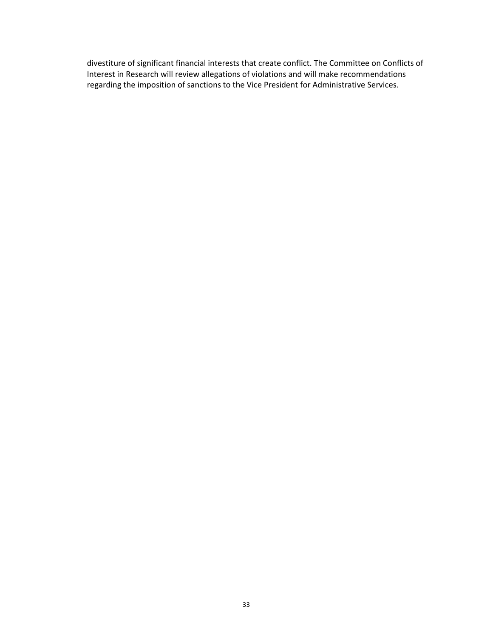divestiture of significant financial interests that create conflict. The Committee on Conflicts of Interest in Research will review allegations of violations and will make recommendations regarding the imposition of sanctions to the Vice President for Administrative Services.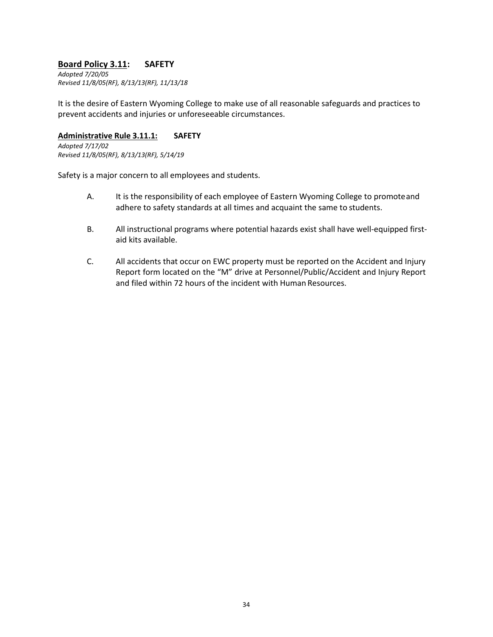# **Board Policy 3.11: SAFETY**

*Adopted 7/20/05 Revised 11/8/05(RF), 8/13/13(RF), 11/13/18*

It is the desire of Eastern Wyoming College to make use of all reasonable safeguards and practices to prevent accidents and injuries or unforeseeable circumstances.

#### **Administrative Rule 3.11.1: SAFETY**

*Adopted 7/17/02 Revised 11/8/05(RF), 8/13/13(RF), 5/14/19*

Safety is a major concern to all employees and students.

- A. It is the responsibility of each employee of Eastern Wyoming College to promoteand adhere to safety standards at all times and acquaint the same to students.
- B. All instructional programs where potential hazards exist shall have well-equipped firstaid kits available.
- C. All accidents that occur on EWC property must be reported on the Accident and Injury Report form located on the "M" drive at Personnel/Public/Accident and Injury Report and filed within 72 hours of the incident with Human Resources.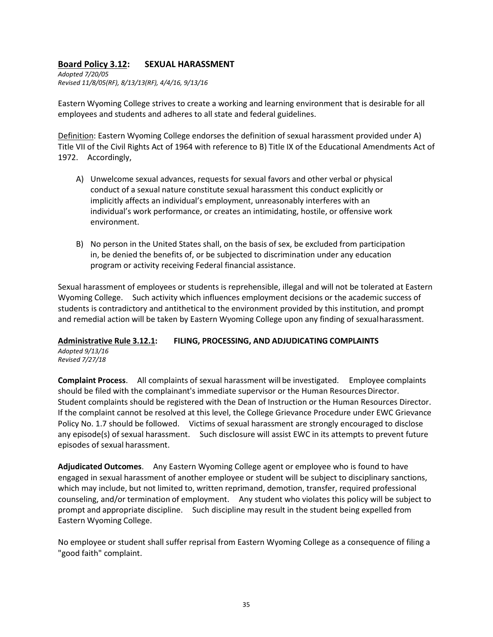# **Board Policy 3.12: SEXUAL HARASSMENT**

*Adopted 7/20/05 Revised 11/8/05(RF), 8/13/13(RF), 4/4/16, 9/13/16*

Eastern Wyoming College strives to create a working and learning environment that is desirable for all employees and students and adheres to all state and federal guidelines.

Definition: Eastern Wyoming College endorses the definition of sexual harassment provided under A) Title VII of the Civil Rights Act of 1964 with reference to B) Title IX of the Educational Amendments Act of 1972. Accordingly,

- A) Unwelcome sexual advances, requests for sexual favors and other verbal or physical conduct of a sexual nature constitute sexual harassment this conduct explicitly or implicitly affects an individual's employment, unreasonably interferes with an individual's work performance, or creates an intimidating, hostile, or offensive work environment.
- B) No person in the United States shall, on the basis of sex, be excluded from participation in, be denied the benefits of, or be subjected to discrimination under any education program or activity receiving Federal financial assistance.

Sexual harassment of employees or students is reprehensible, illegal and will not be tolerated at Eastern Wyoming College. Such activity which influences employment decisions or the academic success of students is contradictory and antithetical to the environment provided by this institution, and prompt and remedial action will be taken by Eastern Wyoming College upon any finding of sexualharassment.

### **Administrative Rule 3.12.1: FILING, PROCESSING, AND ADJUDICATING COMPLAINTS**

*Adopted 9/13/16 Revised 7/27/18*

**Complaint Process**. All complaints of sexual harassment will be investigated. Employee complaints should be filed with the complainant's immediate supervisor or the Human Resources Director. Student complaints should be registered with the Dean of Instruction or the Human Resources Director. If the complaint cannot be resolved at this level, the College Grievance Procedure under EWC Grievance Policy No. 1.7 should be followed. Victims of sexual harassment are strongly encouraged to disclose any episode(s) of sexual harassment. Such disclosure will assist EWC in its attempts to prevent future episodes of sexual harassment.

**Adjudicated Outcomes**. Any Eastern Wyoming College agent or employee who is found to have engaged in sexual harassment of another employee or student will be subject to disciplinary sanctions, which may include, but not limited to, written reprimand, demotion, transfer, required professional counseling, and/or termination of employment. Any student who violates this policy will be subject to prompt and appropriate discipline. Such discipline may result in the student being expelled from Eastern Wyoming College.

No employee or student shall suffer reprisal from Eastern Wyoming College as a consequence of filing a "good faith" complaint.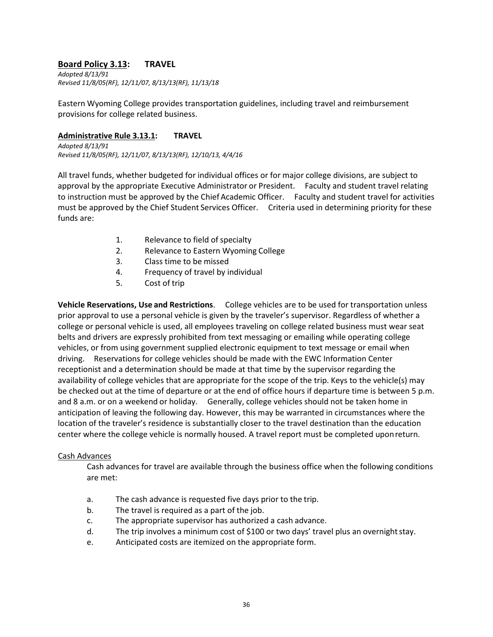# **Board Policy 3.13: TRAVEL**

*Adopted 8/13/91 Revised 11/8/05(RF), 12/11/07, 8/13/13(RF), 11/13/18*

Eastern Wyoming College provides transportation guidelines, including travel and reimbursement provisions for college related business.

### **Administrative Rule 3.13.1: TRAVEL**

*Adopted 8/13/91 Revised 11/8/05(RF), 12/11/07, 8/13/13(RF), 12/10/13, 4/4/16*

All travel funds, whether budgeted for individual offices or for major college divisions, are subject to approval by the appropriate Executive Administrator or President. Faculty and student travel relating to instruction must be approved by the Chief Academic Officer. Faculty and student travel for activities must be approved by the Chief Student Services Officer. Criteria used in determining priority for these funds are:

- 1. Relevance to field of specialty
- 2. Relevance to Eastern Wyoming College
- 3. Class time to be missed
- 4. Frequency of travel by individual
- 5. Cost of trip

**Vehicle Reservations, Use and Restrictions**. College vehicles are to be used for transportation unless prior approval to use a personal vehicle is given by the traveler's supervisor. Regardless of whether a college or personal vehicle is used, all employees traveling on college related business must wear seat belts and drivers are expressly prohibited from text messaging or emailing while operating college vehicles, or from using government supplied electronic equipment to text message or email when driving. Reservations for college vehicles should be made with the EWC Information Center receptionist and a determination should be made at that time by the supervisor regarding the availability of college vehicles that are appropriate for the scope of the trip. Keys to the vehicle(s) may be checked out at the time of departure or at the end of office hours if departure time is between 5 p.m. and 8 a.m. or on a weekend or holiday. Generally, college vehicles should not be taken home in anticipation of leaving the following day. However, this may be warranted in circumstances where the location of the traveler's residence is substantially closer to the travel destination than the education center where the college vehicle is normally housed. A travel report must be completed uponreturn.

### Cash Advances

Cash advances for travel are available through the business office when the following conditions are met:

- a. The cash advance is requested five days prior to the trip.
- b. The travel is required as a part of the job.
- c. The appropriate supervisor has authorized a cash advance.
- d. The trip involves a minimum cost of \$100 or two days' travel plus an overnightstay.
- e. Anticipated costs are itemized on the appropriate form.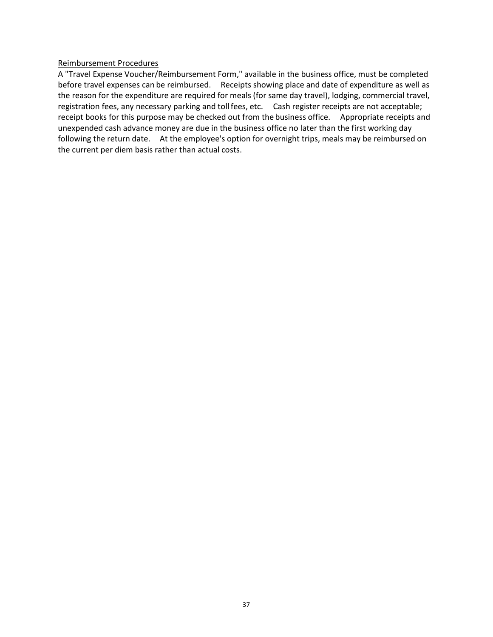### Reimbursement Procedures

A "Travel Expense Voucher/Reimbursement Form," available in the business office, must be completed before travel expenses can be reimbursed. Receipts showing place and date of expenditure as well as the reason for the expenditure are required for meals (for same day travel), lodging, commercial travel, registration fees, any necessary parking and toll fees, etc. Cash register receipts are not acceptable; receipt books for this purpose may be checked out from the business office. Appropriate receipts and unexpended cash advance money are due in the business office no later than the first working day following the return date. At the employee's option for overnight trips, meals may be reimbursed on the current per diem basis rather than actual costs.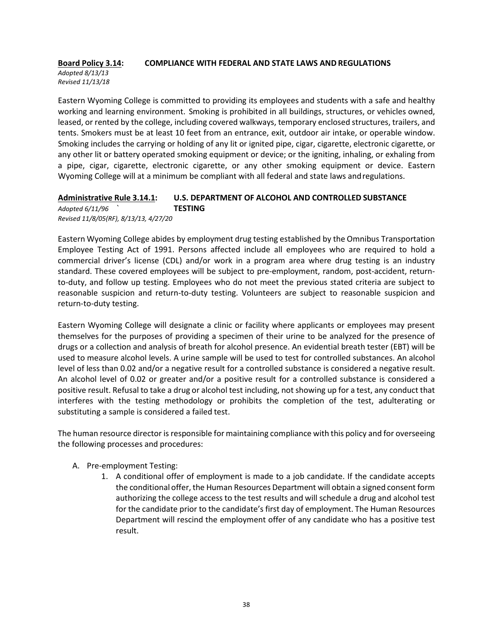### **Board Policy 3.14: COMPLIANCE WITH FEDERAL AND STATE LAWS AND REGULATIONS**

*Adopted 8/13/13 Revised 11/13/18*

Eastern Wyoming College is committed to providing its employees and students with a safe and healthy working and learning environment. Smoking is prohibited in all buildings, structures, or vehicles owned, leased, or rented by the college, including covered walkways, temporary enclosed structures, trailers, and tents. Smokers must be at least 10 feet from an entrance, exit, outdoor air intake, or operable window. Smoking includes the carrying or holding of any lit or ignited pipe, cigar, cigarette, electronic cigarette, or any other lit or battery operated smoking equipment or device; or the igniting, inhaling, or exhaling from a pipe, cigar, cigarette, electronic cigarette, or any other smoking equipment or device. Eastern Wyoming College will at a minimum be compliant with all federal and state laws andregulations.

### **Administrative Rule 3.14.1: U.S. DEPARTMENT OF ALCOHOL AND CONTROLLED SUBSTANCE** *Adopted 6/11/96 `* **TESTING** *Revised 11/8/05(RF), 8/13/13, 4/27/20*

Eastern Wyoming College abides by employment drug testing established by the Omnibus Transportation Employee Testing Act of 1991. Persons affected include all employees who are required to hold a commercial driver's license (CDL) and/or work in a program area where drug testing is an industry standard. These covered employees will be subject to pre-employment, random, post-accident, returnto-duty, and follow up testing. Employees who do not meet the previous stated criteria are subject to reasonable suspicion and return-to-duty testing. Volunteers are subject to reasonable suspicion and return-to-duty testing.

Eastern Wyoming College will designate a clinic or facility where applicants or employees may present themselves for the purposes of providing a specimen of their urine to be analyzed for the presence of drugs or a collection and analysis of breath for alcohol presence. An evidential breath tester (EBT) will be used to measure alcohol levels. A urine sample will be used to test for controlled substances. An alcohol level of less than 0.02 and/or a negative result for a controlled substance is considered a negative result. An alcohol level of 0.02 or greater and/or a positive result for a controlled substance is considered a positive result. Refusal to take a drug or alcohol test including, not showing up for a test, any conduct that interferes with the testing methodology or prohibits the completion of the test, adulterating or substituting a sample is considered a failed test.

The human resource director is responsible for maintaining compliance with this policy and for overseeing the following processes and procedures:

### A. Pre-employment Testing:

1. A conditional offer of employment is made to a job candidate. If the candidate accepts the conditional offer, the Human Resources Department will obtain a signed consent form authorizing the college access to the test results and will schedule a drug and alcohol test for the candidate prior to the candidate's first day of employment. The Human Resources Department will rescind the employment offer of any candidate who has a positive test result.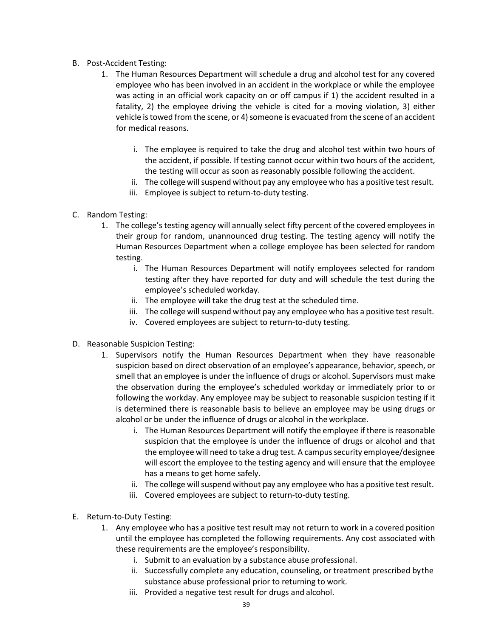- B. Post-Accident Testing:
	- 1. The Human Resources Department will schedule a drug and alcohol test for any covered employee who has been involved in an accident in the workplace or while the employee was acting in an official work capacity on or off campus if 1) the accident resulted in a fatality, 2) the employee driving the vehicle is cited for a moving violation, 3) either vehicle is towed from the scene, or 4) someone is evacuated from the scene of an accident for medical reasons.
		- i. The employee is required to take the drug and alcohol test within two hours of the accident, if possible. If testing cannot occur within two hours of the accident, the testing will occur as soon as reasonably possible following the accident.
		- ii. The college will suspend without pay any employee who has a positive test result.
		- iii. Employee is subject to return-to-duty testing.
- C. Random Testing:
	- 1. The college's testing agency will annually select fifty percent of the covered employees in their group for random, unannounced drug testing. The testing agency will notify the Human Resources Department when a college employee has been selected for random testing.
		- i. The Human Resources Department will notify employees selected for random testing after they have reported for duty and will schedule the test during the employee's scheduled workday.
		- ii. The employee will take the drug test at the scheduled time.
		- iii. The college will suspend without pay any employee who has a positive test result.
		- iv. Covered employees are subject to return-to-duty testing.
- D. Reasonable Suspicion Testing:
	- 1. Supervisors notify the Human Resources Department when they have reasonable suspicion based on direct observation of an employee's appearance, behavior, speech, or smell that an employee is under the influence of drugs or alcohol. Supervisors must make the observation during the employee's scheduled workday or immediately prior to or following the workday. Any employee may be subject to reasonable suspicion testing if it is determined there is reasonable basis to believe an employee may be using drugs or alcohol or be under the influence of drugs or alcohol in the workplace.
		- i. The Human Resources Department will notify the employee if there isreasonable suspicion that the employee is under the influence of drugs or alcohol and that the employee will need to take a drug test. A campus security employee/designee will escort the employee to the testing agency and will ensure that the employee has a means to get home safely.
		- ii. The college will suspend without pay any employee who has a positive test result.
		- iii. Covered employees are subject to return-to-duty testing.
- E. Return-to-Duty Testing:
	- 1. Any employee who has a positive test result may not return to work in a covered position until the employee has completed the following requirements. Any cost associated with these requirements are the employee's responsibility.
		- i. Submit to an evaluation by a substance abuse professional.
		- ii. Successfully complete any education, counseling, or treatment prescribed bythe substance abuse professional prior to returning to work.
		- iii. Provided a negative test result for drugs and alcohol.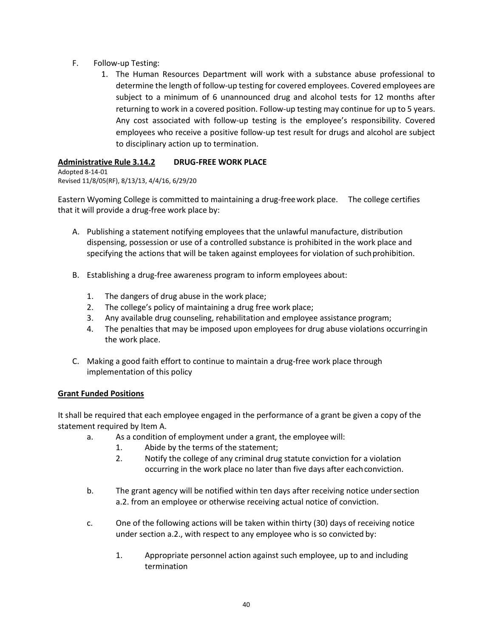- F. Follow-up Testing:
	- 1. The Human Resources Department will work with a substance abuse professional to determine the length of follow-up testing for covered employees. Covered employees are subject to a minimum of 6 unannounced drug and alcohol tests for 12 months after returning to work in a covered position. Follow-up testing may continue for up to 5 years. Any cost associated with follow-up testing is the employee's responsibility. Covered employees who receive a positive follow-up test result for drugs and alcohol are subject to disciplinary action up to termination.

### **Administrative Rule 3.14.2 DRUG-FREE WORK PLACE**

Adopted 8-14-01 Revised 11/8/05(RF), 8/13/13, 4/4/16, 6/29/20

Eastern Wyoming College is committed to maintaining a drug-freework place. The college certifies that it will provide a drug-free work place by:

- A. Publishing a statement notifying employees that the unlawful manufacture, distribution dispensing, possession or use of a controlled substance is prohibited in the work place and specifying the actions that will be taken against employees for violation of suchprohibition.
- B. Establishing a drug-free awareness program to inform employees about:
	- 1. The dangers of drug abuse in the work place;
	- 2. The college's policy of maintaining a drug free work place;
	- 3. Any available drug counseling, rehabilitation and employee assistance program;
	- 4. The penalties that may be imposed upon employees for drug abuse violations occurringin the work place.
- C. Making a good faith effort to continue to maintain a drug-free work place through implementation of this policy

### **Grant Funded Positions**

It shall be required that each employee engaged in the performance of a grant be given a copy of the statement required by Item A.

- a. As a condition of employment under a grant, the employee will:
	- 1. Abide by the terms of the statement;
	- 2. Notify the college of any criminal drug statute conviction for a violation occurring in the work place no later than five days after each conviction.
- b. The grant agency will be notified within ten days after receiving notice undersection a.2. from an employee or otherwise receiving actual notice of conviction.
- c. One of the following actions will be taken within thirty (30) days of receiving notice under section a.2., with respect to any employee who is so convicted by:
	- 1. Appropriate personnel action against such employee, up to and including termination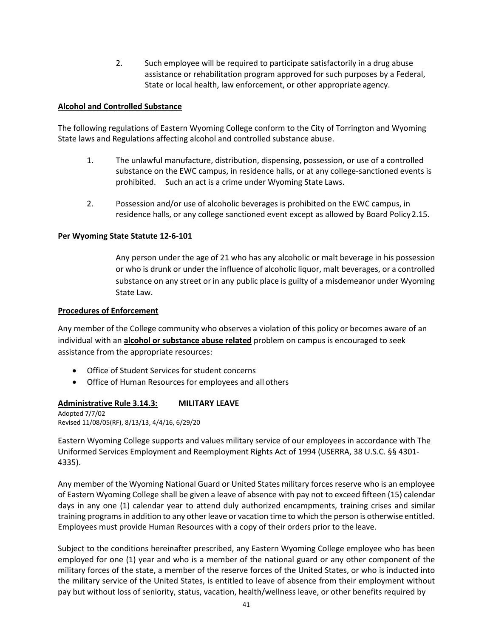2. Such employee will be required to participate satisfactorily in a drug abuse assistance or rehabilitation program approved for such purposes by a Federal, State or local health, law enforcement, or other appropriate agency.

### **Alcohol and Controlled Substance**

The following regulations of Eastern Wyoming College conform to the City of Torrington and Wyoming State laws and Regulations affecting alcohol and controlled substance abuse.

- 1. The unlawful manufacture, distribution, dispensing, possession, or use of a controlled substance on the EWC campus, in residence halls, or at any college-sanctioned events is prohibited. Such an act is a crime under Wyoming State Laws.
- 2. Possession and/or use of alcoholic beverages is prohibited on the EWC campus, in residence halls, or any college sanctioned event except as allowed by Board Policy2.15.

### **Per Wyoming State Statute 12-6-101**

Any person under the age of 21 who has any alcoholic or malt beverage in his possession or who is drunk or under the influence of alcoholic liquor, malt beverages, or a controlled substance on any street or in any public place is guilty of a misdemeanor under Wyoming State Law.

### **Procedures of Enforcement**

Any member of the College community who observes a violation of this policy or becomes aware of an individual with an **alcohol or substance abuse related** problem on campus is encouraged to seek assistance from the appropriate resources:

- Office of Student Services for student concerns
- Office of Human Resources for employees and all others

### **Administrative Rule 3.14.3: MILITARY LEAVE**

Adopted 7/7/02 Revised 11/08/05(RF), 8/13/13, 4/4/16, 6/29/20

Eastern Wyoming College supports and values military service of our employees in accordance with The Uniformed Services Employment and Reemployment Rights Act of 1994 (USERRA, 38 U.S.C. §§ 4301- 4335).

Any member of the Wyoming National Guard or United States military forces reserve who is an employee of Eastern Wyoming College shall be given a leave of absence with pay not to exceed fifteen (15) calendar days in any one (1) calendar year to attend duly authorized encampments, training crises and similar training programs in addition to any other leave or vacation time to which the person is otherwise entitled. Employees must provide Human Resources with a copy of their orders prior to the leave.

Subject to the conditions hereinafter prescribed, any Eastern Wyoming College employee who has been employed for one (1) year and who is a member of the national guard or any other component of the military forces of the state, a member of the reserve forces of the United States, or who is inducted into the military service of the United States, is entitled to leave of absence from their employment without pay but without loss of seniority, status, vacation, health/wellness leave, or other benefits required by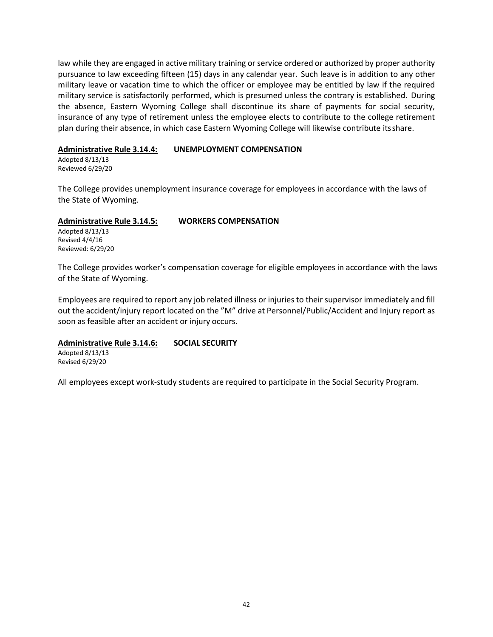law while they are engaged in active military training or service ordered or authorized by proper authority pursuance to law exceeding fifteen (15) days in any calendar year. Such leave is in addition to any other military leave or vacation time to which the officer or employee may be entitled by law if the required military service is satisfactorily performed, which is presumed unless the contrary is established. During the absence, Eastern Wyoming College shall discontinue its share of payments for social security, insurance of any type of retirement unless the employee elects to contribute to the college retirement plan during their absence, in which case Eastern Wyoming College will likewise contribute itsshare.

### **Administrative Rule 3.14.4: UNEMPLOYMENT COMPENSATION**

Adopted 8/13/13 Reviewed 6/29/20

The College provides unemployment insurance coverage for employees in accordance with the laws of the State of Wyoming.

### **Administrative Rule 3.14.5: WORKERS COMPENSATION**

Adopted 8/13/13 Revised 4/4/16 Reviewed: 6/29/20

The College provides worker's compensation coverage for eligible employees in accordance with the laws of the State of Wyoming.

Employees are required to report any job related illness or injuries to their supervisor immediately and fill out the accident/injury report located on the "M" drive at Personnel/Public/Accident and Injury report as soon as feasible after an accident or injury occurs.

### **Administrative Rule 3.14.6: SOCIAL SECURITY**

Adopted 8/13/13 Revised 6/29/20

All employees except work-study students are required to participate in the Social Security Program.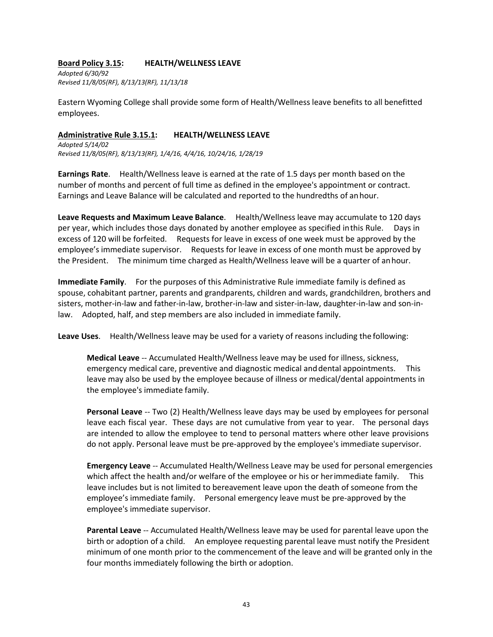### **Board Policy 3.15: HEALTH/WELLNESS LEAVE**

*Adopted 6/30/92 Revised 11/8/05(RF), 8/13/13(RF), 11/13/18*

Eastern Wyoming College shall provide some form of Health/Wellness leave benefits to all benefitted employees.

### **Administrative Rule 3.15.1: HEALTH/WELLNESS LEAVE**

*Adopted 5/14/02 Revised 11/8/05(RF), 8/13/13(RF), 1/4/16, 4/4/16, 10/24/16, 1/28/19*

**Earnings Rate**. Health/Wellness leave is earned at the rate of 1.5 days per month based on the number of months and percent of full time as defined in the employee's appointment or contract. Earnings and Leave Balance will be calculated and reported to the hundredths of anhour.

**Leave Requests and Maximum Leave Balance**. Health/Wellness leave may accumulate to 120 days per year, which includes those days donated by another employee as specified inthis Rule. Days in excess of 120 will be forfeited. Requests for leave in excess of one week must be approved by the employee's immediate supervisor. Requests for leave in excess of one month must be approved by the President. The minimum time charged as Health/Wellness leave will be a quarter of anhour.

**Immediate Family**. For the purposes of this Administrative Rule immediate family is defined as spouse, cohabitant partner, parents and grandparents, children and wards, grandchildren, brothers and sisters, mother-in-law and father-in-law, brother-in-law and sister-in-law, daughter-in-law and son-inlaw. Adopted, half, and step members are also included in immediate family.

**Leave Uses**. Health/Wellness leave may be used for a variety of reasons including the following:

**Medical Leave** -- Accumulated Health/Wellness leave may be used for illness, sickness, emergency medical care, preventive and diagnostic medical anddental appointments. This leave may also be used by the employee because of illness or medical/dental appointments in the employee's immediate family.

**Personal Leave** -- Two (2) Health/Wellness leave days may be used by employees for personal leave each fiscal year. These days are not cumulative from year to year. The personal days are intended to allow the employee to tend to personal matters where other leave provisions do not apply. Personal leave must be pre-approved by the employee's immediate supervisor.

**Emergency Leave** -- Accumulated Health/Wellness Leave may be used for personal emergencies which affect the health and/or welfare of the employee or his or herimmediate family. This leave includes but is not limited to bereavement leave upon the death of someone from the employee's immediate family. Personal emergency leave must be pre-approved by the employee's immediate supervisor.

**Parental Leave** -- Accumulated Health/Wellness leave may be used for parental leave upon the birth or adoption of a child. An employee requesting parental leave must notify the President minimum of one month prior to the commencement of the leave and will be granted only in the four months immediately following the birth or adoption.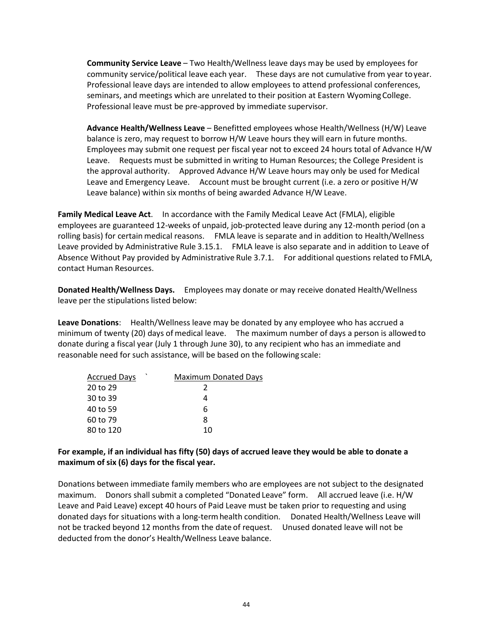**Community Service Leave** – Two Health/Wellness leave days may be used by employees for community service/political leave each year. These days are not cumulative from year toyear. Professional leave days are intended to allow employees to attend professional conferences, seminars, and meetings which are unrelated to their position at Eastern WyomingCollege. Professional leave must be pre-approved by immediate supervisor.

**Advance Health/Wellness Leave** – Benefitted employees whose Health/Wellness (H/W) Leave balance is zero, may request to borrow H/W Leave hours they will earn in future months. Employees may submit one request per fiscal year not to exceed 24 hours total of Advance H/W Leave. Requests must be submitted in writing to Human Resources; the College President is the approval authority. Approved Advance H/W Leave hours may only be used for Medical Leave and Emergency Leave. Account must be brought current (i.e. a zero or positive H/W Leave balance) within six months of being awarded Advance H/W Leave.

**Family Medical Leave Act**. In accordance with the Family Medical Leave Act (FMLA), eligible employees are guaranteed 12-weeks of unpaid, job-protected leave during any 12-month period (on a rolling basis) for certain medical reasons. FMLA leave is separate and in addition to Health/Wellness Leave provided by Administrative Rule 3.15.1. FMLA leave is also separate and in addition to Leave of Absence Without Pay provided by Administrative Rule 3.7.1. For additional questions related to FMLA, contact Human Resources.

**Donated Health/Wellness Days.** Employees may donate or may receive donated Health/Wellness leave per the stipulations listed below:

**Leave Donations**: Health/Wellness leave may be donated by any employee who has accrued a minimum of twenty (20) days of medical leave. The maximum number of days a person is allowedto donate during a fiscal year (July 1 through June 30), to any recipient who has an immediate and reasonable need for such assistance, will be based on the following scale:

| <b>Accrued Days</b> | <b>Maximum Donated Days</b> |
|---------------------|-----------------------------|
| 20 to 29            |                             |
| 30 to 39            |                             |
| 40 to 59            | 6                           |
| 60 to 79            | я                           |
| 80 to 120           | 10                          |

### **For example, if an individual has fifty (50) days of accrued leave they would be able to donate a maximum of six (6) days for the fiscal year.**

Donations between immediate family members who are employees are not subject to the designated maximum. Donors shall submit a completed "Donated Leave" form. All accrued leave (i.e. H/W Leave and Paid Leave) except 40 hours of Paid Leave must be taken prior to requesting and using donated days for situations with a long-termhealth condition. Donated Health/Wellness Leave will not be tracked beyond 12 months from the date of request. Unused donated leave will not be deducted from the donor's Health/Wellness Leave balance.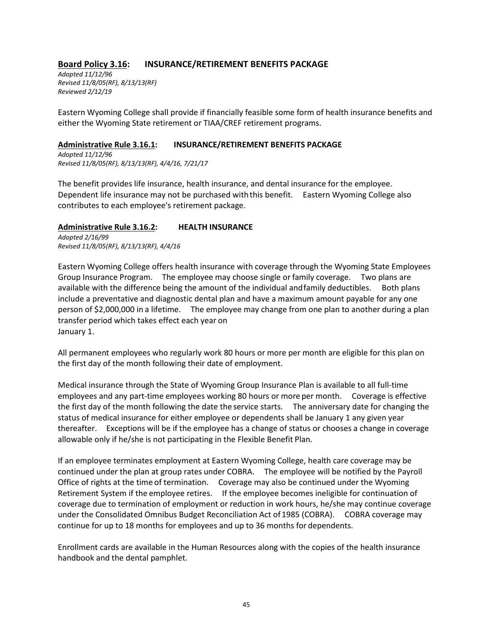### **Board Policy 3.16: INSURANCE/RETIREMENT BENEFITS PACKAGE**

*Adopted 11/12/96 Revised 11/8/05(RF), 8/13/13(RF) Reviewed 2/12/19*

Eastern Wyoming College shall provide if financially feasible some form of health insurance benefits and either the Wyoming State retirement or TIAA/CREF retirement programs.

### **Administrative Rule 3.16.1: INSURANCE/RETIREMENT BENEFITS PACKAGE**

*Adopted 11/12/96 Revised 11/8/05(RF), 8/13/13(RF), 4/4/16, 7/21/17*

The benefit provides life insurance, health insurance, and dental insurance for the employee. Dependent life insurance may not be purchased with this benefit. Eastern Wyoming College also contributes to each employee's retirement package.

### **Administrative Rule 3.16.2: HEALTH INSURANCE**

*Adopted 2/16/99 Revised 11/8/05(RF), 8/13/13(RF), 4/4/16*

Eastern Wyoming College offers health insurance with coverage through the Wyoming State Employees Group Insurance Program. The employee may choose single orfamily coverage. Two plans are available with the difference being the amount of the individual andfamily deductibles. Both plans include a preventative and diagnostic dental plan and have a maximum amount payable for any one person of \$2,000,000 in a lifetime. The employee may change from one plan to another during a plan transfer period which takes effect each year on January 1.

All permanent employees who regularly work 80 hours or more per month are eligible for this plan on the first day of the month following their date of employment.

Medical insurance through the State of Wyoming Group Insurance Plan is available to all full-time employees and any part-time employees working 80 hours or more per month. Coverage is effective the first day of the month following the date the service starts. The anniversary date for changing the status of medical insurance for either employee or dependents shall be January 1 any given year thereafter. Exceptions will be if the employee has a change of status or chooses a change in coverage allowable only if he/she is not participating in the Flexible Benefit Plan.

If an employee terminates employment at Eastern Wyoming College, health care coverage may be continued under the plan at group rates under COBRA. The employee will be notified by the Payroll Office of rights at the time of termination. Coverage may also be continued under the Wyoming Retirement System if the employee retires. If the employee becomes ineligible for continuation of coverage due to termination of employment or reduction in work hours, he/she may continue coverage under the Consolidated Omnibus Budget Reconciliation Act of 1985 (COBRA). COBRA coverage may continue for up to 18 months for employees and up to 36 months for dependents.

Enrollment cards are available in the Human Resources along with the copies of the health insurance handbook and the dental pamphlet.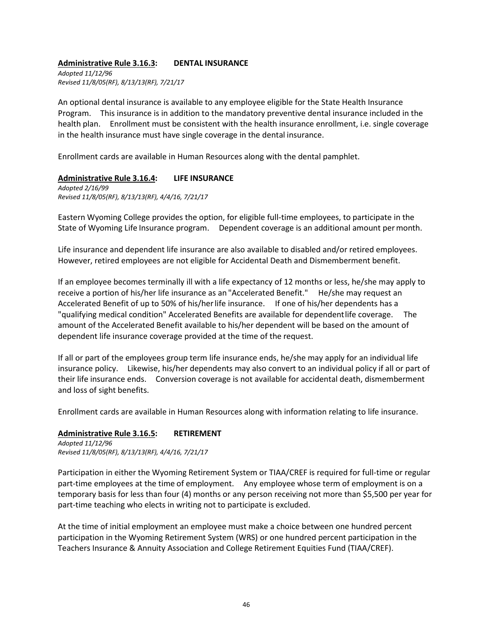### **Administrative Rule 3.16.3: DENTAL INSURANCE**

*Adopted 11/12/96 Revised 11/8/05(RF), 8/13/13(RF), 7/21/17*

An optional dental insurance is available to any employee eligible for the State Health Insurance Program. This insurance is in addition to the mandatory preventive dental insurance included in the health plan. Enrollment must be consistent with the health insurance enrollment, i.e. single coverage in the health insurance must have single coverage in the dental insurance.

Enrollment cards are available in Human Resources along with the dental pamphlet.

### **Administrative Rule 3.16.4: LIFE INSURANCE**

*Adopted 2/16/99 Revised 11/8/05(RF), 8/13/13(RF), 4/4/16, 7/21/17*

Eastern Wyoming College provides the option, for eligible full-time employees, to participate in the State of Wyoming Life Insurance program. Dependent coverage is an additional amount permonth.

Life insurance and dependent life insurance are also available to disabled and/or retired employees. However, retired employees are not eligible for Accidental Death and Dismemberment benefit.

If an employee becomes terminally ill with a life expectancy of 12 months or less, he/she may apply to receive a portion of his/her life insurance as an "Accelerated Benefit." He/she may request an Accelerated Benefit of up to 50% of his/herlife insurance. If one of his/her dependents has a "qualifying medical condition" Accelerated Benefits are available for dependentlife coverage. The amount of the Accelerated Benefit available to his/her dependent will be based on the amount of dependent life insurance coverage provided at the time of the request.

If all or part of the employees group term life insurance ends, he/she may apply for an individual life insurance policy. Likewise, his/her dependents may also convert to an individual policy if all or part of their life insurance ends. Conversion coverage is not available for accidental death, dismemberment and loss of sight benefits.

Enrollment cards are available in Human Resources along with information relating to life insurance.

#### **Administrative Rule 3.16.5: RETIREMENT**

*Adopted 11/12/96 Revised 11/8/05(RF), 8/13/13(RF), 4/4/16, 7/21/17*

Participation in either the Wyoming Retirement System or TIAA/CREF is required for full-time or regular part-time employees at the time of employment. Any employee whose term of employment is on a temporary basis for less than four (4) months or any person receiving not more than \$5,500 per year for part-time teaching who elects in writing not to participate is excluded.

At the time of initial employment an employee must make a choice between one hundred percent participation in the Wyoming Retirement System (WRS) or one hundred percent participation in the Teachers Insurance & Annuity Association and College Retirement Equities Fund (TIAA/CREF).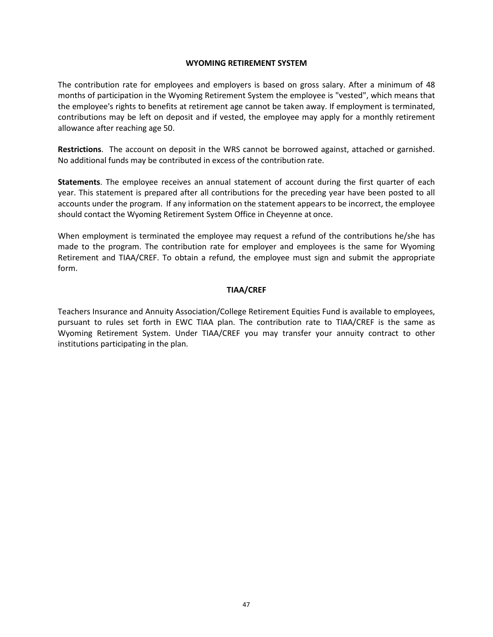### **WYOMING RETIREMENT SYSTEM**

The contribution rate for employees and employers is based on gross salary. After a minimum of 48 months of participation in the Wyoming Retirement System the employee is "vested", which means that the employee's rights to benefits at retirement age cannot be taken away. If employment is terminated, contributions may be left on deposit and if vested, the employee may apply for a monthly retirement allowance after reaching age 50.

**Restrictions**. The account on deposit in the WRS cannot be borrowed against, attached or garnished. No additional funds may be contributed in excess of the contribution rate.

**Statements**. The employee receives an annual statement of account during the first quarter of each year. This statement is prepared after all contributions for the preceding year have been posted to all accounts under the program. If any information on the statement appears to be incorrect, the employee should contact the Wyoming Retirement System Office in Cheyenne at once.

When employment is terminated the employee may request a refund of the contributions he/she has made to the program. The contribution rate for employer and employees is the same for Wyoming Retirement and TIAA/CREF. To obtain a refund, the employee must sign and submit the appropriate form.

### **TIAA/CREF**

Teachers Insurance and Annuity Association/College Retirement Equities Fund is available to employees, pursuant to rules set forth in EWC TIAA plan. The contribution rate to TIAA/CREF is the same as Wyoming Retirement System. Under TIAA/CREF you may transfer your annuity contract to other institutions participating in the plan.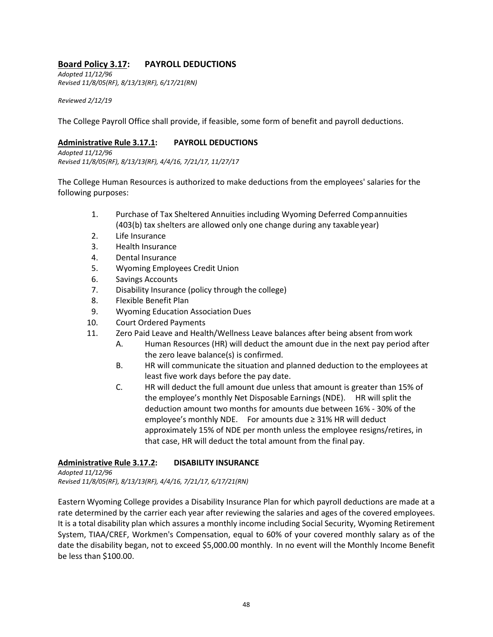### **Board Policy 3.17: PAYROLL DEDUCTIONS**

*Adopted 11/12/96 Revised 11/8/05(RF), 8/13/13(RF), 6/17/21(RN)*

*Reviewed 2/12/19*

The College Payroll Office shall provide, if feasible, some form of benefit and payroll deductions.

### **Administrative Rule 3.17.1: PAYROLL DEDUCTIONS**

*Adopted 11/12/96 Revised 11/8/05(RF), 8/13/13(RF), 4/4/16, 7/21/17, 11/27/17*

The College Human Resources is authorized to make deductions from the employees' salaries for the following purposes:

- 1. Purchase of Tax Sheltered Annuities including Wyoming Deferred Compannuities (403(b) tax shelters are allowed only one change during any taxable year)
- 2. Life Insurance
- 3. Health Insurance
- 4. Dental Insurance
- 5. Wyoming Employees Credit Union
- 6. Savings Accounts
- 7. Disability Insurance (policy through the college)
- 8. Flexible Benefit Plan
- 9. Wyoming Education Association Dues
- 10. Court Ordered Payments
- 11. Zero Paid Leave and Health/Wellness Leave balances after being absent fromwork
	- A. Human Resources (HR) will deduct the amount due in the next pay period after the zero leave balance(s) is confirmed.
	- B. HR will communicate the situation and planned deduction to the employees at least five work days before the pay date.
	- C. HR will deduct the full amount due unless that amount is greater than 15% of the employee's monthly Net Disposable Earnings (NDE). HR will split the deduction amount two months for amounts due between 16% - 30% of the employee's monthly NDE. For amounts due ≥ 31% HR will deduct approximately 15% of NDE per month unless the employee resigns/retires, in that case, HR will deduct the total amount from the final pay.

### **Administrative Rule 3.17.2: DISABILITY INSURANCE**

*Adopted 11/12/96 Revised 11/8/05(RF), 8/13/13(RF), 4/4/16, 7/21/17, 6/17/21(RN)*

Eastern Wyoming College provides a Disability Insurance Plan for which payroll deductions are made at a rate determined by the carrier each year after reviewing the salaries and ages of the covered employees. It is a total disability plan which assures a monthly income including Social Security, Wyoming Retirement System, TIAA/CREF, Workmen's Compensation, equal to 60% of your covered monthly salary as of the date the disability began, not to exceed \$5,000.00 monthly. In no event will the Monthly Income Benefit be less than \$100.00.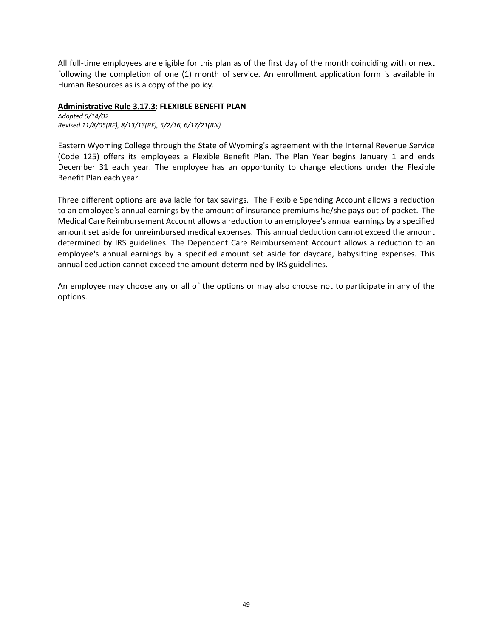All full-time employees are eligible for this plan as of the first day of the month coinciding with or next following the completion of one (1) month of service. An enrollment application form is available in Human Resources as is a copy of the policy.

### **Administrative Rule 3.17.3: FLEXIBLE BENEFIT PLAN**

*Adopted 5/14/02 Revised 11/8/05(RF), 8/13/13(RF), 5/2/16, 6/17/21(RN)*

Eastern Wyoming College through the State of Wyoming's agreement with the Internal Revenue Service (Code 125) offers its employees a Flexible Benefit Plan. The Plan Year begins January 1 and ends December 31 each year. The employee has an opportunity to change elections under the Flexible Benefit Plan each year.

Three different options are available for tax savings. The Flexible Spending Account allows a reduction to an employee's annual earnings by the amount of insurance premiums he/she pays out-of-pocket. The Medical Care Reimbursement Account allows a reduction to an employee's annual earnings by a specified amount set aside for unreimbursed medical expenses. This annual deduction cannot exceed the amount determined by IRS guidelines. The Dependent Care Reimbursement Account allows a reduction to an employee's annual earnings by a specified amount set aside for daycare, babysitting expenses. This annual deduction cannot exceed the amount determined by IRS guidelines.

An employee may choose any or all of the options or may also choose not to participate in any of the options.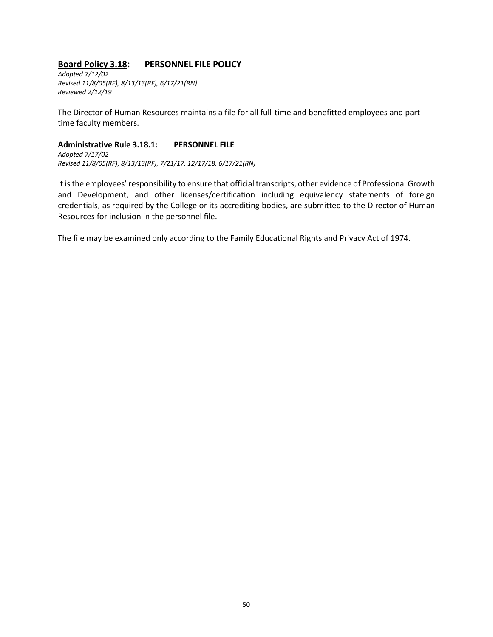### **Board Policy 3.18: PERSONNEL FILE POLICY**

*Adopted 7/12/02 Revised 11/8/05(RF), 8/13/13(RF), 6/17/21(RN) Reviewed 2/12/19*

The Director of Human Resources maintains a file for all full-time and benefitted employees and parttime faculty members.

### **Administrative Rule 3.18.1: PERSONNEL FILE**

*Adopted 7/17/02 Revised 11/8/05(RF), 8/13/13(RF), 7/21/17, 12/17/18, 6/17/21(RN)*

It is the employees' responsibility to ensure that official transcripts, other evidence of Professional Growth and Development, and other licenses/certification including equivalency statements of foreign credentials, as required by the College or its accrediting bodies, are submitted to the Director of Human Resources for inclusion in the personnel file.

The file may be examined only according to the Family Educational Rights and Privacy Act of 1974.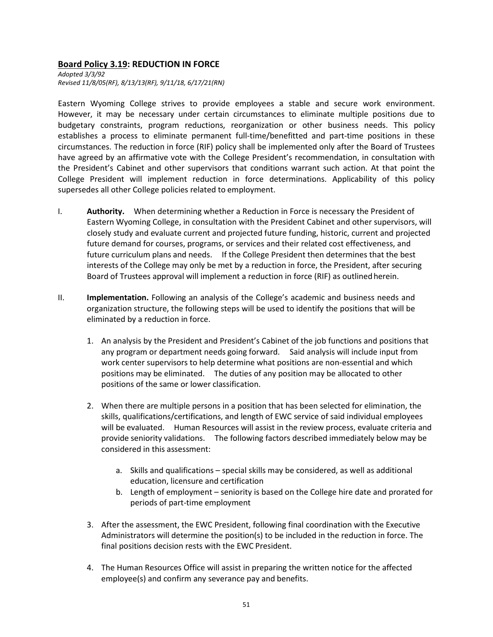### **Board Policy 3.19: REDUCTION IN FORCE**

*Adopted 3/3/92 Revised 11/8/05(RF), 8/13/13(RF), 9/11/18, 6/17/21(RN)*

Eastern Wyoming College strives to provide employees a stable and secure work environment. However, it may be necessary under certain circumstances to eliminate multiple positions due to budgetary constraints, program reductions, reorganization or other business needs. This policy establishes a process to eliminate permanent full-time/benefitted and part-time positions in these circumstances. The reduction in force (RIF) policy shall be implemented only after the Board of Trustees have agreed by an affirmative vote with the College President's recommendation, in consultation with the President's Cabinet and other supervisors that conditions warrant such action. At that point the College President will implement reduction in force determinations. Applicability of this policy supersedes all other College policies related to employment.

- I. **Authority.** When determining whether a Reduction in Force is necessary the President of Eastern Wyoming College, in consultation with the President Cabinet and other supervisors, will closely study and evaluate current and projected future funding, historic, current and projected future demand for courses, programs, or services and their related cost effectiveness, and future curriculum plans and needs. If the College President then determines that the best interests of the College may only be met by a reduction in force, the President, after securing Board of Trustees approval will implement a reduction in force (RIF) as outlinedherein.
- II. **Implementation.** Following an analysis of the College's academic and business needs and organization structure, the following steps will be used to identify the positions that will be eliminated by a reduction in force.
	- 1. An analysis by the President and President's Cabinet of the job functions and positions that any program or department needs going forward. Said analysis will include input from work center supervisors to help determine what positions are non-essential and which positions may be eliminated. The duties of any position may be allocated to other positions of the same or lower classification.
	- 2. When there are multiple persons in a position that has been selected for elimination, the skills, qualifications/certifications, and length of EWC service of said individual employees will be evaluated. Human Resources will assist in the review process, evaluate criteria and provide seniority validations. The following factors described immediately below may be considered in this assessment:
		- a. Skills and qualifications special skills may be considered, as well as additional education, licensure and certification
		- b. Length of employment seniority is based on the College hire date and prorated for periods of part-time employment
	- 3. After the assessment, the EWC President, following final coordination with the Executive Administrators will determine the position(s) to be included in the reduction in force. The final positions decision rests with the EWC President.
	- 4. The Human Resources Office will assist in preparing the written notice for the affected employee(s) and confirm any severance pay and benefits.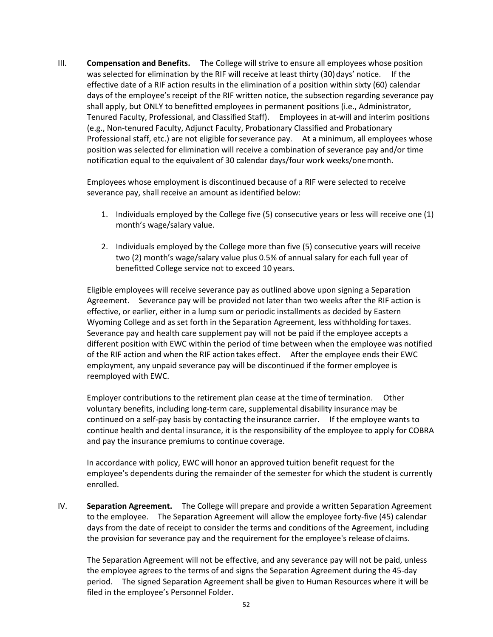III. **Compensation and Benefits.** The College will strive to ensure all employees whose position was selected for elimination by the RIF will receive at least thirty (30) days' notice. If the effective date of a RIF action results in the elimination of a position within sixty (60) calendar days of the employee's receipt of the RIF written notice, the subsection regarding severance pay shall apply, but ONLY to benefitted employees in permanent positions (i.e., Administrator, Tenured Faculty, Professional, and Classified Staff). Employees in at-will and interim positions (e.g., Non-tenured Faculty, Adjunct Faculty, Probationary Classified and Probationary Professional staff, etc.) are not eligible forseverance pay. At a minimum, all employees whose position was selected for elimination will receive a combination of severance pay and/or time notification equal to the equivalent of 30 calendar days/four work weeks/onemonth.

Employees whose employment is discontinued because of a RIF were selected to receive severance pay, shall receive an amount as identified below:

- 1. Individuals employed by the College five (5) consecutive years or less will receive one (1) month's wage/salary value.
- 2. Individuals employed by the College more than five (5) consecutive years will receive two (2) month's wage/salary value plus 0.5% of annual salary for each full year of benefitted College service not to exceed 10 years.

Eligible employees will receive severance pay as outlined above upon signing a Separation Agreement. Severance pay will be provided not later than two weeks after the RIF action is effective, or earlier, either in a lump sum or periodic installments as decided by Eastern Wyoming College and as set forth in the Separation Agreement, less withholding fortaxes. Severance pay and health care supplement pay will not be paid if the employee accepts a different position with EWC within the period of time between when the employee was notified of the RIF action and when the RIF action takes effect. After the employee ends their EWC employment, any unpaid severance pay will be discontinued if the former employee is reemployed with EWC.

Employer contributions to the retirement plan cease at the timeof termination. Other voluntary benefits, including long-term care, supplemental disability insurance may be continued on a self-pay basis by contacting the insurance carrier. If the employee wants to continue health and dental insurance, it is the responsibility of the employee to apply for COBRA and pay the insurance premiums to continue coverage.

In accordance with policy, EWC will honor an approved tuition benefit request for the employee's dependents during the remainder of the semester for which the student is currently enrolled.

IV. **Separation Agreement.** The College will prepare and provide a written Separation Agreement to the employee. The Separation Agreement will allow the employee forty-five (45) calendar days from the date of receipt to consider the terms and conditions of the Agreement, including the provision for severance pay and the requirement for the employee's release of claims.

The Separation Agreement will not be effective, and any severance pay will not be paid, unless the employee agrees to the terms of and signs the Separation Agreement during the 45-day period. The signed Separation Agreement shall be given to Human Resources where it will be filed in the employee's Personnel Folder.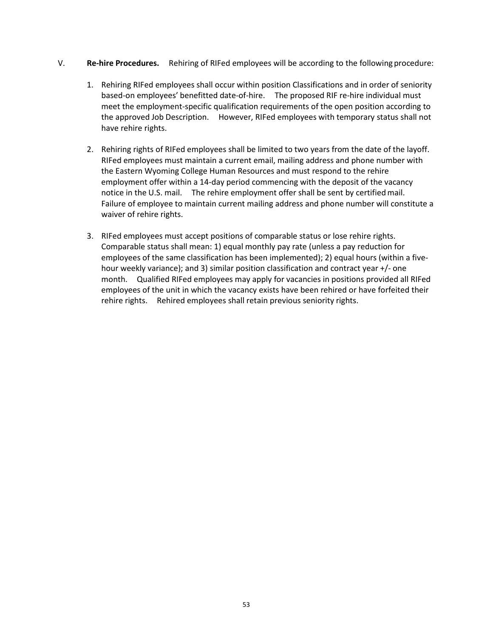- V. **Re-hire Procedures.** Rehiring of RIFed employees will be according to the following procedure:
	- 1. Rehiring RIFed employees shall occur within position Classifications and in order of seniority based-on employees' benefitted date-of-hire. The proposed RIF re-hire individual must meet the employment-specific qualification requirements of the open position according to the approved Job Description. However, RIFed employees with temporary status shall not have rehire rights.
	- 2. Rehiring rights of RIFed employees shall be limited to two years from the date of the layoff. RIFed employees must maintain a current email, mailing address and phone number with the Eastern Wyoming College Human Resources and must respond to the rehire employment offer within a 14-day period commencing with the deposit of the vacancy notice in the U.S. mail. The rehire employment offer shall be sent by certifiedmail. Failure of employee to maintain current mailing address and phone number will constitute a waiver of rehire rights.
	- 3. RIFed employees must accept positions of comparable status or lose rehire rights. Comparable status shall mean: 1) equal monthly pay rate (unless a pay reduction for employees of the same classification has been implemented); 2) equal hours (within a fivehour weekly variance); and 3) similar position classification and contract year +/- one month. Qualified RIFed employees may apply for vacancies in positions provided all RIFed employees of the unit in which the vacancy exists have been rehired or have forfeited their rehire rights. Rehired employees shall retain previous seniority rights.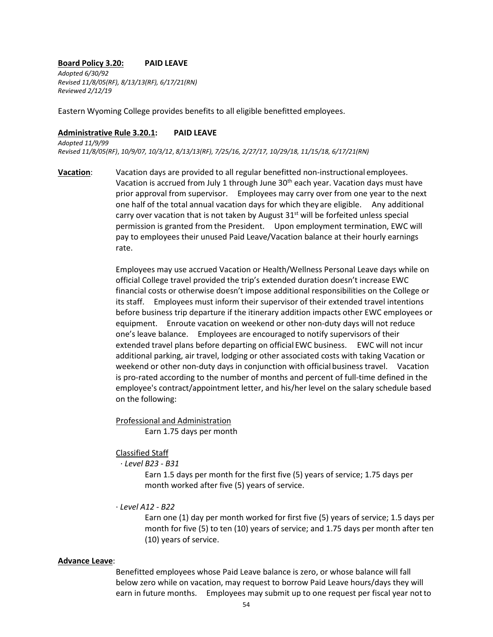#### **Board Policy 3.20: PAID LEAVE**

*Adopted 6/30/92 Revised 11/8/05(RF), 8/13/13(RF), 6/17/21(RN) Reviewed 2/12/19*

Eastern Wyoming College provides benefits to all eligible benefitted employees.

#### **Administrative Rule 3.20.1: PAID LEAVE**

*Adopted 11/9/99 Revised 11/8/05(RF)*, *10/9/07, 10/3/12*, *8/13/13(RF), 7/25/16, 2/27/17, 10/29/18, 11/15/18, 6/17/21(RN)*

**Vacation**: Vacation days are provided to all regular benefitted non-instructional employees. Vacation is accrued from July 1 through June  $30<sup>th</sup>$  each year. Vacation days must have prior approval from supervisor. Employees may carry over from one year to the next one half of the total annual vacation days for which they are eligible. Any additional carry over vacation that is not taken by August  $31^{st}$  will be forfeited unless special permission is granted from the President. Upon employment termination, EWC will pay to employees their unused Paid Leave/Vacation balance at their hourly earnings rate.

> Employees may use accrued Vacation or Health/Wellness Personal Leave days while on official College travel provided the trip's extended duration doesn't increase EWC financial costs or otherwise doesn't impose additional responsibilities on the College or its staff. Employees must inform their supervisor of their extended travel intentions before business trip departure if the itinerary addition impacts other EWC employees or equipment. Enroute vacation on weekend or other non-duty days will not reduce one's leave balance. Employees are encouraged to notify supervisors of their extended travel plans before departing on official EWC business. EWC will not incur additional parking, air travel, lodging or other associated costs with taking Vacation or weekend or other non-duty days in conjunction with official business travel. Vacation is pro-rated according to the number of months and percent of full-time defined in the employee's contract/appointment letter, and his/her level on the salary schedule based on the following:

Professional and Administration

Earn 1.75 days per month

Classified Staff

· *Level B23 - B31*

Earn 1.5 days per month for the first five (5) years of service; 1.75 days per month worked after five (5) years of service.

· *Level A12 - B22*

Earn one (1) day per month worked for first five (5) years of service; 1.5 days per month for five (5) to ten (10) years of service; and 1.75 days per month after ten (10) years of service.

#### **Advance Leave**:

Benefitted employees whose Paid Leave balance is zero, or whose balance will fall below zero while on vacation, may request to borrow Paid Leave hours/days they will earn in future months. Employees may submit up to one request per fiscal year notto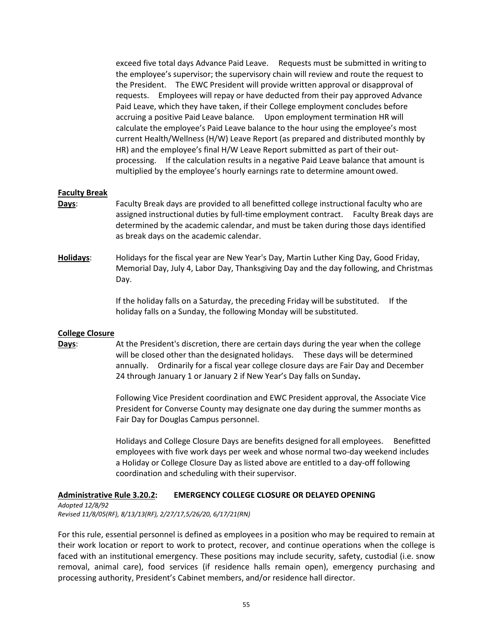exceed five total days Advance Paid Leave. Requests must be submitted in writing to the employee's supervisor; the supervisory chain will review and route the request to the President. The EWC President will provide written approval or disapproval of requests. Employees will repay or have deducted from their pay approved Advance Paid Leave, which they have taken, if their College employment concludes before accruing a positive Paid Leave balance*.* Upon employment termination HR will calculate the employee's Paid Leave balance to the hour using the employee's most current Health/Wellness (H/W) Leave Report (as prepared and distributed monthly by HR) and the employee's final H/W Leave Report submitted as part of their outprocessing. If the calculation results in a negative Paid Leave balance that amount is multiplied by the employee's hourly earnings rate to determine amount owed.

### **Faculty Break**

- **Days**: Faculty Break days are provided to all benefitted college instructional faculty who are assigned instructional duties by full-time employment contract. Faculty Break days are determined by the academic calendar, and must be taken during those days identified as break days on the academic calendar.
- **Holidays**: Holidays for the fiscal year are New Year's Day, Martin Luther King Day, Good Friday, Memorial Day, July 4, Labor Day, Thanksgiving Day and the day following, and Christmas Day.

If the holiday falls on a Saturday, the preceding Friday will be substituted. If the holiday falls on a Sunday, the following Monday will be substituted.

#### **College Closure**

**Days:** At the President's discretion, there are certain days during the year when the college will be closed other than the designated holidays. These days will be determined annually. Ordinarily for a fiscal year college closure days are Fair Day and December 24 through January 1 or January 2 if New Year's Day falls on Sunday**.**

> Following Vice President coordination and EWC President approval, the Associate Vice President for Converse County may designate one day during the summer months as Fair Day for Douglas Campus personnel.

Holidays and College Closure Days are benefits designed for all employees. Benefitted employees with five work days per week and whose normal two-day weekend includes a Holiday or College Closure Day as listed above are entitled to a day-off following coordination and scheduling with their supervisor.

#### **Administrative Rule 3.20.2: EMERGENCY COLLEGE CLOSURE OR DELAYED OPENING**

*Adopted 12/8/92 Revised 11/8/05(RF), 8/13/13(RF), 2/27/17,5/26/20, 6/17/21(RN)*

For this rule, essential personnel is defined as employees in a position who may be required to remain at their work location or report to work to protect, recover, and continue operations when the college is faced with an institutional emergency. These positions may include security, safety, custodial (i.e. snow removal, animal care), food services (if residence halls remain open), emergency purchasing and processing authority, President's Cabinet members, and/or residence hall director.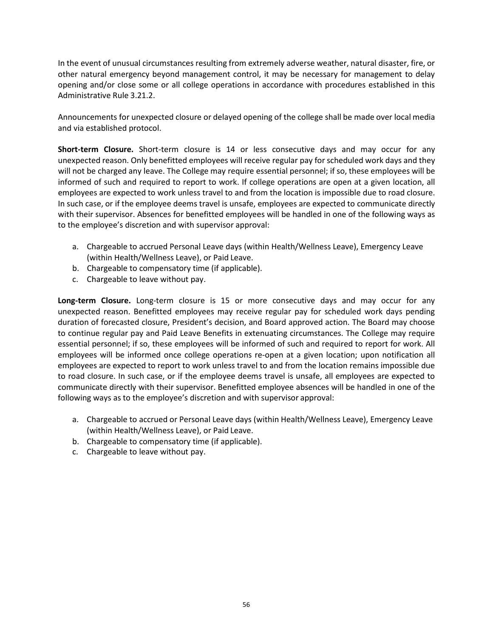In the event of unusual circumstances resulting from extremely adverse weather, natural disaster, fire, or other natural emergency beyond management control, it may be necessary for management to delay opening and/or close some or all college operations in accordance with procedures established in this Administrative Rule 3.21.2.

Announcements for unexpected closure or delayed opening of the college shall be made over local media and via established protocol.

**Short-term Closure.** Short-term closure is 14 or less consecutive days and may occur for any unexpected reason. Only benefitted employees will receive regular pay for scheduled work days and they will not be charged any leave. The College may require essential personnel; if so, these employees will be informed of such and required to report to work. If college operations are open at a given location, all employees are expected to work unless travel to and from the location is impossible due to road closure. In such case, or if the employee deems travel is unsafe, employees are expected to communicate directly with their supervisor. Absences for benefitted employees will be handled in one of the following ways as to the employee's discretion and with supervisor approval:

- a. Chargeable to accrued Personal Leave days (within Health/Wellness Leave), Emergency Leave (within Health/Wellness Leave), or Paid Leave.
- b. Chargeable to compensatory time (if applicable).
- c. Chargeable to leave without pay.

**Long-term Closure.** Long-term closure is 15 or more consecutive days and may occur for any unexpected reason. Benefitted employees may receive regular pay for scheduled work days pending duration of forecasted closure, President's decision, and Board approved action. The Board may choose to continue regular pay and Paid Leave Benefits in extenuating circumstances. The College may require essential personnel; if so, these employees will be informed of such and required to report for work. All employees will be informed once college operations re-open at a given location; upon notification all employees are expected to report to work unless travel to and from the location remains impossible due to road closure. In such case, or if the employee deems travel is unsafe, all employees are expected to communicate directly with their supervisor. Benefitted employee absences will be handled in one of the following ways as to the employee's discretion and with supervisor approval:

- a. Chargeable to accrued or Personal Leave days (within Health/Wellness Leave), Emergency Leave (within Health/Wellness Leave), or Paid Leave.
- b. Chargeable to compensatory time (if applicable).
- c. Chargeable to leave without pay.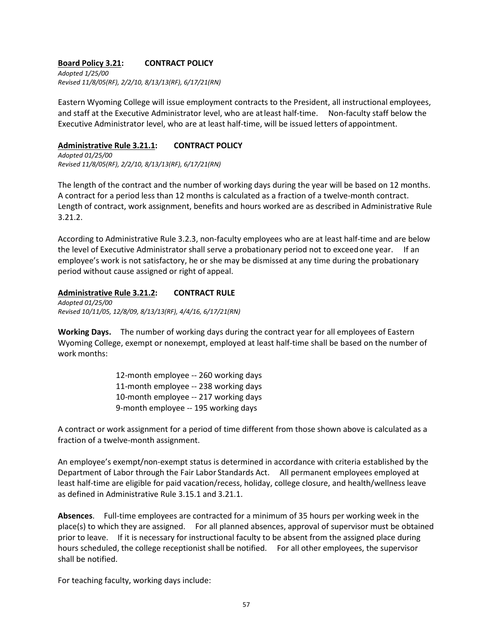### **Board Policy 3.21: CONTRACT POLICY**

*Adopted 1/25/00 Revised 11/8/05(RF), 2/2/10, 8/13/13(RF), 6/17/21(RN)*

Eastern Wyoming College will issue employment contracts to the President, all instructional employees, and staff at the Executive Administrator level, who are atleast half-time. Non-faculty staff below the Executive Administrator level, who are at least half-time, will be issued letters of appointment.

### **Administrative Rule 3.21.1: CONTRACT POLICY**

*Adopted 01/25/00 Revised 11/8/05(RF), 2/2/10, 8/13/13(RF), 6/17/21(RN)*

The length of the contract and the number of working days during the year will be based on 12 months. A contract for a period less than 12 months is calculated as a fraction of a twelve-month contract. Length of contract, work assignment, benefits and hours worked are as described in Administrative Rule 3.21.2.

According to Administrative Rule 3.2.3, non-faculty employees who are at least half-time and are below the level of Executive Administrator shall serve a probationary period not to exceedone year. If an employee's work is not satisfactory, he or she may be dismissed at any time during the probationary period without cause assigned or right of appeal.

### **Administrative Rule 3.21.2: CONTRACT RULE**

*Adopted 01/25/00 Revised 10/11/05, 12/8/09, 8/13/13(RF), 4/4/16, 6/17/21(RN)*

**Working Days.** The number of working days during the contract year for all employees of Eastern Wyoming College, exempt or nonexempt, employed at least half-time shall be based on the number of work months:

> 12-month employee -- 260 working days 11-month employee -- 238 working days 10-month employee -- 217 working days 9-month employee -- 195 working days

A contract or work assignment for a period of time different from those shown above is calculated as a fraction of a twelve-month assignment.

An employee's exempt/non-exempt status is determined in accordance with criteria established by the Department of Labor through the Fair Labor Standards Act. All permanent employees employed at least half-time are eligible for paid vacation/recess, holiday, college closure, and health/wellness leave as defined in Administrative Rule 3.15.1 and 3.21.1.

**Absences**. Full-time employees are contracted for a minimum of 35 hours per working week in the place(s) to which they are assigned. For all planned absences, approval of supervisor must be obtained prior to leave. If it is necessary for instructional faculty to be absent from the assigned place during hours scheduled, the college receptionist shall be notified. For all other employees, the supervisor shall be notified.

For teaching faculty, working days include: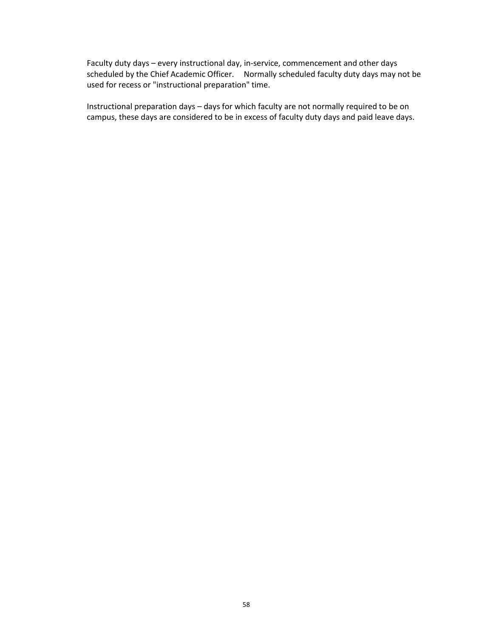Faculty duty days – every instructional day, in-service, commencement and other days scheduled by the Chief Academic Officer. Normally scheduled faculty duty days may not be used for recess or "instructional preparation" time.

Instructional preparation days – days for which faculty are not normally required to be on campus, these days are considered to be in excess of faculty duty days and paid leave days.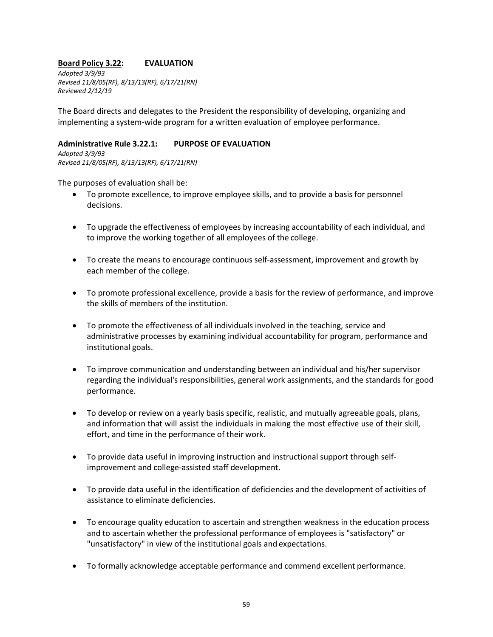### **Board Policy 3.22: EVALUATION**

*Adopted 3/9/93 Revised 11/8/05(RF), 8/13/13(RF), 6/17/21(RN) Reviewed 2/12/19*

The Board directs and delegates to the President the responsibility of developing, organizing and implementing a system-wide program for a written evaluation of employee performance.

### **Administrative Rule 3.22.1: PURPOSE OF EVALUATION**

*Adopted 3/9/93 Revised 11/8/05(RF), 8/13/13(RF), 6/17/21(RN)*

The purposes of evaluation shall be:

- To promote excellence, to improve employee skills, and to provide a basis for personnel decisions.
- To upgrade the effectiveness of employees by increasing accountability of each individual, and to improve the working together of all employees of the college.
- To create the means to encourage continuous self-assessment, improvement and growth by each member of the college.
- To promote professional excellence, provide a basis for the review of performance, and improve the skills of members of the institution.
- To promote the effectiveness of all individuals involved in the teaching, service and administrative processes by examining individual accountability for program, performance and institutional goals.
- To improve communication and understanding between an individual and his/her supervisor regarding the individual's responsibilities, general work assignments, and the standards for good performance.
- To develop or review on a yearly basis specific, realistic, and mutually agreeable goals, plans, and information that will assist the individuals in making the most effective use of their skill, effort, and time in the performance of their work.
- To provide data useful in improving instruction and instructional support through selfimprovement and college-assisted staff development.
- To provide data useful in the identification of deficiencies and the development of activities of assistance to eliminate deficiencies.
- To encourage quality education to ascertain and strengthen weakness in the education process and to ascertain whether the professional performance of employees is "satisfactory" or "unsatisfactory" in view of the institutional goals and expectations.
- To formally acknowledge acceptable performance and commend excellent performance.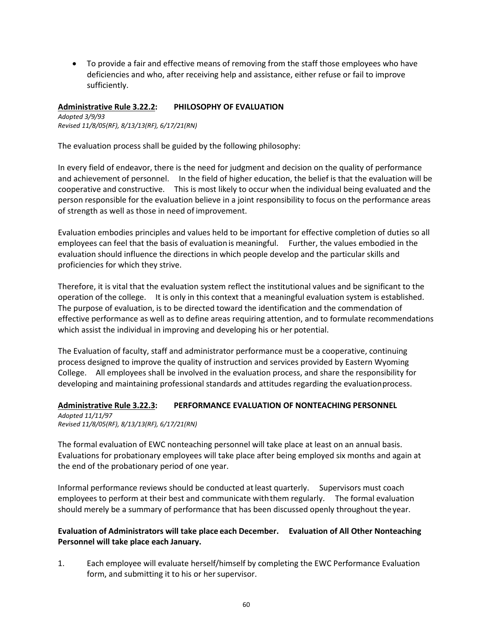• To provide a fair and effective means of removing from the staff those employees who have deficiencies and who, after receiving help and assistance, either refuse or fail to improve sufficiently.

### **Administrative Rule 3.22.2: PHILOSOPHY OF EVALUATION**

*Adopted 3/9/93 Revised 11/8/05(RF), 8/13/13(RF), 6/17/21(RN)*

The evaluation process shall be guided by the following philosophy:

In every field of endeavor, there is the need for judgment and decision on the quality of performance and achievement of personnel. In the field of higher education, the belief is that the evaluation will be cooperative and constructive. This is most likely to occur when the individual being evaluated and the person responsible for the evaluation believe in a joint responsibility to focus on the performance areas of strength as well as those in need of improvement.

Evaluation embodies principles and values held to be important for effective completion of duties so all employees can feel that the basis of evaluation is meaningful. Further, the values embodied in the evaluation should influence the directions in which people develop and the particular skills and proficiencies for which they strive.

Therefore, it is vital that the evaluation system reflect the institutional values and be significant to the operation of the college. It is only in this context that a meaningful evaluation system is established. The purpose of evaluation, is to be directed toward the identification and the commendation of effective performance as well as to define areas requiring attention, and to formulate recommendations which assist the individual in improving and developing his or her potential.

The Evaluation of faculty, staff and administrator performance must be a cooperative, continuing process designed to improve the quality of instruction and services provided by Eastern Wyoming College. All employees shall be involved in the evaluation process, and share the responsibility for developing and maintaining professional standards and attitudes regarding the evaluationprocess.

### **Administrative Rule 3.22.3: PERFORMANCE EVALUATION OF NONTEACHING PERSONNEL**

*Adopted 11/11/97 Revised 11/8/05(RF), 8/13/13(RF), 6/17/21(RN)*

The formal evaluation of EWC nonteaching personnel will take place at least on an annual basis. Evaluations for probationary employees will take place after being employed six months and again at the end of the probationary period of one year.

Informal performance reviews should be conducted atleast quarterly. Supervisors must coach employees to perform at their best and communicate withthem regularly. The formal evaluation should merely be a summary of performance that has been discussed openly throughout theyear.

### **Evaluation of Administrators will take place each December. Evaluation of All Other Nonteaching Personnel will take place each January.**

1. Each employee will evaluate herself/himself by completing the EWC Performance Evaluation form, and submitting it to his or her supervisor.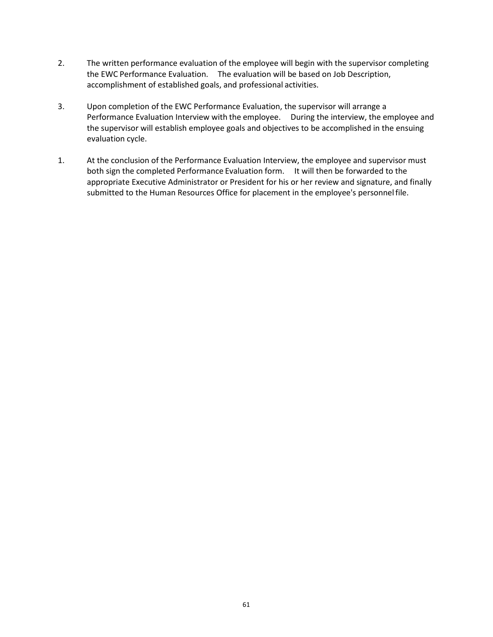- 2. The written performance evaluation of the employee will begin with the supervisor completing the EWC Performance Evaluation. The evaluation will be based on Job Description, accomplishment of established goals, and professional activities.
- 3. Upon completion of the EWC Performance Evaluation, the supervisor will arrange a Performance Evaluation Interview with the employee. During the interview, the employee and the supervisor will establish employee goals and objectives to be accomplished in the ensuing evaluation cycle.
- 1. At the conclusion of the Performance Evaluation Interview, the employee and supervisor must both sign the completed Performance Evaluation form. It will then be forwarded to the appropriate Executive Administrator or President for his or her review and signature, and finally submitted to the Human Resources Office for placement in the employee's personnelfile.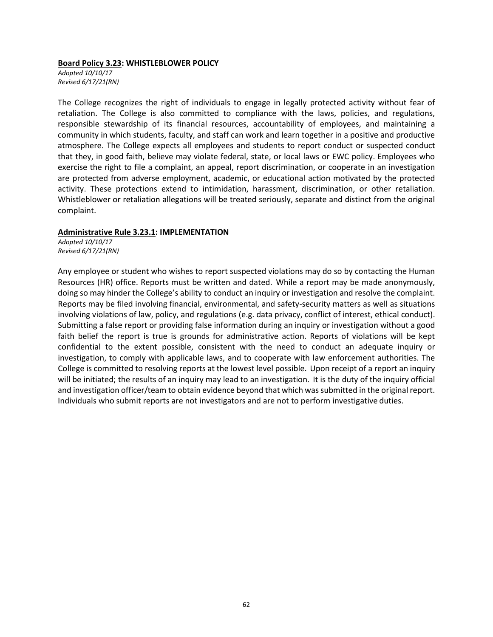#### **Board Policy 3.23: WHISTLEBLOWER POLICY**

*Adopted 10/10/17 Revised 6/17/21(RN)*

The College recognizes the right of individuals to engage in legally protected activity without fear of retaliation. The College is also committed to compliance with the laws, policies, and regulations, responsible stewardship of its financial resources, accountability of employees, and maintaining a community in which students, faculty, and staff can work and learn together in a positive and productive atmosphere. The College expects all employees and students to report conduct or suspected conduct that they, in good faith, believe may violate federal, state, or local laws or EWC policy. Employees who exercise the right to file a complaint, an appeal, report discrimination, or cooperate in an investigation are protected from adverse employment, academic, or educational action motivated by the protected activity. These protections extend to intimidation, harassment, discrimination, or other retaliation. Whistleblower or retaliation allegations will be treated seriously, separate and distinct from the original complaint.

#### **Administrative Rule 3.23.1: IMPLEMENTATION**

*Adopted 10/10/17 Revised 6/17/21(RN)*

Any employee or student who wishes to report suspected violations may do so by contacting the Human Resources (HR) office. Reports must be written and dated. While a report may be made anonymously, doing so may hinder the College's ability to conduct an inquiry or investigation and resolve the complaint. Reports may be filed involving financial, environmental, and safety-security matters as well as situations involving violations of law, policy, and regulations (e.g. data privacy, conflict of interest, ethical conduct). Submitting a false report or providing false information during an inquiry or investigation without a good faith belief the report is true is grounds for administrative action. Reports of violations will be kept confidential to the extent possible, consistent with the need to conduct an adequate inquiry or investigation, to comply with applicable laws, and to cooperate with law enforcement authorities. The College is committed to resolving reports at the lowest level possible. Upon receipt of a report an inquiry will be initiated; the results of an inquiry may lead to an investigation. It is the duty of the inquiry official and investigation officer/team to obtain evidence beyond that which wassubmitted in the original report. Individuals who submit reports are not investigators and are not to perform investigative duties.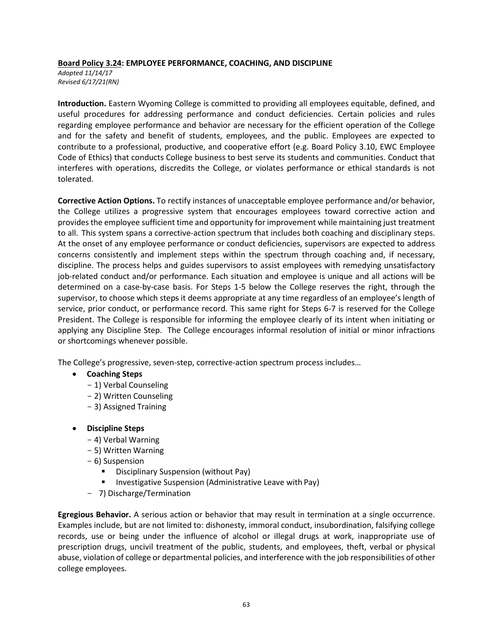### **Board Policy 3.24: EMPLOYEE PERFORMANCE, COACHING, AND DISCIPLINE**

*Adopted 11/14/17 Revised 6/17/21(RN)*

**Introduction.** Eastern Wyoming College is committed to providing all employees equitable, defined, and useful procedures for addressing performance and conduct deficiencies. Certain policies and rules regarding employee performance and behavior are necessary for the efficient operation of the College and for the safety and benefit of students, employees, and the public. Employees are expected to contribute to a professional, productive, and cooperative effort (e.g. Board Policy 3.10, EWC Employee Code of Ethics) that conducts College business to best serve its students and communities. Conduct that interferes with operations, discredits the College, or violates performance or ethical standards is not tolerated.

**Corrective Action Options.** To rectify instances of unacceptable employee performance and/or behavior, the College utilizes a progressive system that encourages employees toward corrective action and providesthe employee sufficient time and opportunity for improvement while maintaining just treatment to all. This system spans a corrective-action spectrum that includes both coaching and disciplinary steps. At the onset of any employee performance or conduct deficiencies, supervisors are expected to address concerns consistently and implement steps within the spectrum through coaching and, if necessary, discipline. The process helps and guides supervisors to assist employees with remedying unsatisfactory job-related conduct and/or performance. Each situation and employee is unique and all actions will be determined on a case-by-case basis. For Steps 1-5 below the College reserves the right, through the supervisor, to choose which steps it deems appropriate at any time regardless of an employee's length of service, prior conduct, or performance record. This same right for Steps 6-7 is reserved for the College President. The College is responsible for informing the employee clearly of its intent when initiating or applying any Discipline Step. The College encourages informal resolution of initial or minor infractions or shortcomings whenever possible.

The College's progressive, seven-step, corrective-action spectrum process includes…

- **Coaching Steps**
	- 1) Verbal Counseling
	- 2) Written Counseling
	- 3) Assigned Training
- **Discipline Steps**
	- 4) Verbal Warning
	- 5) Written Warning
	- 6) Suspension
		- Disciplinary Suspension (without Pay)
		- Investigative Suspension (Administrative Leave with Pay)
	- 7) Discharge/Termination

**Egregious Behavior.** A serious action or behavior that may result in termination at a single occurrence. Examples include, but are not limited to: dishonesty, immoral conduct, insubordination, falsifying college records, use or being under the influence of alcohol or illegal drugs at work, inappropriate use of prescription drugs, uncivil treatment of the public, students, and employees, theft, verbal or physical abuse, violation of college or departmental policies, and interference with the job responsibilities of other college employees.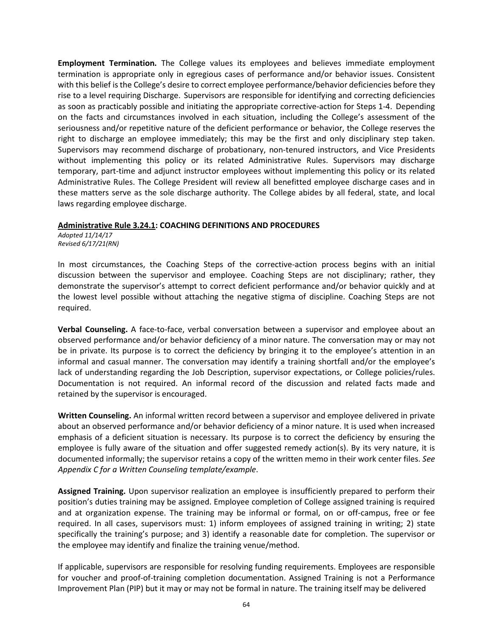**Employment Termination.** The College values its employees and believes immediate employment termination is appropriate only in egregious cases of performance and/or behavior issues. Consistent with this belief isthe College's desire to correct employee performance/behavior deficiencies before they rise to a level requiring Discharge. Supervisors are responsible for identifying and correcting deficiencies as soon as practicably possible and initiating the appropriate corrective-action for Steps 1-4. Depending on the facts and circumstances involved in each situation, including the College's assessment of the seriousness and/or repetitive nature of the deficient performance or behavior, the College reserves the right to discharge an employee immediately; this may be the first and only disciplinary step taken. Supervisors may recommend discharge of probationary, non-tenured instructors, and Vice Presidents without implementing this policy or its related Administrative Rules. Supervisors may discharge temporary, part-time and adjunct instructor employees without implementing this policy or its related Administrative Rules. The College President will review all benefitted employee discharge cases and in these matters serve as the sole discharge authority. The College abides by all federal, state, and local laws regarding employee discharge.

### **Administrative Rule 3.24.1: COACHING DEFINITIONS AND PROCEDURES**

*Adopted 11/14/17 Revised 6/17/21(RN)*

In most circumstances, the Coaching Steps of the corrective-action process begins with an initial discussion between the supervisor and employee. Coaching Steps are not disciplinary; rather, they demonstrate the supervisor's attempt to correct deficient performance and/or behavior quickly and at the lowest level possible without attaching the negative stigma of discipline. Coaching Steps are not required.

**Verbal Counseling.** A face-to-face, verbal conversation between a supervisor and employee about an observed performance and/or behavior deficiency of a minor nature. The conversation may or may not be in private. Its purpose is to correct the deficiency by bringing it to the employee's attention in an informal and casual manner. The conversation may identify a training shortfall and/or the employee's lack of understanding regarding the Job Description, supervisor expectations, or College policies/rules. Documentation is not required. An informal record of the discussion and related facts made and retained by the supervisor is encouraged.

**Written Counseling.** An informal written record between a supervisor and employee delivered in private about an observed performance and/or behavior deficiency of a minor nature. It is used when increased emphasis of a deficient situation is necessary. Its purpose is to correct the deficiency by ensuring the employee is fully aware of the situation and offer suggested remedy action(s). By its very nature, it is documented informally; the supervisor retains a copy of the written memo in their work center files. *See Appendix C for a Written Counseling template/example*.

**Assigned Training.** Upon supervisor realization an employee is insufficiently prepared to perform their position's duties training may be assigned. Employee completion of College assigned training is required and at organization expense. The training may be informal or formal, on or off-campus, free or fee required. In all cases, supervisors must: 1) inform employees of assigned training in writing; 2) state specifically the training's purpose; and 3) identify a reasonable date for completion. The supervisor or the employee may identify and finalize the training venue/method.

If applicable, supervisors are responsible for resolving funding requirements. Employees are responsible for voucher and proof-of-training completion documentation. Assigned Training is not a Performance Improvement Plan (PIP) but it may or may not be formal in nature. The training itself may be delivered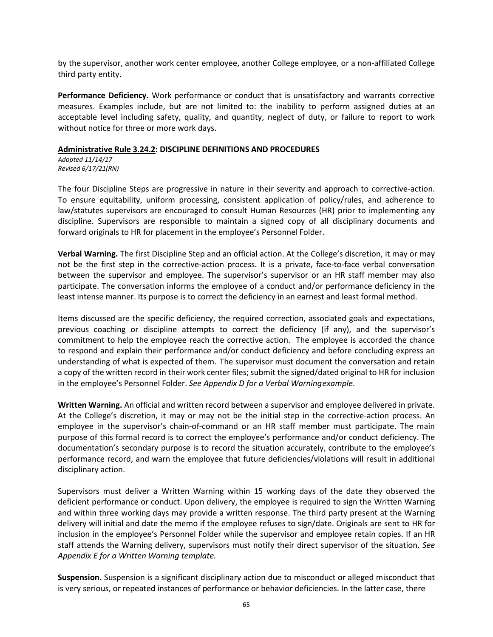by the supervisor, another work center employee, another College employee, or a non-affiliated College third party entity.

**Performance Deficiency.** Work performance or conduct that is unsatisfactory and warrants corrective measures. Examples include, but are not limited to: the inability to perform assigned duties at an acceptable level including safety, quality, and quantity, neglect of duty, or failure to report to work without notice for three or more work days.

### **Administrative Rule 3.24.2: DISCIPLINE DEFINITIONS AND PROCEDURES**

*Adopted 11/14/17 Revised 6/17/21(RN)*

The four Discipline Steps are progressive in nature in their severity and approach to corrective-action. To ensure equitability, uniform processing, consistent application of policy/rules, and adherence to law/statutes supervisors are encouraged to consult Human Resources (HR) prior to implementing any discipline. Supervisors are responsible to maintain a signed copy of all disciplinary documents and forward originals to HR for placement in the employee's Personnel Folder.

**Verbal Warning.** The first Discipline Step and an official action. At the College's discretion, it may or may not be the first step in the corrective-action process. It is a private, face-to-face verbal conversation between the supervisor and employee. The supervisor's supervisor or an HR staff member may also participate. The conversation informs the employee of a conduct and/or performance deficiency in the least intense manner. Its purpose is to correct the deficiency in an earnest and least formal method.

Items discussed are the specific deficiency, the required correction, associated goals and expectations, previous coaching or discipline attempts to correct the deficiency (if any), and the supervisor's commitment to help the employee reach the corrective action. The employee is accorded the chance to respond and explain their performance and/or conduct deficiency and before concluding express an understanding of what is expected of them. The supervisor must document the conversation and retain a copy of the written record in their work center files; submit the signed/dated original to HR for inclusion in the employee's Personnel Folder. *See Appendix D for a Verbal Warningexample*.

**Written Warning.** An official and written record between a supervisor and employee delivered in private. At the College's discretion, it may or may not be the initial step in the corrective-action process. An employee in the supervisor's chain-of-command or an HR staff member must participate. The main purpose of this formal record is to correct the employee's performance and/or conduct deficiency. The documentation's secondary purpose is to record the situation accurately, contribute to the employee's performance record, and warn the employee that future deficiencies/violations will result in additional disciplinary action.

Supervisors must deliver a Written Warning within 15 working days of the date they observed the deficient performance or conduct. Upon delivery, the employee is required to sign the Written Warning and within three working days may provide a written response. The third party present at the Warning delivery will initial and date the memo if the employee refuses to sign/date. Originals are sent to HR for inclusion in the employee's Personnel Folder while the supervisor and employee retain copies. If an HR staff attends the Warning delivery, supervisors must notify their direct supervisor of the situation. *See Appendix E for a Written Warning template.*

**Suspension.** Suspension is a significant disciplinary action due to misconduct or alleged misconduct that is very serious, or repeated instances of performance or behavior deficiencies. In the latter case, there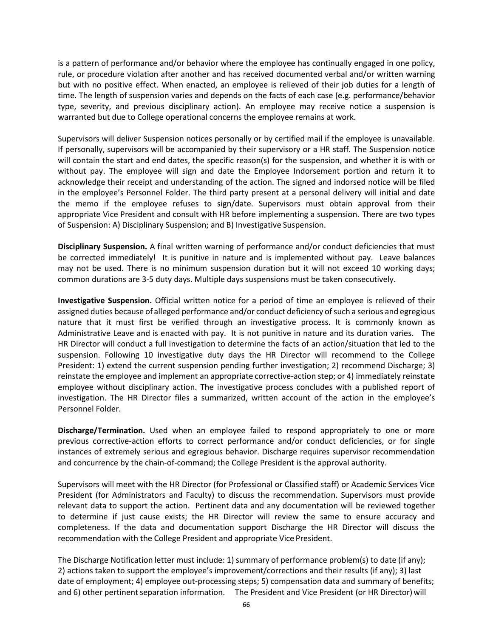is a pattern of performance and/or behavior where the employee has continually engaged in one policy, rule, or procedure violation after another and has received documented verbal and/or written warning but with no positive effect. When enacted, an employee is relieved of their job duties for a length of time. The length of suspension varies and depends on the facts of each case (e.g. performance/behavior type, severity, and previous disciplinary action). An employee may receive notice a suspension is warranted but due to College operational concerns the employee remains at work.

Supervisors will deliver Suspension notices personally or by certified mail if the employee is unavailable. If personally, supervisors will be accompanied by their supervisory or a HR staff. The Suspension notice will contain the start and end dates, the specific reason(s) for the suspension, and whether it is with or without pay. The employee will sign and date the Employee Indorsement portion and return it to acknowledge their receipt and understanding of the action. The signed and indorsed notice will be filed in the employee's Personnel Folder. The third party present at a personal delivery will initial and date the memo if the employee refuses to sign/date. Supervisors must obtain approval from their appropriate Vice President and consult with HR before implementing a suspension. There are two types of Suspension: A) Disciplinary Suspension; and B) Investigative Suspension.

**Disciplinary Suspension.** A final written warning of performance and/or conduct deficiencies that must be corrected immediately! It is punitive in nature and is implemented without pay. Leave balances may not be used. There is no minimum suspension duration but it will not exceed 10 working days; common durations are 3-5 duty days. Multiple days suspensions must be taken consecutively.

**Investigative Suspension.** Official written notice for a period of time an employee is relieved of their assigned duties because of alleged performance and/or conduct deficiency of such a serious and egregious nature that it must first be verified through an investigative process. It is commonly known as Administrative Leave and is enacted with pay. It is not punitive in nature and its duration varies. The HR Director will conduct a full investigation to determine the facts of an action/situation that led to the suspension. Following 10 investigative duty days the HR Director will recommend to the College President: 1) extend the current suspension pending further investigation; 2) recommend Discharge; 3) reinstate the employee and implement an appropriate corrective-action step; or 4) immediately reinstate employee without disciplinary action. The investigative process concludes with a published report of investigation. The HR Director files a summarized, written account of the action in the employee's Personnel Folder.

**Discharge/Termination.** Used when an employee failed to respond appropriately to one or more previous corrective-action efforts to correct performance and/or conduct deficiencies, or for single instances of extremely serious and egregious behavior. Discharge requires supervisor recommendation and concurrence by the chain-of-command; the College President is the approval authority.

Supervisors will meet with the HR Director (for Professional or Classified staff) or Academic Services Vice President (for Administrators and Faculty) to discuss the recommendation. Supervisors must provide relevant data to support the action. Pertinent data and any documentation will be reviewed together to determine if just cause exists; the HR Director will review the same to ensure accuracy and completeness. If the data and documentation support Discharge the HR Director will discuss the recommendation with the College President and appropriate Vice President.

The Discharge Notification letter must include: 1) summary of performance problem(s) to date (if any); 2) actions taken to support the employee's improvement/corrections and their results (if any); 3) last date of employment; 4) employee out-processing steps; 5) compensation data and summary of benefits; and 6) other pertinent separation information. The President and Vice President (or HR Director) will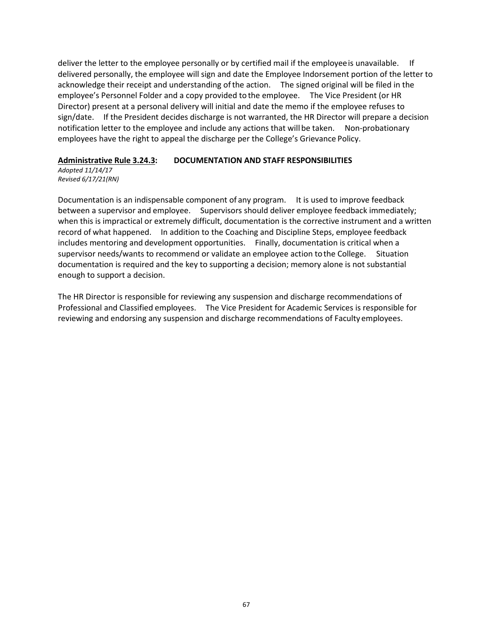deliver the letter to the employee personally or by certified mail if the employeeis unavailable. If delivered personally, the employee will sign and date the Employee Indorsement portion of the letter to acknowledge their receipt and understanding ofthe action. The signed original will be filed in the employee's Personnel Folder and a copy provided to the employee. The Vice President (or HR Director) present at a personal delivery will initial and date the memo if the employee refuses to sign/date. If the President decides discharge is not warranted, the HR Director will prepare a decision notification letter to the employee and include any actions that will be taken. Non-probationary employees have the right to appeal the discharge per the College's Grievance Policy.

### **Administrative Rule 3.24.3: DOCUMENTATION AND STAFF RESPONSIBILITIES**

*Adopted 11/14/17 Revised 6/17/21(RN)*

Documentation is an indispensable component of any program. It is used to improve feedback between a supervisor and employee. Supervisors should deliver employee feedback immediately; when this is impractical or extremely difficult, documentation is the corrective instrument and a written record of what happened. In addition to the Coaching and Discipline Steps, employee feedback includes mentoring and development opportunities. Finally, documentation is critical when a supervisor needs/wants to recommend or validate an employee action tothe College. Situation documentation is required and the key to supporting a decision; memory alone is not substantial enough to support a decision.

The HR Director is responsible for reviewing any suspension and discharge recommendations of Professional and Classified employees. The Vice President for Academic Services is responsible for reviewing and endorsing any suspension and discharge recommendations of Faculty employees.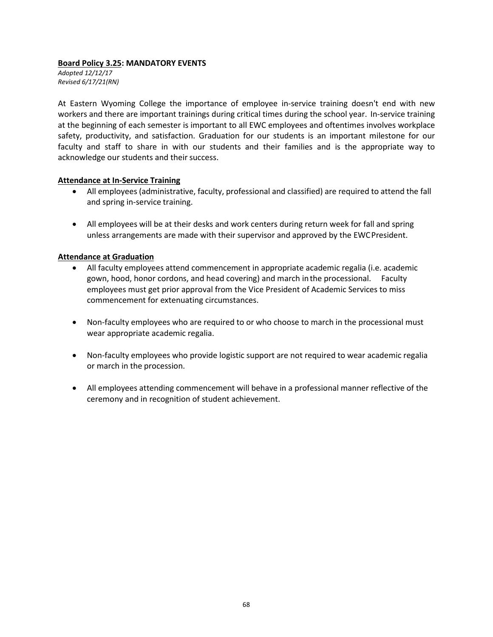### **Board Policy 3.25: MANDATORY EVENTS**

*Adopted 12/12/17 Revised 6/17/21(RN)*

At Eastern Wyoming College the importance of employee in-service training doesn't end with new workers and there are important trainings during critical times during the school year. In-service training at the beginning of each semester is important to all EWC employees and oftentimes involves workplace safety, productivity, and satisfaction. Graduation for our students is an important milestone for our faculty and staff to share in with our students and their families and is the appropriate way to acknowledge our students and their success.

### **Attendance at In-Service Training**

- All employees (administrative, faculty, professional and classified) are required to attend the fall and spring in-service training.
- All employees will be at their desks and work centers during return week for fall and spring unless arrangements are made with their supervisor and approved by the EWCPresident.

### **Attendance at Graduation**

- All faculty employees attend commencement in appropriate academic regalia (i.e. academic gown, hood, honor cordons, and head covering) and march inthe processional. Faculty employees must get prior approval from the Vice President of Academic Services to miss commencement for extenuating circumstances.
- Non-faculty employees who are required to or who choose to march in the processional must wear appropriate academic regalia.
- Non-faculty employees who provide logistic support are not required to wear academic regalia or march in the procession.
- All employees attending commencement will behave in a professional manner reflective of the ceremony and in recognition of student achievement.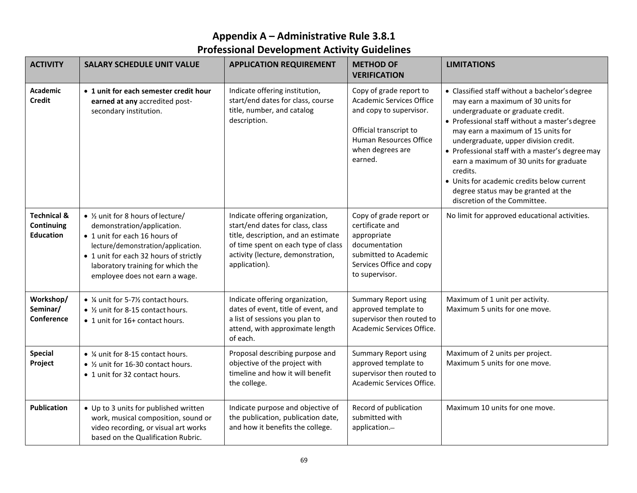# **Appendix A – Administrative Rule 3.8.1 Professional Development Activity Guidelines**

| <b>ACTIVITY</b>                                          | <b>SALARY SCHEDULE UNIT VALUE</b>                                                                                                                                                                                                                        | <b>APPLICATION REQUIREMENT</b>                                                                                                                                                                          | <b>METHOD OF</b><br><b>VERIFICATION</b>                                                                                                                                  | <b>LIMITATIONS</b>                                                                                                                                                                                                                                                                                                                                                                                                                                                                        |
|----------------------------------------------------------|----------------------------------------------------------------------------------------------------------------------------------------------------------------------------------------------------------------------------------------------------------|---------------------------------------------------------------------------------------------------------------------------------------------------------------------------------------------------------|--------------------------------------------------------------------------------------------------------------------------------------------------------------------------|-------------------------------------------------------------------------------------------------------------------------------------------------------------------------------------------------------------------------------------------------------------------------------------------------------------------------------------------------------------------------------------------------------------------------------------------------------------------------------------------|
| <b>Academic</b><br><b>Credit</b>                         | • 1 unit for each semester credit hour<br>earned at any accredited post-<br>secondary institution.                                                                                                                                                       | Indicate offering institution,<br>start/end dates for class, course<br>title, number, and catalog<br>description.                                                                                       | Copy of grade report to<br><b>Academic Services Office</b><br>and copy to supervisor.<br>Official transcript to<br>Human Resources Office<br>when degrees are<br>earned. | • Classified staff without a bachelor's degree<br>may earn a maximum of 30 units for<br>undergraduate or graduate credit.<br>• Professional staff without a master's degree<br>may earn a maximum of 15 units for<br>undergraduate, upper division credit.<br>• Professional staff with a master's degree may<br>earn a maximum of 30 units for graduate<br>credits.<br>• Units for academic credits below current<br>degree status may be granted at the<br>discretion of the Committee. |
| <b>Technical &amp;</b><br>Continuing<br><b>Education</b> | • 1/2 unit for 8 hours of lecture/<br>demonstration/application.<br>• 1 unit for each 16 hours of<br>lecture/demonstration/application.<br>• 1 unit for each 32 hours of strictly<br>laboratory training for which the<br>employee does not earn a wage. | Indicate offering organization,<br>start/end dates for class, class<br>title, description, and an estimate<br>of time spent on each type of class<br>activity (lecture, demonstration,<br>application). | Copy of grade report or<br>certificate and<br>appropriate<br>documentation<br>submitted to Academic<br>Services Office and copy<br>to supervisor.                        | No limit for approved educational activities.                                                                                                                                                                                                                                                                                                                                                                                                                                             |
| Workshop/<br>Seminar/<br>Conference                      | • ¼ unit for 5-7½ contact hours.<br>• 1/2 unit for 8-15 contact hours.<br>• 1 unit for 16+ contact hours.                                                                                                                                                | Indicate offering organization,<br>dates of event, title of event, and<br>a list of sessions you plan to<br>attend, with approximate length<br>of each.                                                 | <b>Summary Report using</b><br>approved template to<br>supervisor then routed to<br>Academic Services Office.                                                            | Maximum of 1 unit per activity.<br>Maximum 5 units for one move.                                                                                                                                                                                                                                                                                                                                                                                                                          |
| <b>Special</b><br>Project                                | • ¼ unit for 8-15 contact hours.<br>• 1/2 unit for 16-30 contact hours.<br>• 1 unit for 32 contact hours.                                                                                                                                                | Proposal describing purpose and<br>objective of the project with<br>timeline and how it will benefit<br>the college.                                                                                    | <b>Summary Report using</b><br>approved template to<br>supervisor then routed to<br>Academic Services Office.                                                            | Maximum of 2 units per project.<br>Maximum 5 units for one move.                                                                                                                                                                                                                                                                                                                                                                                                                          |
| <b>Publication</b>                                       | • Up to 3 units for published written<br>work, musical composition, sound or<br>video recording, or visual art works<br>based on the Qualification Rubric.                                                                                               | Indicate purpose and objective of<br>the publication, publication date,<br>and how it benefits the college.                                                                                             | Record of publication<br>submitted with<br>application.-                                                                                                                 | Maximum 10 units for one move.                                                                                                                                                                                                                                                                                                                                                                                                                                                            |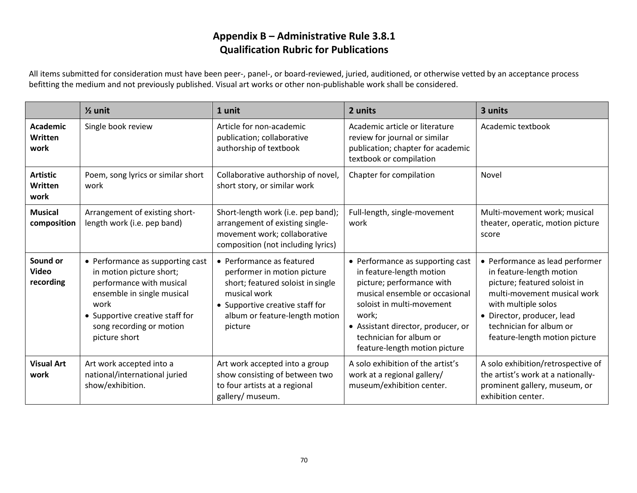## **Appendix B – Administrative Rule 3.8.1 Qualification Rubric for Publications**

All items submitted for consideration must have been peer-, panel-, or board-reviewed, juried, auditioned, or otherwise vetted by an acceptance process befitting the medium and not previously published. Visual art works or other non-publishable work shall be considered.

|                                           | $\frac{1}{2}$ unit                                                                                                                                                                                             | 1 unit                                                                                                                                                                                        | 2 units                                                                                                                                                                                                                                                             | 3 units                                                                                                                                                                                                                                     |
|-------------------------------------------|----------------------------------------------------------------------------------------------------------------------------------------------------------------------------------------------------------------|-----------------------------------------------------------------------------------------------------------------------------------------------------------------------------------------------|---------------------------------------------------------------------------------------------------------------------------------------------------------------------------------------------------------------------------------------------------------------------|---------------------------------------------------------------------------------------------------------------------------------------------------------------------------------------------------------------------------------------------|
| <b>Academic</b><br>Written<br>work        | Single book review                                                                                                                                                                                             | Article for non-academic<br>publication; collaborative<br>authorship of textbook                                                                                                              | Academic article or literature<br>review for journal or similar<br>publication; chapter for academic<br>textbook or compilation                                                                                                                                     | Academic textbook                                                                                                                                                                                                                           |
| <b>Artistic</b><br><b>Written</b><br>work | Poem, song lyrics or similar short<br>work                                                                                                                                                                     | Collaborative authorship of novel,<br>short story, or similar work                                                                                                                            | Chapter for compilation                                                                                                                                                                                                                                             | Novel                                                                                                                                                                                                                                       |
| <b>Musical</b><br>composition             | Arrangement of existing short-<br>length work (i.e. pep band)                                                                                                                                                  | Short-length work (i.e. pep band);<br>arrangement of existing single-<br>movement work; collaborative<br>composition (not including lyrics)                                                   | Full-length, single-movement<br>work                                                                                                                                                                                                                                | Multi-movement work; musical<br>theater, operatic, motion picture<br>score                                                                                                                                                                  |
| Sound or<br><b>Video</b><br>recording     | • Performance as supporting cast<br>in motion picture short;<br>performance with musical<br>ensemble in single musical<br>work<br>• Supportive creative staff for<br>song recording or motion<br>picture short | • Performance as featured<br>performer in motion picture<br>short; featured soloist in single<br>musical work<br>• Supportive creative staff for<br>album or feature-length motion<br>picture | • Performance as supporting cast<br>in feature-length motion<br>picture; performance with<br>musical ensemble or occasional<br>soloist in multi-movement<br>work:<br>• Assistant director, producer, or<br>technician for album or<br>feature-length motion picture | • Performance as lead performer<br>in feature-length motion<br>picture; featured soloist in<br>multi-movement musical work<br>with multiple solos<br>· Director, producer, lead<br>technician for album or<br>feature-length motion picture |
| <b>Visual Art</b><br>work                 | Art work accepted into a<br>national/international juried<br>show/exhibition.                                                                                                                                  | Art work accepted into a group<br>show consisting of between two<br>to four artists at a regional<br>gallery/ museum.                                                                         | A solo exhibition of the artist's<br>work at a regional gallery/<br>museum/exhibition center.                                                                                                                                                                       | A solo exhibition/retrospective of<br>the artist's work at a nationally-<br>prominent gallery, museum, or<br>exhibition center.                                                                                                             |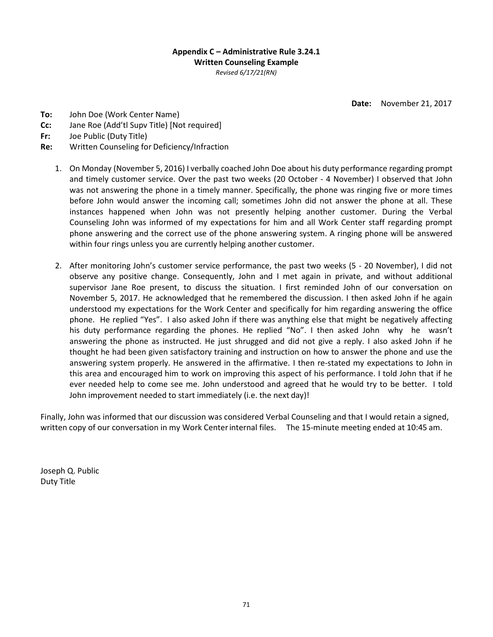### **Appendix C – Administrative Rule 3.24.1 Written Counseling Example** *Revised 6/17/21(RN)*

**Date:** November 21, 2017

- **To:** John Doe (Work Center Name)
- **Cc:** Jane Roe (Add'tl Supv Title) [Not required]
- **Fr:** Joe Public (Duty Title)
- **Re:** Written Counseling for Deficiency/Infraction
	- 1. On Monday (November 5, 2016) I verbally coached John Doe about his duty performance regarding prompt and timely customer service. Over the past two weeks (20 October - 4 November) I observed that John was not answering the phone in a timely manner. Specifically, the phone was ringing five or more times before John would answer the incoming call; sometimes John did not answer the phone at all. These instances happened when John was not presently helping another customer. During the Verbal Counseling John was informed of my expectations for him and all Work Center staff regarding prompt phone answering and the correct use of the phone answering system. A ringing phone will be answered within four rings unless you are currently helping another customer.
	- 2. After monitoring John's customer service performance, the past two weeks (5 20 November), I did not observe any positive change. Consequently, John and I met again in private, and without additional supervisor Jane Roe present, to discuss the situation. I first reminded John of our conversation on November 5, 2017. He acknowledged that he remembered the discussion. I then asked John if he again understood my expectations for the Work Center and specifically for him regarding answering the office phone. He replied "Yes". I also asked John if there was anything else that might be negatively affecting his duty performance regarding the phones. He replied "No". I then asked John why he wasn't answering the phone as instructed. He just shrugged and did not give a reply. I also asked John if he thought he had been given satisfactory training and instruction on how to answer the phone and use the answering system properly. He answered in the affirmative. I then re-stated my expectations to John in this area and encouraged him to work on improving this aspect of his performance. I told John that if he ever needed help to come see me. John understood and agreed that he would try to be better. I told John improvement needed to start immediately (i.e. the next day)!

Finally, John was informed that our discussion was considered Verbal Counseling and that I would retain a signed, written copy of our conversation in my Work Centerinternal files. The 15-minute meeting ended at 10:45 am.

Joseph Q. Public Duty Title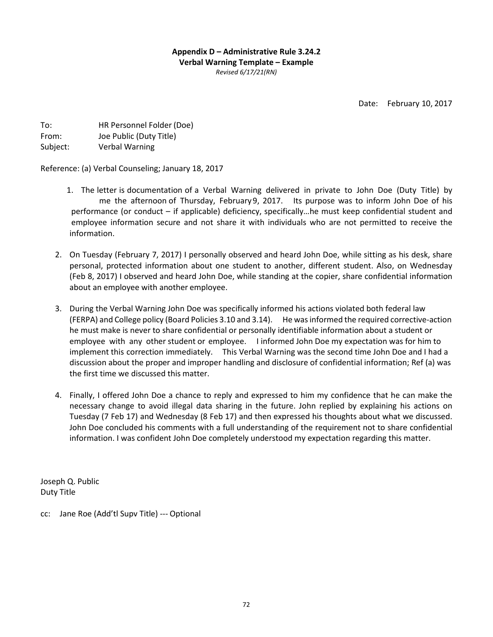**Appendix D – Administrative Rule 3.24.2 Verbal Warning Template – Example**  *Revised 6/17/21(RN)*

Date: February 10, 2017

| To:      | HR Personnel Folder (Doe) |
|----------|---------------------------|
| From:    | Joe Public (Duty Title)   |
| Subject: | <b>Verbal Warning</b>     |

Reference: (a) Verbal Counseling; January 18, 2017

- 1. The letter is documentation of a Verbal Warning delivered in private to John Doe (Duty Title) by me the afternoon of Thursday, February9, 2017. Its purpose was to inform John Doe of his performance (or conduct – if applicable) deficiency, specifically…he must keep confidential student and employee information secure and not share it with individuals who are not permitted to receive the information.
- 2. On Tuesday (February 7, 2017) I personally observed and heard John Doe, while sitting as his desk, share personal, protected information about one student to another, different student. Also, on Wednesday (Feb 8, 2017) I observed and heard John Doe, while standing at the copier, share confidential information about an employee with another employee.
- 3. During the Verbal Warning John Doe was specifically informed his actions violated both federal law (FERPA) and College policy (Board Policies 3.10 and 3.14). He wasinformed the required corrective-action he must make is never to share confidential or personally identifiable information about a student or employee with any other student or employee. I informed John Doe my expectation was for him to implement this correction immediately. This Verbal Warning was the second time John Doe and I had a discussion about the proper and improper handling and disclosure of confidential information; Ref (a) was the first time we discussed this matter.
- 4. Finally, I offered John Doe a chance to reply and expressed to him my confidence that he can make the necessary change to avoid illegal data sharing in the future. John replied by explaining his actions on Tuesday (7 Feb 17) and Wednesday (8 Feb 17) and then expressed his thoughts about what we discussed. John Doe concluded his comments with a full understanding of the requirement not to share confidential information. I was confident John Doe completely understood my expectation regarding this matter.

Joseph Q. Public Duty Title

cc: Jane Roe (Add'tl Supv Title) --- Optional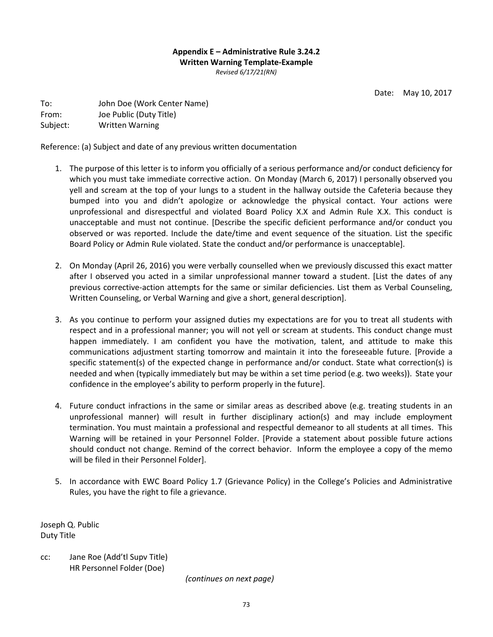# **Appendix E – Administrative Rule 3.24.2 Written Warning Template-Example**  *Revised 6/17/21(RN)*

Date: May 10, 2017

To: John Doe (Work Center Name) From: Joe Public (Duty Title) Subject: Written Warning

Reference: (a) Subject and date of any previous written documentation

- 1. The purpose of this letter is to inform you officially of a serious performance and/or conduct deficiency for which you must take immediate corrective action. On Monday (March 6, 2017) I personally observed you yell and scream at the top of your lungs to a student in the hallway outside the Cafeteria because they bumped into you and didn't apologize or acknowledge the physical contact. Your actions were unprofessional and disrespectful and violated Board Policy X.X and Admin Rule X.X. This conduct is unacceptable and must not continue. [Describe the specific deficient performance and/or conduct you observed or was reported. Include the date/time and event sequence of the situation. List the specific Board Policy or Admin Rule violated. State the conduct and/or performance is unacceptable].
- 2. On Monday (April 26, 2016) you were verbally counselled when we previously discussed this exact matter after I observed you acted in a similar unprofessional manner toward a student. [List the dates of any previous corrective-action attempts for the same or similar deficiencies. List them as Verbal Counseling, Written Counseling, or Verbal Warning and give a short, general description].
- 3. As you continue to perform your assigned duties my expectations are for you to treat all students with respect and in a professional manner; you will not yell or scream at students. This conduct change must happen immediately. I am confident you have the motivation, talent, and attitude to make this communications adjustment starting tomorrow and maintain it into the foreseeable future. [Provide a specific statement(s) of the expected change in performance and/or conduct. State what correction(s) is needed and when (typically immediately but may be within a set time period (e.g. two weeks)). State your confidence in the employee's ability to perform properly in the future].
- 4. Future conduct infractions in the same or similar areas as described above (e.g. treating students in an unprofessional manner) will result in further disciplinary action(s) and may include employment termination. You must maintain a professional and respectful demeanor to all students at all times. This Warning will be retained in your Personnel Folder. [Provide a statement about possible future actions should conduct not change. Remind of the correct behavior. Inform the employee a copy of the memo will be filed in their Personnel Folder].
- 5. In accordance with EWC Board Policy 1.7 (Grievance Policy) in the College's Policies and Administrative Rules, you have the right to file a grievance.

Joseph Q. Public Duty Title

cc: Jane Roe (Add'tl Supv Title) HR Personnel Folder (Doe)

*(continues on next page)*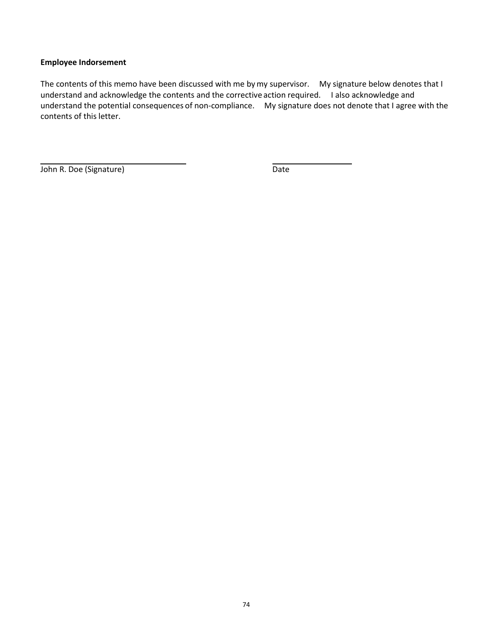## **Employee Indorsement**

The contents of this memo have been discussed with me by my supervisor. My signature below denotes that I understand and acknowledge the contents and the corrective action required. I also acknowledge and understand the potential consequences of non-compliance. My signature does not denote that I agree with the contents of this letter.

John R. Doe (Signature) Date